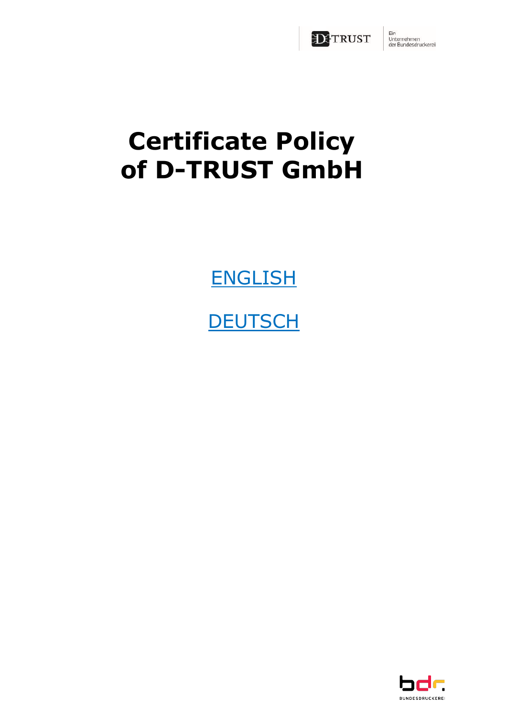

Ein<br>Unternehmen<br>der Bundesdruckerei

# **Certificate Policy of D-TRUST GmbH**

**[ENGLISH](#page-1-0)** 

**[DEUTSCH](#page-31-0)** 

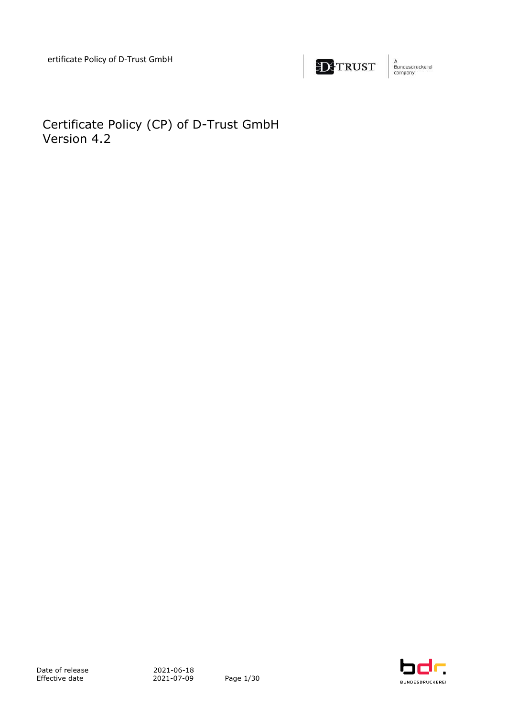

A<br>Bundesdruckerei<br>company

<span id="page-1-0"></span>Certificate Policy (CP) of D-Trust GmbH Version 4.2

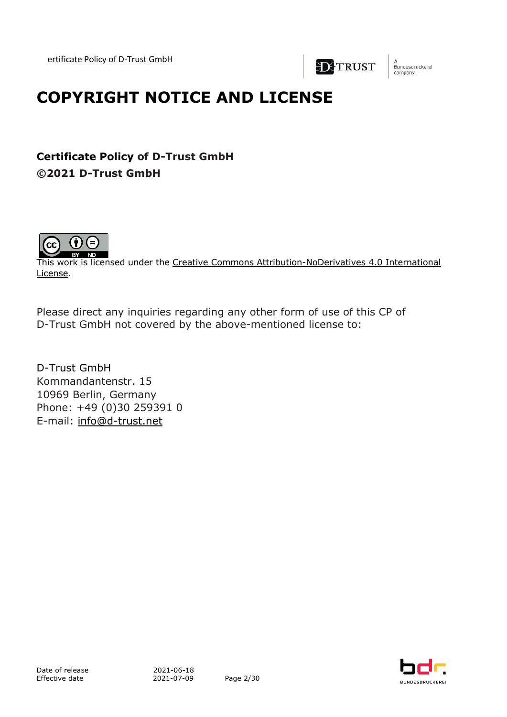

.<br>Bundesdruckerei company

## **COPYRIGHT NOTICE AND LICENSE**

**Certificate Policy of D-Trust GmbH ©2021 D-Trust GmbH**



This work is licensed under the Creative Commons Attribution-NoDerivatives 4.0 International License.

Please direct any inquiries regarding any other form of use of this CP of D-Trust GmbH not covered by the above-mentioned license to:

D-Trust GmbH Kommandantenstr. 15 10969 Berlin, Germany Phone: +49 (0)30 259391 0 E-mail: info@d-trust.net

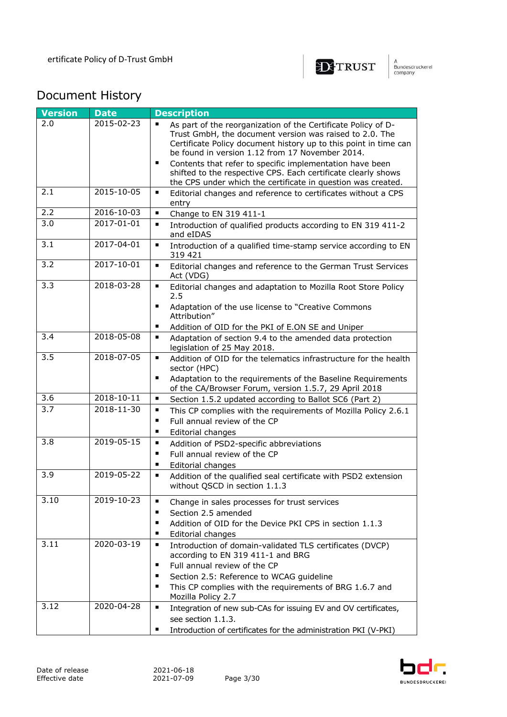

## Document History

| <b>Version</b>   | <b>Date</b>      | <b>Description</b>                                                                                                                                                                                                                                                                                                                                                                                                                                                               |
|------------------|------------------|----------------------------------------------------------------------------------------------------------------------------------------------------------------------------------------------------------------------------------------------------------------------------------------------------------------------------------------------------------------------------------------------------------------------------------------------------------------------------------|
| 2.0              | 2015-02-23       | As part of the reorganization of the Certificate Policy of D-<br>$\blacksquare$<br>Trust GmbH, the document version was raised to 2.0. The<br>Certificate Policy document history up to this point in time can<br>be found in version 1.12 from 17 November 2014.<br>Contents that refer to specific implementation have been<br>$\blacksquare$<br>shifted to the respective CPS. Each certificate clearly shows<br>the CPS under which the certificate in question was created. |
| 2.1              | 2015-10-05       | $\blacksquare$<br>Editorial changes and reference to certificates without a CPS<br>entry                                                                                                                                                                                                                                                                                                                                                                                         |
| 2.2              | 2016-10-03       | $\blacksquare$<br>Change to EN 319 411-1                                                                                                                                                                                                                                                                                                                                                                                                                                         |
| $\overline{3.0}$ | 2017-01-01       | $\blacksquare$<br>Introduction of qualified products according to EN 319 411-2<br>and eIDAS                                                                                                                                                                                                                                                                                                                                                                                      |
| 3.1              | 2017-04-01       | $\blacksquare$<br>Introduction of a qualified time-stamp service according to EN<br>319 421                                                                                                                                                                                                                                                                                                                                                                                      |
| $\overline{3.2}$ | $2017 - 10 - 01$ | $\blacksquare$<br>Editorial changes and reference to the German Trust Services<br>Act (VDG)                                                                                                                                                                                                                                                                                                                                                                                      |
| $\overline{3.3}$ | 2018-03-28       | $\blacksquare$<br>Editorial changes and adaptation to Mozilla Root Store Policy<br>2.5<br>Adaptation of the use license to "Creative Commons<br>$\blacksquare$<br>Attribution"<br>٠<br>Addition of OID for the PKI of E.ON SE and Uniper                                                                                                                                                                                                                                         |
| 3.4              | 2018-05-08       | ٠<br>Adaptation of section 9.4 to the amended data protection<br>legislation of 25 May 2018.                                                                                                                                                                                                                                                                                                                                                                                     |
| 3.5              | 2018-07-05       | Addition of OID for the telematics infrastructure for the health<br>٠<br>sector (HPC)<br>Adaptation to the requirements of the Baseline Requirements<br>$\blacksquare$<br>of the CA/Browser Forum, version 1.5.7, 29 April 2018                                                                                                                                                                                                                                                  |
| 3.6              | 2018-10-11       | $\blacksquare$<br>Section 1.5.2 updated according to Ballot SC6 (Part 2)                                                                                                                                                                                                                                                                                                                                                                                                         |
| 3.7              | 2018-11-30       | This CP complies with the requirements of Mozilla Policy 2.6.1<br>٠<br>Full annual review of the CP<br>$\blacksquare$<br>$\blacksquare$<br>Editorial changes                                                                                                                                                                                                                                                                                                                     |
| 3.8              | $2019 - 05 - 15$ | $\blacksquare$<br>Addition of PSD2-specific abbreviations<br>Full annual review of the CP<br>$\blacksquare$<br>٠<br>Editorial changes                                                                                                                                                                                                                                                                                                                                            |
| 3.9              | 2019-05-22       | ٠<br>Addition of the qualified seal certificate with PSD2 extension<br>without QSCD in section 1.1.3                                                                                                                                                                                                                                                                                                                                                                             |
| 3.10             | 2019-10-23       | Change in sales processes for trust services<br>п<br>Section 2.5 amended<br>п<br>Addition of OID for the Device PKI CPS in section 1.1.3<br>п<br>Editorial changes<br>٠                                                                                                                                                                                                                                                                                                          |
| 3.11             | 2020-03-19       | $\blacksquare$<br>Introduction of domain-validated TLS certificates (DVCP)<br>according to EN 319 411-1 and BRG<br>Full annual review of the CP<br>٠<br>Section 2.5: Reference to WCAG guideline<br>٠<br>This CP complies with the requirements of BRG 1.6.7 and<br>$\blacksquare$<br>Mozilla Policy 2.7                                                                                                                                                                         |
| 3.12             | $2020 - 04 - 28$ | ٠<br>Integration of new sub-CAs for issuing EV and OV certificates,<br>see section 1.1.3.<br>Introduction of certificates for the administration PKI (V-PKI)                                                                                                                                                                                                                                                                                                                     |

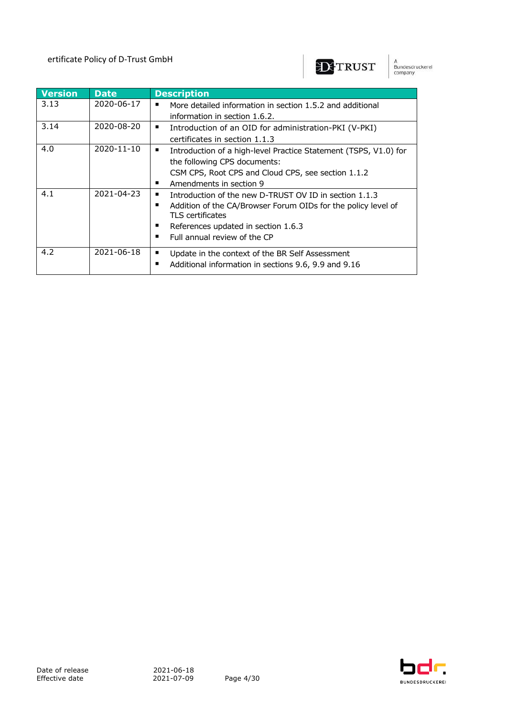

A<br>Bundesdruckerel<br>company

| <b>Version</b> | <b>Date</b> | <b>Description</b>                                                                                    |
|----------------|-------------|-------------------------------------------------------------------------------------------------------|
| 3.13           | 2020-06-17  | More detailed information in section 1.5.2 and additional<br>п                                        |
|                |             | information in section 1.6.2.                                                                         |
| 3.14           | 2020-08-20  | Introduction of an OID for administration-PKI (V-PKI)<br>п                                            |
|                |             | certificates in section 1.1.3                                                                         |
| 4.0            | 2020-11-10  | Introduction of a high-level Practice Statement (TSPS, V1.0) for<br>п<br>the following CPS documents: |
|                |             |                                                                                                       |
|                |             | CSM CPS, Root CPS and Cloud CPS, see section 1.1.2                                                    |
|                |             | Amendments in section 9<br>п                                                                          |
| 4.1            | 2021-04-23  | Introduction of the new D-TRUST OV ID in section 1.1.3                                                |
|                |             | Addition of the CA/Browser Forum OIDs for the policy level of<br>п<br>TLS certificates                |
|                |             | References updated in section 1.6.3<br>п                                                              |
|                |             | Full annual review of the CP<br>п                                                                     |
| 4.2            | 2021-06-18  | Update in the context of the BR Self Assessment<br>٠                                                  |
|                |             | Additional information in sections 9.6, 9.9 and 9.16<br>п                                             |

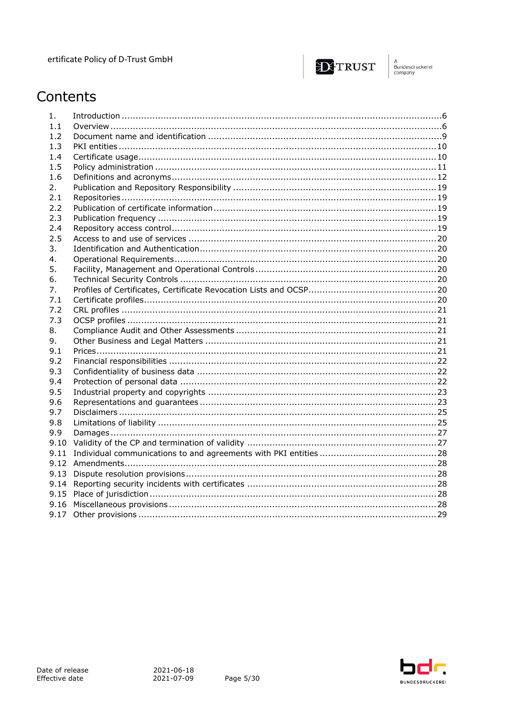

A<br>Bundesdruckerel<br>company

## Contents

| 1.   |  |
|------|--|
| 1.1  |  |
| 1.2  |  |
| 1.3  |  |
| 1.4  |  |
| 1.5  |  |
| 1.6  |  |
| 2.   |  |
| 2.1  |  |
| 2.2  |  |
| 2.3  |  |
| 2.4  |  |
| 2.5  |  |
| 3.   |  |
| 4.   |  |
| 5.   |  |
| 6.   |  |
| 7.   |  |
| 7.1  |  |
| 7.2  |  |
| 7.3  |  |
| 8.   |  |
| 9.   |  |
| 9.1  |  |
| 9.2  |  |
| 9.3  |  |
| 9.4  |  |
| 9.5  |  |
| 9.6  |  |
| 9.7  |  |
| 9.8  |  |
| 9.9  |  |
| 9.10 |  |
| 9.11 |  |
|      |  |
| 9.13 |  |
| 9.14 |  |
|      |  |
|      |  |
|      |  |

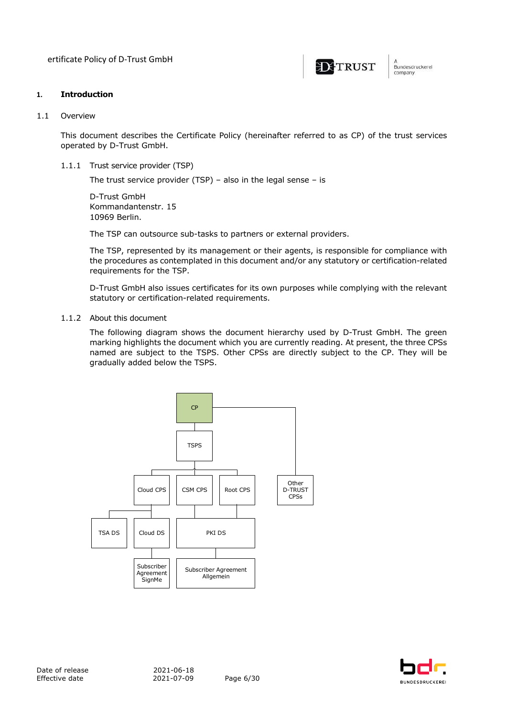ertificate Policy of D-Trust GmbH



Bundesdruckerel company

#### **1. Introduction**

#### 1.1 Overview

This document describes the Certificate Policy (hereinafter referred to as CP) of the trust services operated by D-Trust GmbH.

1.1.1 Trust service provider (TSP)

The trust service provider (TSP) – also in the legal sense – is

D-Trust GmbH Kommandantenstr. 15 10969 Berlin.

The TSP can outsource sub-tasks to partners or external providers.

The TSP, represented by its management or their agents, is responsible for compliance with the procedures as contemplated in this document and/or any statutory or certification-related requirements for the TSP.

D-Trust GmbH also issues certificates for its own purposes while complying with the relevant statutory or certification-related requirements.

#### 1.1.2 About this document

The following diagram shows the document hierarchy used by D-Trust GmbH. The green marking highlights the document which you are currently reading. At present, the three CPSs named are subject to the TSPS. Other CPSs are directly subject to the CP. They will be gradually added below the TSPS.



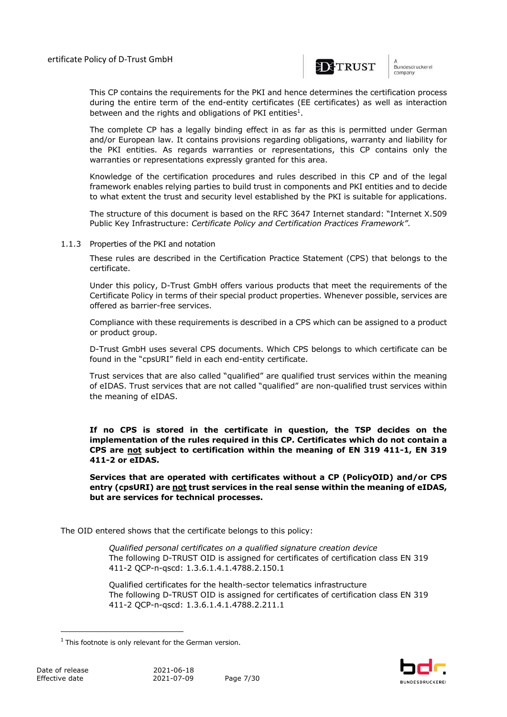

undesdruckerei company

This CP contains the requirements for the PKI and hence determines the certification process during the entire term of the end-entity certificates (EE certificates) as well as interaction between and the rights and obligations of PKI entities<sup>1</sup>.

The complete CP has a legally binding effect in as far as this is permitted under German and/or European law. It contains provisions regarding obligations, warranty and liability for the PKI entities. As regards warranties or representations, this CP contains only the warranties or representations expressly granted for this area.

Knowledge of the certification procedures and rules described in this CP and of the legal framework enables relying parties to build trust in components and PKI entities and to decide to what extent the trust and security level established by the PKI is suitable for applications.

The structure of this document is based on the RFC 3647 Internet standard: "Internet X.509 Public Key Infrastructure: *Certificate Policy and Certification Practices Framework"*.

1.1.3 Properties of the PKI and notation

These rules are described in the Certification Practice Statement (CPS) that belongs to the certificate.

Under this policy, D-Trust GmbH offers various products that meet the requirements of the Certificate Policy in terms of their special product properties. Whenever possible, services are offered as barrier-free services.

Compliance with these requirements is described in a CPS which can be assigned to a product or product group.

D-Trust GmbH uses several CPS documents. Which CPS belongs to which certificate can be found in the "cpsURI" field in each end-entity certificate.

Trust services that are also called "qualified" are qualified trust services within the meaning of eIDAS. Trust services that are not called "qualified" are non-qualified trust services within the meaning of eIDAS.

**If no CPS is stored in the certificate in question, the TSP decides on the implementation of the rules required in this CP. Certificates which do not contain a CPS are not subject to certification within the meaning of EN 319 411-1, EN 319 411-2 or eIDAS.**

**Services that are operated with certificates without a CP (PolicyOID) and/or CPS entry (cpsURI) are not trust services in the real sense within the meaning of eIDAS, but are services for technical processes.**

The OID entered shows that the certificate belongs to this policy:

*Qualified personal certificates on a qualified signature creation device* The following D-TRUST OID is assigned for certificates of certification class EN 319 411-2 QCP-n-qscd: 1.3.6.1.4.1.4788.2.150.1

Qualified certificates for the health-sector telematics infrastructure The following D-TRUST OID is assigned for certificates of certification class EN 319 411-2 QCP-n-qscd: 1.3.6.1.4.1.4788.2.211.1



 $1$  This footnote is only relevant for the German version.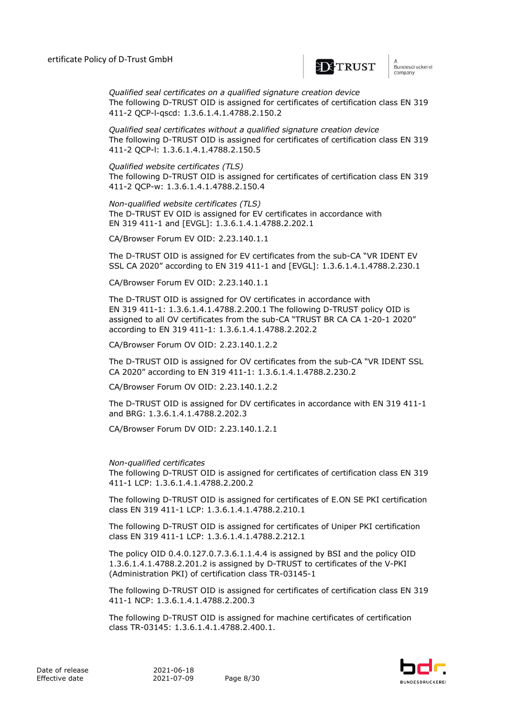

n<br>Bundesdruckerei company

*Qualified seal certificates on a qualified signature creation device* The following D-TRUST OID is assigned for certificates of certification class EN 319 411-2 QCP-l-qscd: 1.3.6.1.4.1.4788.2.150.2

*Qualified seal certificates without a qualified signature creation device* The following D-TRUST OID is assigned for certificates of certification class EN 319 411-2 QCP-l: 1.3.6.1.4.1.4788.2.150.5

*Qualified website certificates (TLS)*  The following D-TRUST OID is assigned for certificates of certification class EN 319 411-2 QCP-w: 1.3.6.1.4.1.4788.2.150.4

*Non-qualified website certificates (TLS)* The D-TRUST EV OID is assigned for EV certificates in accordance with EN 319 411-1 and [EVGL]: 1.3.6.1.4.1.4788.2.202.1

CA/Browser Forum EV OID: 2.23.140.1.1

The D-TRUST OID is assigned for EV certificates from the sub-CA "VR IDENT EV SSL CA 2020" according to EN 319 411-1 and [EVGL]: 1.3.6.1.4.1.4788.2.230.1

CA/Browser Forum EV OID: 2.23.140.1.1

The D-TRUST OID is assigned for OV certificates in accordance with EN 319 411-1: 1.3.6.1.4.1.4788.2.200.1 The following D-TRUST policy OID is assigned to all OV certificates from the sub-CA "TRUST BR CA CA 1-20-1 2020" according to EN 319 411-1: 1.3.6.1.4.1.4788.2.202.2

CA/Browser Forum OV OID: 2.23.140.1.2.2

The D-TRUST OID is assigned for OV certificates from the sub-CA "VR IDENT SSL CA 2020" according to EN 319 411-1: 1.3.6.1.4.1.4788.2.230.2

CA/Browser Forum OV OID: 2.23.140.1.2.2

The D-TRUST OID is assigned for DV certificates in accordance with EN 319 411-1 and BRG: 1.3.6.1.4.1.4788.2.202.3

CA/Browser Forum DV OID: 2.23.140.1.2.1

#### *Non-qualified certificates*

The following D-TRUST OID is assigned for certificates of certification class EN 319 411-1 LCP: 1.3.6.1.4.1.4788.2.200.2

The following D-TRUST OID is assigned for certificates of E.ON SE PKI certification class EN 319 411-1 LCP: 1.3.6.1.4.1.4788.2.210.1

The following D-TRUST OID is assigned for certificates of Uniper PKI certification class EN 319 411-1 LCP: 1.3.6.1.4.1.4788.2.212.1

The policy OID 0.4.0.127.0.7.3.6.1.1.4.4 is assigned by BSI and the policy OID 1.3.6.1.4.1.4788.2.201.2 is assigned by D-TRUST to certificates of the V-PKI (Administration PKI) of certification class TR-03145-1

The following D-TRUST OID is assigned for certificates of certification class EN 319 411-1 NCP: 1.3.6.1.4.1.4788.2.200.3

The following D-TRUST OID is assigned for machine certificates of certification class TR-03145: 1.3.6.1.4.1.4788.2.400.1.

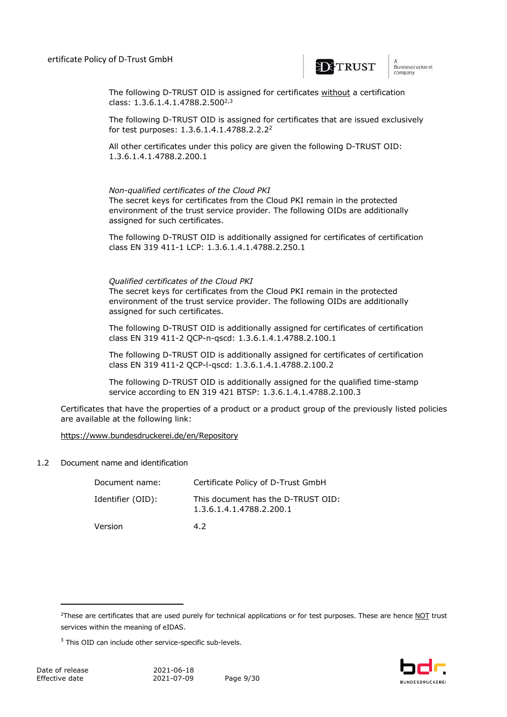

The following D-TRUST OID is assigned for certificates without a certification class:  $1.3.6.1.4.1.4788.2.500^{2.3}$ 

The following D-TRUST OID is assigned for certificates that are issued exclusively for test purposes: 1.3.6.1.4.1.4788.2.2.2<sup>2</sup>

All other certificates under this policy are given the following D-TRUST OID: 1.3.6.1.4.1.4788.2.200.1

#### *Non-qualified certificates of the Cloud PKI*

The secret keys for certificates from the Cloud PKI remain in the protected environment of the trust service provider. The following OIDs are additionally assigned for such certificates.

The following D-TRUST OID is additionally assigned for certificates of certification class EN 319 411-1 LCP: 1.3.6.1.4.1.4788.2.250.1

#### *Qualified certificates of the Cloud PKI*

The secret keys for certificates from the Cloud PKI remain in the protected environment of the trust service provider. The following OIDs are additionally assigned for such certificates.

The following D-TRUST OID is additionally assigned for certificates of certification class EN 319 411-2 QCP-n-qscd: 1.3.6.1.4.1.4788.2.100.1

The following D-TRUST OID is additionally assigned for certificates of certification class EN 319 411-2 QCP-l-qscd: 1.3.6.1.4.1.4788.2.100.2

The following D-TRUST OID is additionally assigned for the qualified time-stamp service according to EN 319 421 BTSP: 1.3.6.1.4.1.4788.2.100.3

Certificates that have the properties of a product or a product group of the previously listed policies are available at the following link:

#### https://www.bundesdruckerei.de/en/Repository

#### 1.2 Document name and identification

| Document name:    | Certificate Policy of D-Trust GmbH                             |
|-------------------|----------------------------------------------------------------|
| Identifier (OID): | This document has the D-TRUST OID:<br>1.3.6.1.4.1.4788.2.200.1 |
| Version           | 47                                                             |



<sup>&</sup>lt;sup>2</sup>These are certificates that are used purely for technical applications or for test purposes. These are hence NOT trust services within the meaning of eIDAS.

<sup>&</sup>lt;sup>3</sup> This OID can include other service-specific sub-levels.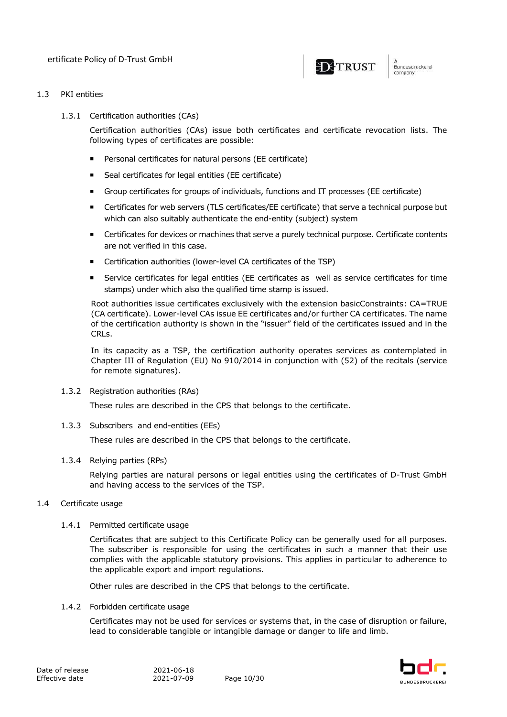

#### 1.3 PKI entities

1.3.1 Certification authorities (CAs)

Certification authorities (CAs) issue both certificates and certificate revocation lists. The following types of certificates are possible:

- ¡ Personal certificates for natural persons (EE certificate)
- ¡ Seal certificates for legal entities (EE certificate)
- ¡ Group certificates for groups of individuals, functions and IT processes (EE certificate)
- ¡ Certificates for web servers (TLS certificates/EE certificate) that serve a technical purpose but which can also suitably authenticate the end-entity (subject) system
- ¡ Certificates for devices or machines that serve a purely technical purpose. Certificate contents are not verified in this case.
- ¡ Certification authorities (lower-level CA certificates of the TSP)
- ¡ Service certificates for legal entities (EE certificates as well as service certificates for time stamps) under which also the qualified time stamp is issued.

Root authorities issue certificates exclusively with the extension basicConstraints: CA=TRUE (CA certificate). Lower-level CAs issue EE certificates and/or further CA certificates. The name of the certification authority is shown in the "issuer" field of the certificates issued and in the CRLs.

In its capacity as a TSP, the certification authority operates services as contemplated in Chapter III of Regulation (EU) No 910/2014 in conjunction with (52) of the recitals (service for remote signatures).

1.3.2 Registration authorities (RAs)

These rules are described in the CPS that belongs to the certificate.

1.3.3 Subscribers and end-entities (EEs)

These rules are described in the CPS that belongs to the certificate.

### 1.3.4 Relying parties (RPs)

Relying parties are natural persons or legal entities using the certificates of D-Trust GmbH and having access to the services of the TSP.

### 1.4 Certificate usage

1.4.1 Permitted certificate usage

Certificates that are subject to this Certificate Policy can be generally used for all purposes. The subscriber is responsible for using the certificates in such a manner that their use complies with the applicable statutory provisions. This applies in particular to adherence to the applicable export and import regulations.

Other rules are described in the CPS that belongs to the certificate.

1.4.2 Forbidden certificate usage

Certificates may not be used for services or systems that, in the case of disruption or failure, lead to considerable tangible or intangible damage or danger to life and limb.

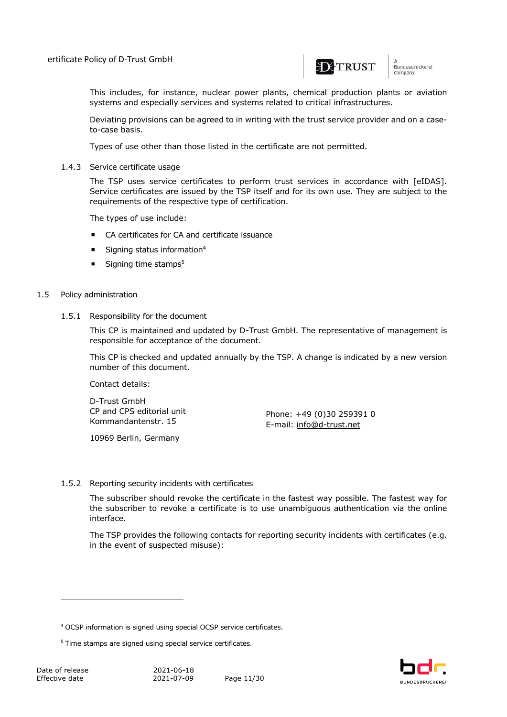

n<br>Bundesdruckerei company

This includes, for instance, nuclear power plants, chemical production plants or aviation systems and especially services and systems related to critical infrastructures.

Deviating provisions can be agreed to in writing with the trust service provider and on a caseto-case basis.

Types of use other than those listed in the certificate are not permitted.

1.4.3 Service certificate usage

The TSP uses service certificates to perform trust services in accordance with [eIDAS]. Service certificates are issued by the TSP itself and for its own use. They are subject to the requirements of the respective type of certification.

The types of use include:

- CA certificates for CA and certificate issuance
- $\blacksquare$  Signing status information<sup>4</sup>
- $\blacksquare$  Signing time stamps<sup>5</sup>

#### 1.5 Policy administration

1.5.1 Responsibility for the document

This CP is maintained and updated by D-Trust GmbH. The representative of management is responsible for acceptance of the document.

This CP is checked and updated annually by the TSP. A change is indicated by a new version number of this document.

Contact details:

D-Trust GmbH CP and CPS editorial unit Kommandantenstr. 15

10969 Berlin, Germany

Phone: +49 (0)30 259391 0 E-mail: info@d-trust.net

#### 1.5.2 Reporting security incidents with certificates

The subscriber should revoke the certificate in the fastest way possible. The fastest way for the subscriber to revoke a certificate is to use unambiguous authentication via the online interface.

The TSP provides the following contacts for reporting security incidents with certificates (e.g. in the event of suspected misuse):



<sup>4</sup> OCSP information is signed using special OCSP service certificates.

<sup>&</sup>lt;sup>5</sup> Time stamps are signed using special service certificates.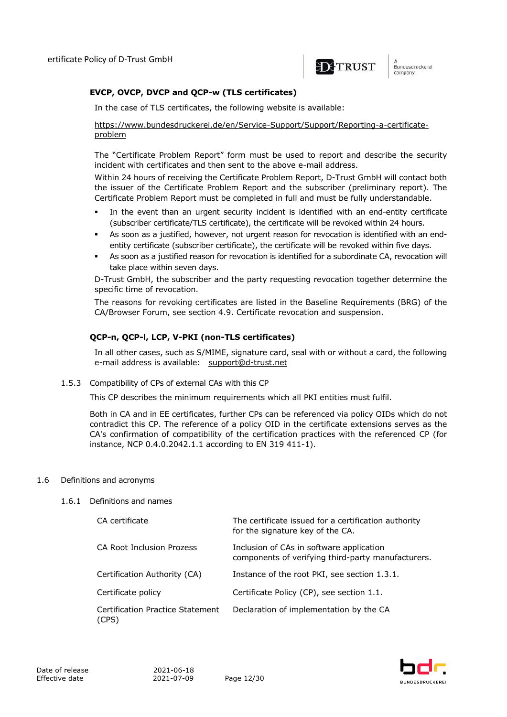

Bundesdruckerel company

#### **EVCP, OVCP, DVCP and QCP-w (TLS certificates)**

In the case of TLS certificates, the following website is available:

https://www.bundesdruckerei.de/en/Service-Support/Support/Reporting-a-certificateproblem

The "Certificate Problem Report" form must be used to report and describe the security incident with certificates and then sent to the above e-mail address.

Within 24 hours of receiving the Certificate Problem Report, D-Trust GmbH will contact both the issuer of the Certificate Problem Report and the subscriber (preliminary report). The Certificate Problem Report must be completed in full and must be fully understandable.

- In the event than an urgent security incident is identified with an end-entity certificate (subscriber certificate/TLS certificate), the certificate will be revoked within 24 hours.
- As soon as a justified, however, not urgent reason for revocation is identified with an endentity certificate (subscriber certificate), the certificate will be revoked within five days.
- As soon as a justified reason for revocation is identified for a subordinate CA, revocation will take place within seven days.

D-Trust GmbH, the subscriber and the party requesting revocation together determine the specific time of revocation.

The reasons for revoking certificates are listed in the Baseline Requirements (BRG) of the CA/Browser Forum, see section 4.9. Certificate revocation and suspension.

### **QCP-n, QCP-l, LCP, V-PKI (non-TLS certificates)**

In all other cases, such as S/MIME, signature card, seal with or without a card, the following e-mail address is available: support@d-trust.net

1.5.3 Compatibility of CPs of external CAs with this CP

This CP describes the minimum requirements which all PKI entities must fulfil.

Both in CA and in EE certificates, further CPs can be referenced via policy OIDs which do not contradict this CP. The reference of a policy OID in the certificate extensions serves as the CA's confirmation of compatibility of the certification practices with the referenced CP (for instance, NCP 0.4.0.2042.1.1 according to EN 319 411-1).

#### 1.6 Definitions and acronyms

#### 1.6.1 Definitions and names

| CA certificate                            | The certificate issued for a certification authority<br>for the signature key of the CA.       |
|-------------------------------------------|------------------------------------------------------------------------------------------------|
| <b>CA Root Inclusion Prozess</b>          | Inclusion of CAs in software application<br>components of verifying third-party manufacturers. |
| Certification Authority (CA)              | Instance of the root PKI, see section 1.3.1.                                                   |
| Certificate policy                        | Certificate Policy (CP), see section 1.1.                                                      |
| Certification Practice Statement<br>(CPS) | Declaration of implementation by the CA                                                        |

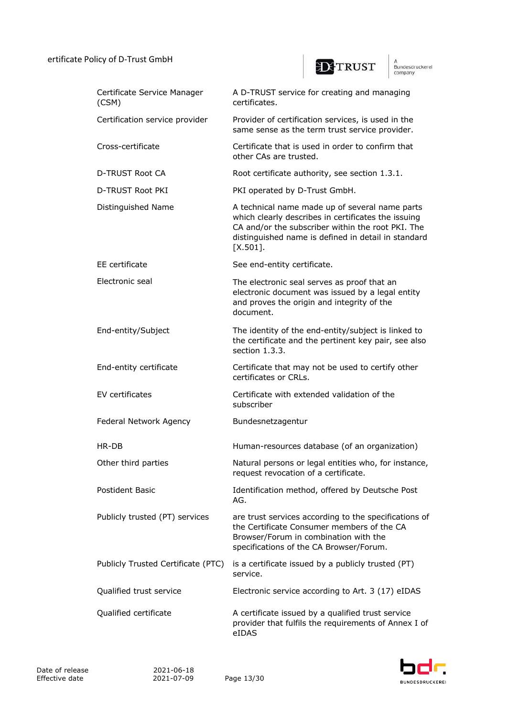## ertificate Policy of D-Trust GmbH



A<br>Bundesdruckerel<br>company

| Certificate Service Manager<br>(CSM) | A D-TRUST service for creating and managing<br>certificates.                                                                                                                                                                     |
|--------------------------------------|----------------------------------------------------------------------------------------------------------------------------------------------------------------------------------------------------------------------------------|
| Certification service provider       | Provider of certification services, is used in the<br>same sense as the term trust service provider.                                                                                                                             |
| Cross-certificate                    | Certificate that is used in order to confirm that<br>other CAs are trusted.                                                                                                                                                      |
| D-TRUST Root CA                      | Root certificate authority, see section 1.3.1.                                                                                                                                                                                   |
| D-TRUST Root PKI                     | PKI operated by D-Trust GmbH.                                                                                                                                                                                                    |
| Distinguished Name                   | A technical name made up of several name parts<br>which clearly describes in certificates the issuing<br>CA and/or the subscriber within the root PKI. The<br>distinguished name is defined in detail in standard<br>$[X.501]$ . |
| EE certificate                       | See end-entity certificate.                                                                                                                                                                                                      |
| Electronic seal                      | The electronic seal serves as proof that an<br>electronic document was issued by a legal entity<br>and proves the origin and integrity of the<br>document.                                                                       |
| End-entity/Subject                   | The identity of the end-entity/subject is linked to<br>the certificate and the pertinent key pair, see also<br>section $1.3.3$ .                                                                                                 |
| End-entity certificate               | Certificate that may not be used to certify other<br>certificates or CRLs.                                                                                                                                                       |
| EV certificates                      | Certificate with extended validation of the<br>subscriber                                                                                                                                                                        |
| Federal Network Agency               | Bundesnetzagentur                                                                                                                                                                                                                |
| HR-DB                                | Human-resources database (of an organization)                                                                                                                                                                                    |
| Other third parties                  | Natural persons or legal entities who, for instance,<br>request revocation of a certificate.                                                                                                                                     |
| Postident Basic                      | Identification method, offered by Deutsche Post<br>AG.                                                                                                                                                                           |
| Publicly trusted (PT) services       | are trust services according to the specifications of<br>the Certificate Consumer members of the CA<br>Browser/Forum in combination with the<br>specifications of the CA Browser/Forum.                                          |
| Publicly Trusted Certificate (PTC)   | is a certificate issued by a publicly trusted (PT)<br>service.                                                                                                                                                                   |
| Qualified trust service              | Electronic service according to Art. 3 (17) eIDAS                                                                                                                                                                                |
| Qualified certificate                | A certificate issued by a qualified trust service<br>provider that fulfils the requirements of Annex I of<br>eIDAS                                                                                                               |

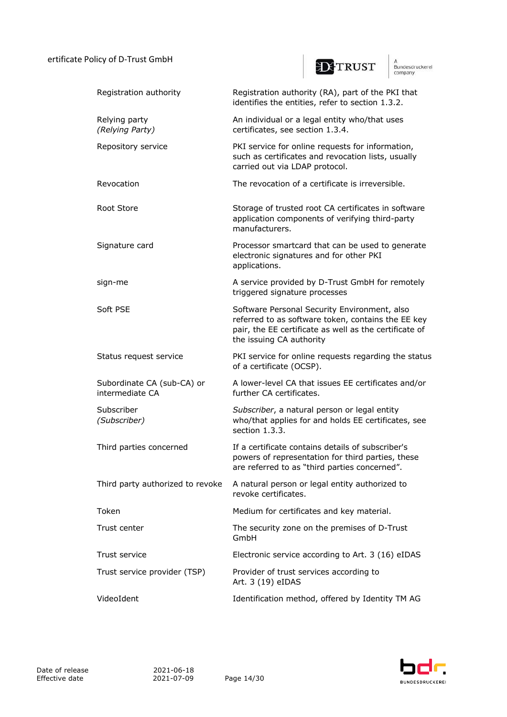## ertificate Policy of D-Trust GmbH



A<br>Bundesdruckerel<br>company

| Registration authority                        | Registration authority (RA), part of the PKI that<br>identifies the entities, refer to section 1.3.2.                                                                                    |
|-----------------------------------------------|------------------------------------------------------------------------------------------------------------------------------------------------------------------------------------------|
| Relying party<br>(Relying Party)              | An individual or a legal entity who/that uses<br>certificates, see section 1.3.4.                                                                                                        |
| Repository service                            | PKI service for online requests for information,<br>such as certificates and revocation lists, usually<br>carried out via LDAP protocol.                                                 |
| Revocation                                    | The revocation of a certificate is irreversible.                                                                                                                                         |
| Root Store                                    | Storage of trusted root CA certificates in software<br>application components of verifying third-party<br>manufacturers.                                                                 |
| Signature card                                | Processor smartcard that can be used to generate<br>electronic signatures and for other PKI<br>applications.                                                                             |
| sign-me                                       | A service provided by D-Trust GmbH for remotely<br>triggered signature processes                                                                                                         |
| Soft PSE                                      | Software Personal Security Environment, also<br>referred to as software token, contains the EE key<br>pair, the EE certificate as well as the certificate of<br>the issuing CA authority |
| Status request service                        | PKI service for online requests regarding the status<br>of a certificate (OCSP).                                                                                                         |
| Subordinate CA (sub-CA) or<br>intermediate CA | A lower-level CA that issues EE certificates and/or<br>further CA certificates.                                                                                                          |
| Subscriber<br>(Subscriber)                    | Subscriber, a natural person or legal entity<br>who/that applies for and holds EE certificates, see<br>section 1.3.3.                                                                    |
| Third parties concerned                       | If a certificate contains details of subscriber's<br>powers of representation for third parties, these<br>are referred to as "third parties concerned"                                   |
| Third party authorized to revoke              | A natural person or legal entity authorized to<br>revoke certificates.                                                                                                                   |
| Token                                         | Medium for certificates and key material.                                                                                                                                                |
| Trust center                                  | The security zone on the premises of D-Trust<br>GmbH                                                                                                                                     |
| Trust service                                 | Electronic service according to Art. 3 (16) eIDAS                                                                                                                                        |
| Trust service provider (TSP)                  | Provider of trust services according to<br>Art. 3 (19) eIDAS                                                                                                                             |
| VideoIdent                                    | Identification method, offered by Identity TM AG                                                                                                                                         |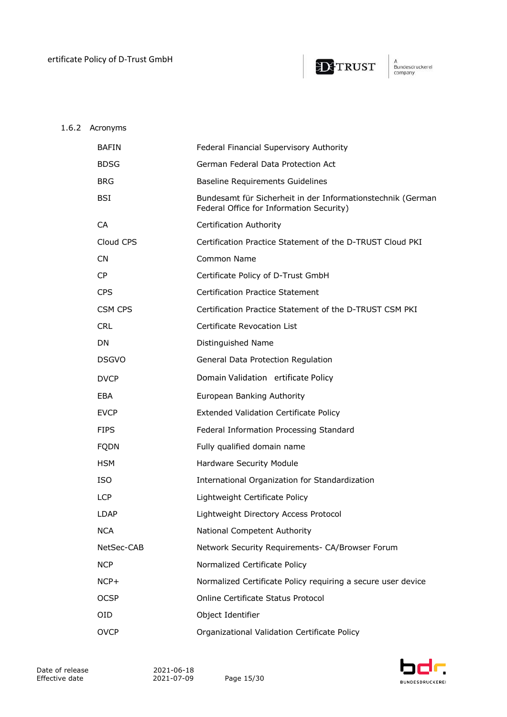

## 1.6.2 Acronyms

| <b>BAFIN</b> | Federal Financial Supervisory Authority                                                                 |
|--------------|---------------------------------------------------------------------------------------------------------|
| <b>BDSG</b>  | German Federal Data Protection Act                                                                      |
| <b>BRG</b>   | Baseline Requirements Guidelines                                                                        |
| BSI          | Bundesamt für Sicherheit in der Informationstechnik (German<br>Federal Office for Information Security) |
| CA           | Certification Authority                                                                                 |
| Cloud CPS    | Certification Practice Statement of the D-TRUST Cloud PKI                                               |
| CN.          | Common Name                                                                                             |
| <b>CP</b>    | Certificate Policy of D-Trust GmbH                                                                      |
| <b>CPS</b>   | <b>Certification Practice Statement</b>                                                                 |
| CSM CPS      | Certification Practice Statement of the D-TRUST CSM PKI                                                 |
| <b>CRL</b>   | Certificate Revocation List                                                                             |
| DN.          | Distinguished Name                                                                                      |
| <b>DSGVO</b> | General Data Protection Regulation                                                                      |
| <b>DVCP</b>  | Domain Validation ertificate Policy                                                                     |
| <b>EBA</b>   | European Banking Authority                                                                              |
| <b>EVCP</b>  | <b>Extended Validation Certificate Policy</b>                                                           |
| <b>FIPS</b>  | Federal Information Processing Standard                                                                 |
| <b>FQDN</b>  | Fully qualified domain name                                                                             |
| <b>HSM</b>   | Hardware Security Module                                                                                |
| <b>ISO</b>   | International Organization for Standardization                                                          |
| LCP          | Lightweight Certificate Policy                                                                          |
| LDAP         | Lightweight Directory Access Protocol                                                                   |
| <b>NCA</b>   | National Competent Authority                                                                            |
| NetSec-CAB   | Network Security Requirements- CA/Browser Forum                                                         |
| <b>NCP</b>   | Normalized Certificate Policy                                                                           |
| NCP+         | Normalized Certificate Policy requiring a secure user device                                            |
| <b>OCSP</b>  | Online Certificate Status Protocol                                                                      |
| 0ID          | Object Identifier                                                                                       |
| <b>OVCP</b>  | Organizational Validation Certificate Policy                                                            |

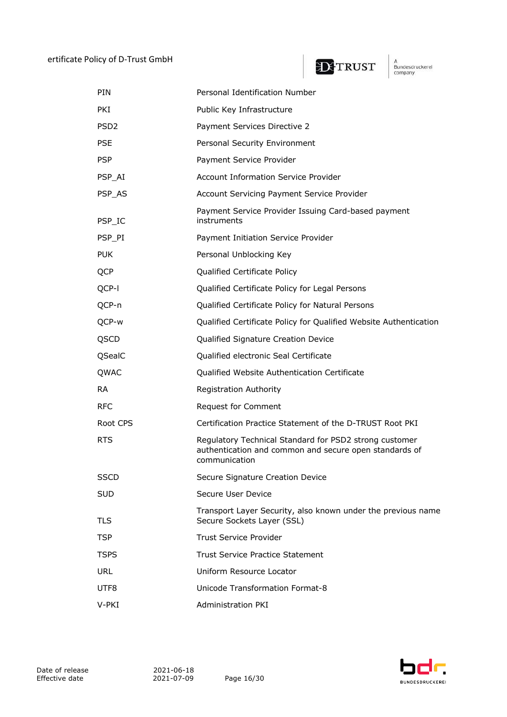

A<br>Bundesdruckerel<br>company

| <b>PIN</b>       | Personal Identification Number                                                                                                    |
|------------------|-----------------------------------------------------------------------------------------------------------------------------------|
| <b>PKI</b>       | Public Key Infrastructure                                                                                                         |
| PSD <sub>2</sub> | Payment Services Directive 2                                                                                                      |
| <b>PSE</b>       | Personal Security Environment                                                                                                     |
| <b>PSP</b>       | Payment Service Provider                                                                                                          |
| PSP_AI           | <b>Account Information Service Provider</b>                                                                                       |
| PSP_AS           | Account Servicing Payment Service Provider                                                                                        |
| PSP_IC           | Payment Service Provider Issuing Card-based payment<br>instruments                                                                |
| PSP_PI           | Payment Initiation Service Provider                                                                                               |
| <b>PUK</b>       | Personal Unblocking Key                                                                                                           |
| <b>QCP</b>       | Qualified Certificate Policy                                                                                                      |
| QCP-I            | Qualified Certificate Policy for Legal Persons                                                                                    |
| QCP-n            | Qualified Certificate Policy for Natural Persons                                                                                  |
| QCP-w            | Qualified Certificate Policy for Qualified Website Authentication                                                                 |
| QSCD             | Qualified Signature Creation Device                                                                                               |
| QSealC           | Qualified electronic Seal Certificate                                                                                             |
| QWAC             | Qualified Website Authentication Certificate                                                                                      |
| <b>RA</b>        | Registration Authority                                                                                                            |
| <b>RFC</b>       | Request for Comment                                                                                                               |
| Root CPS         | Certification Practice Statement of the D-TRUST Root PKI                                                                          |
| <b>RTS</b>       | Regulatory Technical Standard for PSD2 strong customer<br>authentication and common and secure open standards of<br>communication |
| <b>SSCD</b>      | Secure Signature Creation Device                                                                                                  |
| <b>SUD</b>       | Secure User Device                                                                                                                |
| TLS              | Transport Layer Security, also known under the previous name<br>Secure Sockets Layer (SSL)                                        |
| <b>TSP</b>       | <b>Trust Service Provider</b>                                                                                                     |
| <b>TSPS</b>      | <b>Trust Service Practice Statement</b>                                                                                           |
| <b>URL</b>       | Uniform Resource Locator                                                                                                          |
| UTF8             | <b>Unicode Transformation Format-8</b>                                                                                            |
| V-PKI            | <b>Administration PKI</b>                                                                                                         |

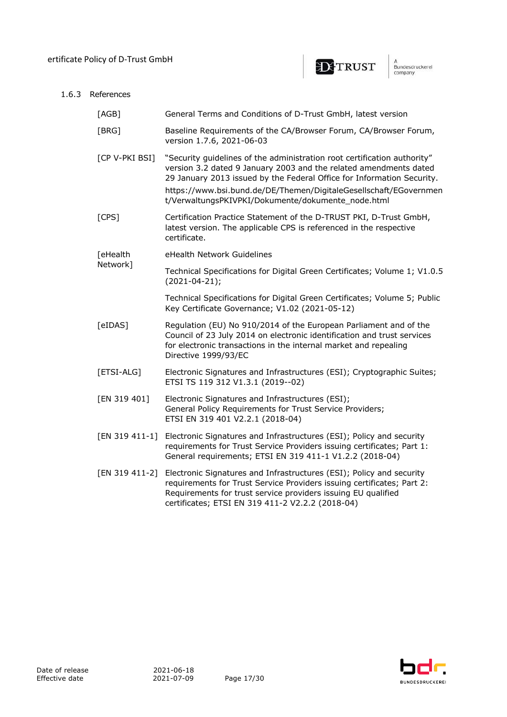$1.6.3$ 



|  | References     |                                                                                                                                                                                                                                                                                                                                                    |  |
|--|----------------|----------------------------------------------------------------------------------------------------------------------------------------------------------------------------------------------------------------------------------------------------------------------------------------------------------------------------------------------------|--|
|  | [AGB]          | General Terms and Conditions of D-Trust GmbH, latest version                                                                                                                                                                                                                                                                                       |  |
|  | [BRG]          | Baseline Requirements of the CA/Browser Forum, CA/Browser Forum,<br>version 1.7.6, 2021-06-03                                                                                                                                                                                                                                                      |  |
|  | [CP V-PKI BSI] | "Security guidelines of the administration root certification authority"<br>version 3.2 dated 9 January 2003 and the related amendments dated<br>29 January 2013 issued by the Federal Office for Information Security.<br>https://www.bsi.bund.de/DE/Themen/DigitaleGesellschaft/EGovernmen<br>t/VerwaltungsPKIVPKI/Dokumente/dokumente_node.html |  |
|  | [CPS]          | Certification Practice Statement of the D-TRUST PKI, D-Trust GmbH,<br>latest version. The applicable CPS is referenced in the respective<br>certificate.                                                                                                                                                                                           |  |
|  | [eHealth       | eHealth Network Guidelines                                                                                                                                                                                                                                                                                                                         |  |
|  | Network]       | Technical Specifications for Digital Green Certificates; Volume 1; V1.0.5<br>$(2021 - 04 - 21);$                                                                                                                                                                                                                                                   |  |
|  |                | Technical Specifications for Digital Green Certificates; Volume 5; Public<br>Key Certificate Governance; V1.02 (2021-05-12)                                                                                                                                                                                                                        |  |
|  | [eIDAS]        | Regulation (EU) No 910/2014 of the European Parliament and of the<br>Council of 23 July 2014 on electronic identification and trust services<br>for electronic transactions in the internal market and repealing<br>Directive 1999/93/EC                                                                                                           |  |
|  | [ETSI-ALG]     | Electronic Signatures and Infrastructures (ESI); Cryptographic Suites;<br>ETSI TS 119 312 V1.3.1 (2019--02)                                                                                                                                                                                                                                        |  |
|  | [EN 319 401]   | Electronic Signatures and Infrastructures (ESI);<br>General Policy Requirements for Trust Service Providers;<br>ETSI EN 319 401 V2.2.1 (2018-04)                                                                                                                                                                                                   |  |
|  | [EN 319 411-1] | Electronic Signatures and Infrastructures (ESI); Policy and security<br>requirements for Trust Service Providers issuing certificates; Part 1:<br>General requirements; ETSI EN 319 411-1 V1.2.2 (2018-04)                                                                                                                                         |  |
|  | [EN 319 411-2] | Electronic Signatures and Infrastructures (ESI); Policy and security<br>requirements for Trust Service Providers issuing certificates; Part 2:<br>Requirements for trust service providers issuing EU qualified<br>certificates; ETSI EN 319 411-2 V2.2.2 (2018-04)                                                                                |  |

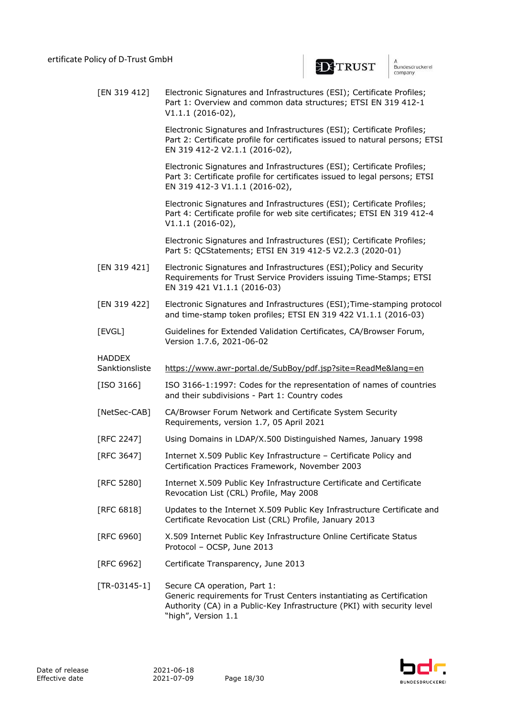

n<br>Bundesdruckerei company

[EN 319 412] Electronic Signatures and Infrastructures (ESI); Certificate Profiles; Part 1: Overview and common data structures; ETSI EN 319 412-1 V1.1.1 (2016-02), Electronic Signatures and Infrastructures (ESI); Certificate Profiles; Part 2: Certificate profile for certificates issued to natural persons; ETSI EN 319 412-2 V2.1.1 (2016-02), Electronic Signatures and Infrastructures (ESI); Certificate Profiles; Part 3: Certificate profile for certificates issued to legal persons; ETSI EN 319 412-3 V1.1.1 (2016-02), Electronic Signatures and Infrastructures (ESI); Certificate Profiles; Part 4: Certificate profile for web site certificates; ETSI EN 319 412-4 V1.1.1 (2016-02), Electronic Signatures and Infrastructures (ESI); Certificate Profiles; Part 5: QCStatements; ETSI EN 319 412-5 V2.2.3 (2020-01) [EN 319 421] Electronic Signatures and Infrastructures (ESI);Policy and Security Requirements for Trust Service Providers issuing Time-Stamps; ETSI EN 319 421 V1.1.1 (2016-03) [EN 319 422] Electronic Signatures and Infrastructures (ESI);Time-stamping protocol and time-stamp token profiles; ETSI EN 319 422 V1.1.1 (2016-03) [EVGL] Guidelines for Extended Validation Certificates, CA/Browser Forum, Version 1.7.6, 2021-06-02 HADDEX Sanktionsliste https://www.awr-portal.de/SubBoy/pdf.jsp?site=ReadMe&lang=en [ISO 3166] ISO 3166-1:1997: Codes for the representation of names of countries and their subdivisions - Part 1: Country codes [NetSec-CAB] CA/Browser Forum Network and Certificate System Security Requirements, version 1.7, 05 April 2021 [RFC 2247] Using Domains in LDAP/X.500 Distinguished Names, January 1998 [RFC 3647] Internet X.509 Public Key Infrastructure – Certificate Policy and Certification Practices Framework, November 2003 [RFC 5280] Internet X.509 Public Key Infrastructure Certificate and Certificate Revocation List (CRL) Profile, May 2008 [RFC 6818] Updates to the Internet X.509 Public Key Infrastructure Certificate and Certificate Revocation List (CRL) Profile, January 2013 [RFC 6960] X.509 Internet Public Key Infrastructure Online Certificate Status Protocol – OCSP, June 2013 [RFC 6962] Certificate Transparency, June 2013 [TR-03145-1] Secure CA operation, Part 1: Generic requirements for Trust Centers instantiating as Certification Authority (CA) in a Public-Key Infrastructure (PKI) with security level "high", Version 1.1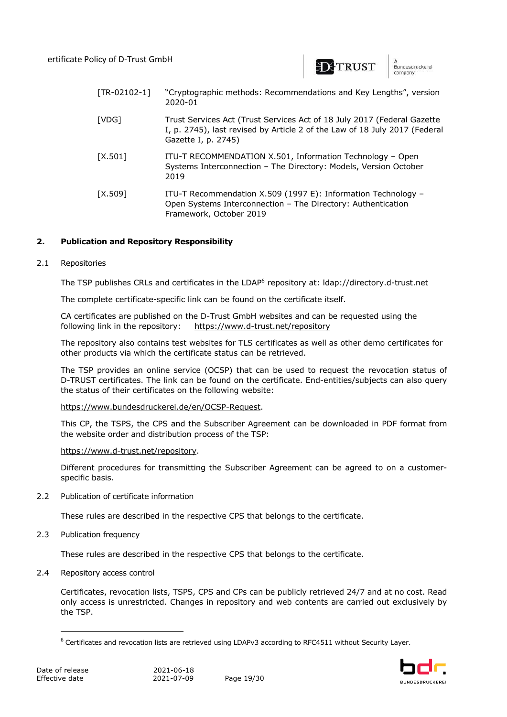

Bundesdruckerel company

| $[TR-02102-1]$ | "Cryptographic methods: Recommendations and Key Lengths", version<br>2020-01                                                                                                 |
|----------------|------------------------------------------------------------------------------------------------------------------------------------------------------------------------------|
| [VDG]          | Trust Services Act (Trust Services Act of 18 July 2017 (Federal Gazette<br>I, p. 2745), last revised by Article 2 of the Law of 18 July 2017 (Federal<br>Gazette I, p. 2745) |
| $[X.501]$      | ITU-T RECOMMENDATION X.501, Information Technology - Open<br>Systems Interconnection - The Directory: Models, Version October<br>2019                                        |
| [X.509]        | ITU-T Recommendation X.509 (1997 E): Information Technology -<br>Open Systems Interconnection - The Directory: Authentication<br>Framework, October 2019                     |

## **2. Publication and Repository Responsibility**

#### 2.1 Repositories

The TSP publishes CRLs and certificates in the LDAP<sup>6</sup> repository at: Idap://directory.d-trust.net

The complete certificate-specific link can be found on the certificate itself.

CA certificates are published on the D-Trust GmbH websites and can be requested using the following link in the repository: https://www.d-trust.net/repository

The repository also contains test websites for TLS certificates as well as other demo certificates for other products via which the certificate status can be retrieved.

The TSP provides an online service (OCSP) that can be used to request the revocation status of D-TRUST certificates. The link can be found on the certificate. End-entities/subjects can also query the status of their certificates on the following website:

https://www.bundesdruckerei.de/en/OCSP-Request.

This CP, the TSPS, the CPS and the Subscriber Agreement can be downloaded in PDF format from the website order and distribution process of the TSP:

#### https://www.d-trust.net/repository.

Different procedures for transmitting the Subscriber Agreement can be agreed to on a customerspecific basis.

2.2 Publication of certificate information

These rules are described in the respective CPS that belongs to the certificate.

2.3 Publication frequency

These rules are described in the respective CPS that belongs to the certificate.

2.4 Repository access control

Certificates, revocation lists, TSPS, CPS and CPs can be publicly retrieved 24/7 and at no cost. Read only access is unrestricted. Changes in repository and web contents are carried out exclusively by the TSP.



 $6$  Certificates and revocation lists are retrieved using LDAPv3 according to RFC4511 without Security Layer.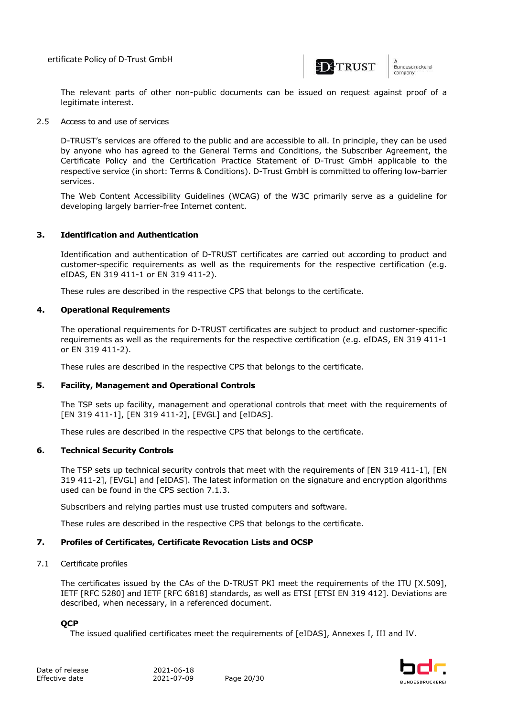ertificate Policy of D-Trust GmbH



n<br>Bundesdruckerei company

The relevant parts of other non-public documents can be issued on request against proof of a legitimate interest.

2.5 Access to and use of services

D-TRUST's services are offered to the public and are accessible to all. In principle, they can be used by anyone who has agreed to the General Terms and Conditions, the Subscriber Agreement, the Certificate Policy and the Certification Practice Statement of D-Trust GmbH applicable to the respective service (in short: Terms & Conditions). D-Trust GmbH is committed to offering low-barrier services.

The Web Content Accessibility Guidelines (WCAG) of the W3C primarily serve as a guideline for developing largely barrier-free Internet content.

#### **3. Identification and Authentication**

Identification and authentication of D-TRUST certificates are carried out according to product and customer-specific requirements as well as the requirements for the respective certification (e.g. eIDAS, EN 319 411-1 or EN 319 411-2).

These rules are described in the respective CPS that belongs to the certificate.

#### **4. Operational Requirements**

The operational requirements for D-TRUST certificates are subject to product and customer-specific requirements as well as the requirements for the respective certification (e.g. eIDAS, EN 319 411-1 or EN 319 411-2).

These rules are described in the respective CPS that belongs to the certificate.

### **5. Facility, Management and Operational Controls**

The TSP sets up facility, management and operational controls that meet with the requirements of [EN 319 411-1], [EN 319 411-2], [EVGL] and [eIDAS].

These rules are described in the respective CPS that belongs to the certificate.

### **6. Technical Security Controls**

The TSP sets up technical security controls that meet with the requirements of [EN 319 411-1], [EN 319 411-2], [EVGL] and [eIDAS]. The latest information on the signature and encryption algorithms used can be found in the CPS section 7.1.3.

Subscribers and relying parties must use trusted computers and software.

These rules are described in the respective CPS that belongs to the certificate.

#### **7. Profiles of Certificates, Certificate Revocation Lists and OCSP**

#### 7.1 Certificate profiles

The certificates issued by the CAs of the D-TRUST PKI meet the requirements of the ITU [X.509], IETF [RFC 5280] and IETF [RFC 6818] standards, as well as ETSI [ETSI EN 319 412]. Deviations are described, when necessary, in a referenced document.

**QCP**

The issued qualified certificates meet the requirements of [eIDAS], Annexes I, III and IV.

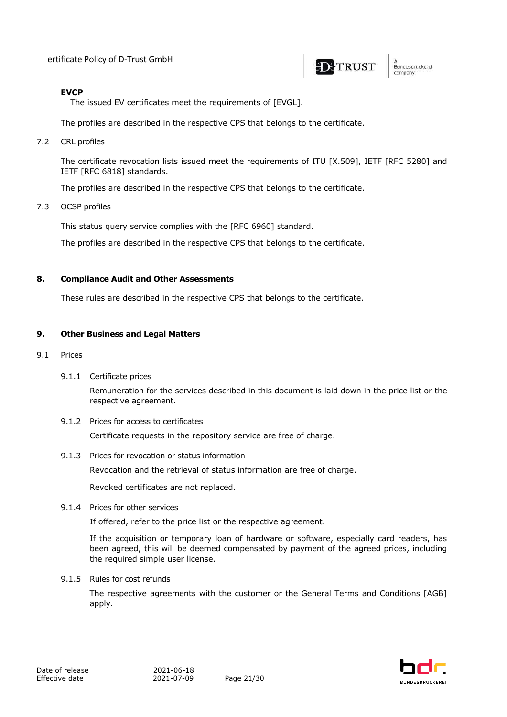

.<br>Bundesdruckerei company

## **EVCP**

The issued EV certificates meet the requirements of [EVGL].

The profiles are described in the respective CPS that belongs to the certificate.

7.2 CRL profiles

The certificate revocation lists issued meet the requirements of ITU [X.509], IETF [RFC 5280] and IETF [RFC 6818] standards.

The profiles are described in the respective CPS that belongs to the certificate.

7.3 OCSP profiles

This status query service complies with the [RFC 6960] standard.

The profiles are described in the respective CPS that belongs to the certificate.

#### **8. Compliance Audit and Other Assessments**

These rules are described in the respective CPS that belongs to the certificate.

## **9. Other Business and Legal Matters**

- 9.1 Prices
	- 9.1.1 Certificate prices

Remuneration for the services described in this document is laid down in the price list or the respective agreement.

9.1.2 Prices for access to certificates

Certificate requests in the repository service are free of charge.

9.1.3 Prices for revocation or status information

Revocation and the retrieval of status information are free of charge.

Revoked certificates are not replaced.

9.1.4 Prices for other services

If offered, refer to the price list or the respective agreement.

If the acquisition or temporary loan of hardware or software, especially card readers, has been agreed, this will be deemed compensated by payment of the agreed prices, including the required simple user license.

9.1.5 Rules for cost refunds

The respective agreements with the customer or the General Terms and Conditions [AGB] apply.

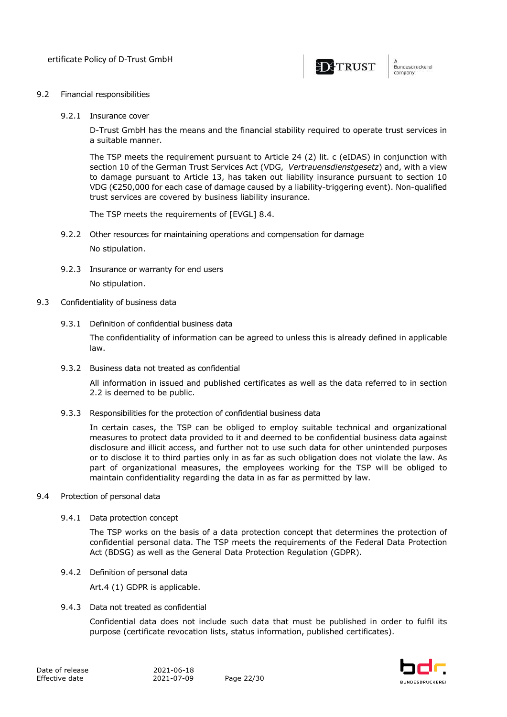

#### 9.2 Financial responsibilities

9.2.1 Insurance cover

D-Trust GmbH has the means and the financial stability required to operate trust services in a suitable manner.

The TSP meets the requirement pursuant to Article 24 (2) lit. c (eIDAS) in conjunction with section 10 of the German Trust Services Act (VDG, *Vertrauensdienstgesetz*) and, with a view to damage pursuant to Article 13, has taken out liability insurance pursuant to section 10 VDG (€250,000 for each case of damage caused by a liability-triggering event). Non-qualified trust services are covered by business liability insurance.

The TSP meets the requirements of [EVGL] 8.4.

- 9.2.2 Other resources for maintaining operations and compensation for damage No stipulation.
- 9.2.3 Insurance or warranty for end users No stipulation.
- 9.3 Confidentiality of business data
	- 9.3.1 Definition of confidential business data

The confidentiality of information can be agreed to unless this is already defined in applicable law.

9.3.2 Business data not treated as confidential

All information in issued and published certificates as well as the data referred to in section 2.2 is deemed to be public.

9.3.3 Responsibilities for the protection of confidential business data

In certain cases, the TSP can be obliged to employ suitable technical and organizational measures to protect data provided to it and deemed to be confidential business data against disclosure and illicit access, and further not to use such data for other unintended purposes or to disclose it to third parties only in as far as such obligation does not violate the law. As part of organizational measures, the employees working for the TSP will be obliged to maintain confidentiality regarding the data in as far as permitted by law.

- 9.4 Protection of personal data
	- 9.4.1 Data protection concept

The TSP works on the basis of a data protection concept that determines the protection of confidential personal data. The TSP meets the requirements of the Federal Data Protection Act (BDSG) as well as the General Data Protection Regulation (GDPR).

9.4.2 Definition of personal data

Art.4 (1) GDPR is applicable.

9.4.3 Data not treated as confidential

Confidential data does not include such data that must be published in order to fulfil its purpose (certificate revocation lists, status information, published certificates).

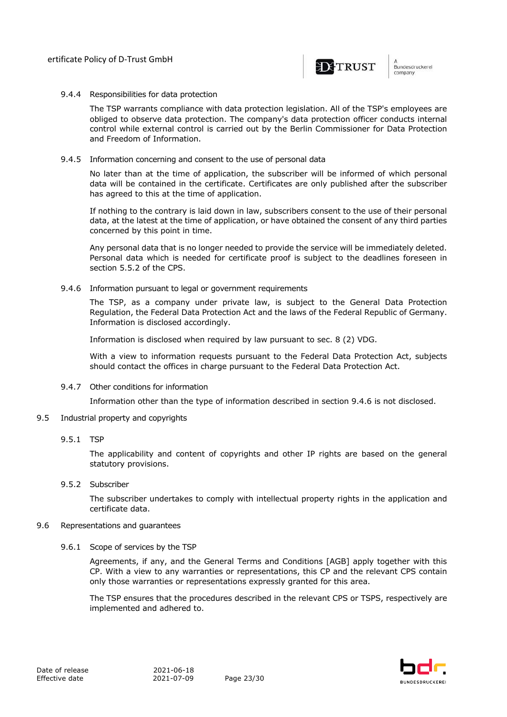

#### 9.4.4 Responsibilities for data protection

The TSP warrants compliance with data protection legislation. All of the TSP's employees are obliged to observe data protection. The company's data protection officer conducts internal control while external control is carried out by the Berlin Commissioner for Data Protection and Freedom of Information.

9.4.5 Information concerning and consent to the use of personal data

No later than at the time of application, the subscriber will be informed of which personal data will be contained in the certificate. Certificates are only published after the subscriber has agreed to this at the time of application.

If nothing to the contrary is laid down in law, subscribers consent to the use of their personal data, at the latest at the time of application, or have obtained the consent of any third parties concerned by this point in time.

Any personal data that is no longer needed to provide the service will be immediately deleted. Personal data which is needed for certificate proof is subject to the deadlines foreseen in section 5.5.2 of the CPS.

9.4.6 Information pursuant to legal or government requirements

The TSP, as a company under private law, is subject to the General Data Protection Regulation, the Federal Data Protection Act and the laws of the Federal Republic of Germany. Information is disclosed accordingly.

Information is disclosed when required by law pursuant to sec. 8 (2) VDG.

With a view to information requests pursuant to the Federal Data Protection Act, subjects should contact the offices in charge pursuant to the Federal Data Protection Act.

9.4.7 Other conditions for information

Information other than the type of information described in section 9.4.6 is not disclosed.

- 9.5 Industrial property and copyrights
	- 9.5.1 TSP

The applicability and content of copyrights and other IP rights are based on the general statutory provisions.

9.5.2 Subscriber

The subscriber undertakes to comply with intellectual property rights in the application and certificate data.

#### 9.6 Representations and guarantees

9.6.1 Scope of services by the TSP

Agreements, if any, and the General Terms and Conditions [AGB] apply together with this CP. With a view to any warranties or representations, this CP and the relevant CPS contain only those warranties or representations expressly granted for this area.

The TSP ensures that the procedures described in the relevant CPS or TSPS, respectively are implemented and adhered to.

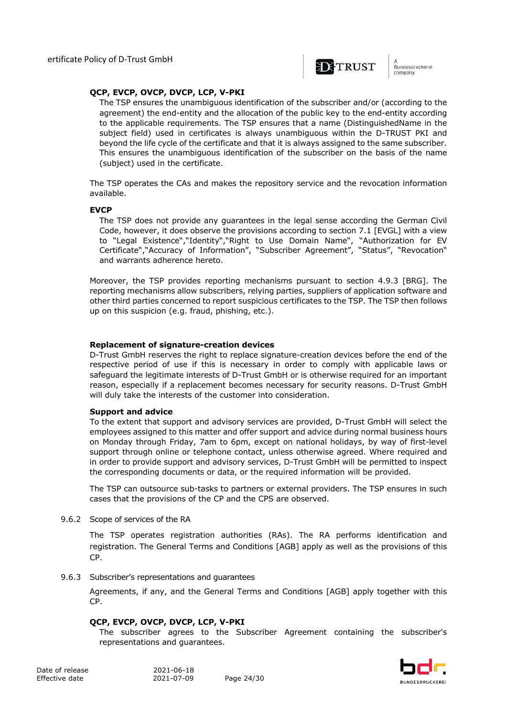

.<br>Bundesdruckerel company

#### **QCP, EVCP, OVCP, DVCP, LCP, V-PKI**

The TSP ensures the unambiguous identification of the subscriber and/or (according to the agreement) the end-entity and the allocation of the public key to the end-entity according to the applicable requirements. The TSP ensures that a name (DistinguishedName in the subject field) used in certificates is always unambiguous within the D-TRUST PKI and beyond the life cycle of the certificate and that it is always assigned to the same subscriber. This ensures the unambiguous identification of the subscriber on the basis of the name (subject) used in the certificate.

The TSP operates the CAs and makes the repository service and the revocation information available.

#### **EVCP**

The TSP does not provide any guarantees in the legal sense according the German Civil Code, however, it does observe the provisions according to section 7.1 [EVGL] with a view to "Legal Existence","Identity","Right to Use Domain Name", "Authorization for EV Certificate","Accuracy of Information", "Subscriber Agreement", "Status", "Revocation" and warrants adherence hereto.

Moreover, the TSP provides reporting mechanisms pursuant to section 4.9.3 [BRG]. The reporting mechanisms allow subscribers, relying parties, suppliers of application software and other third parties concerned to report suspicious certificates to the TSP. The TSP then follows up on this suspicion (e.g. fraud, phishing, etc.).

#### **Replacement of signature-creation devices**

D-Trust GmbH reserves the right to replace signature-creation devices before the end of the respective period of use if this is necessary in order to comply with applicable laws or safeguard the legitimate interests of D-Trust GmbH or is otherwise required for an important reason, especially if a replacement becomes necessary for security reasons. D-Trust GmbH will duly take the interests of the customer into consideration.

#### **Support and advice**

To the extent that support and advisory services are provided, D-Trust GmbH will select the employees assigned to this matter and offer support and advice during normal business hours on Monday through Friday, 7am to 6pm, except on national holidays, by way of first-level support through online or telephone contact, unless otherwise agreed. Where required and in order to provide support and advisory services, D-Trust GmbH will be permitted to inspect the corresponding documents or data, or the required information will be provided.

The TSP can outsource sub-tasks to partners or external providers. The TSP ensures in such cases that the provisions of the CP and the CPS are observed.

9.6.2 Scope of services of the RA

The TSP operates registration authorities (RAs). The RA performs identification and registration. The General Terms and Conditions [AGB] apply as well as the provisions of this CP.

9.6.3 Subscriber's representations and guarantees

Agreements, if any, and the General Terms and Conditions [AGB] apply together with this CP.

#### **QCP, EVCP, OVCP, DVCP, LCP, V-PKI**

The subscriber agrees to the Subscriber Agreement containing the subscriber's representations and guarantees.

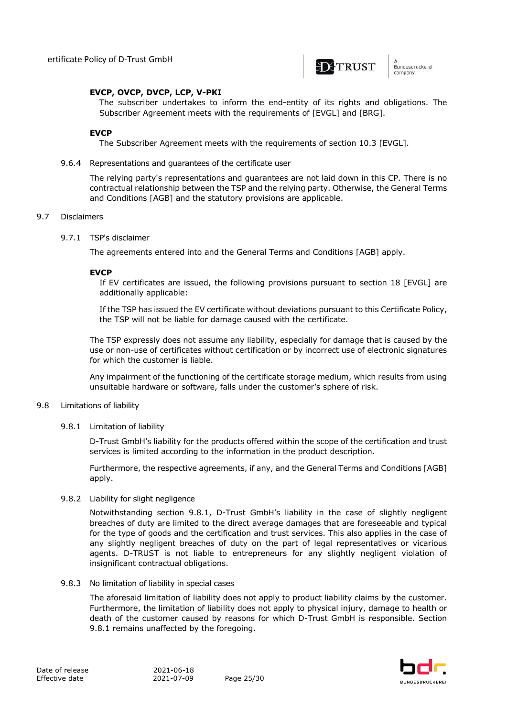

.<br>Bundesdruckerel company

#### **EVCP, OVCP, DVCP, LCP, V-PKI**

The subscriber undertakes to inform the end-entity of its rights and obligations. The Subscriber Agreement meets with the requirements of [EVGL] and [BRG].

#### **EVCP**

The Subscriber Agreement meets with the requirements of section 10.3 [EVGL].

9.6.4 Representations and guarantees of the certificate user

The relying party's representations and guarantees are not laid down in this CP. There is no contractual relationship between the TSP and the relying party. Otherwise, the General Terms and Conditions [AGB] and the statutory provisions are applicable.

#### 9.7 Disclaimers

#### 9.7.1 TSP's disclaimer

The agreements entered into and the General Terms and Conditions [AGB] apply.

#### **EVCP**

If EV certificates are issued, the following provisions pursuant to section 18 [EVGL] are additionally applicable:

If the TSP has issued the EV certificate without deviations pursuant to this Certificate Policy, the TSP will not be liable for damage caused with the certificate.

The TSP expressly does not assume any liability, especially for damage that is caused by the use or non-use of certificates without certification or by incorrect use of electronic signatures for which the customer is liable.

Any impairment of the functioning of the certificate storage medium, which results from using unsuitable hardware or software, falls under the customer's sphere of risk.

#### 9.8 Limitations of liability

9.8.1 Limitation of liability

D-Trust GmbH's liability for the products offered within the scope of the certification and trust services is limited according to the information in the product description.

Furthermore, the respective agreements, if any, and the General Terms and Conditions [AGB] apply.

#### 9.8.2 Liability for slight negligence

Notwithstanding section 9.8.1, D-Trust GmbH's liability in the case of slightly negligent breaches of duty are limited to the direct average damages that are foreseeable and typical for the type of goods and the certification and trust services. This also applies in the case of any slightly negligent breaches of duty on the part of legal representatives or vicarious agents. D-TRUST is not liable to entrepreneurs for any slightly negligent violation of insignificant contractual obligations.

9.8.3 No limitation of liability in special cases

The aforesaid limitation of liability does not apply to product liability claims by the customer. Furthermore, the limitation of liability does not apply to physical injury, damage to health or death of the customer caused by reasons for which D-Trust GmbH is responsible. Section 9.8.1 remains unaffected by the foregoing.

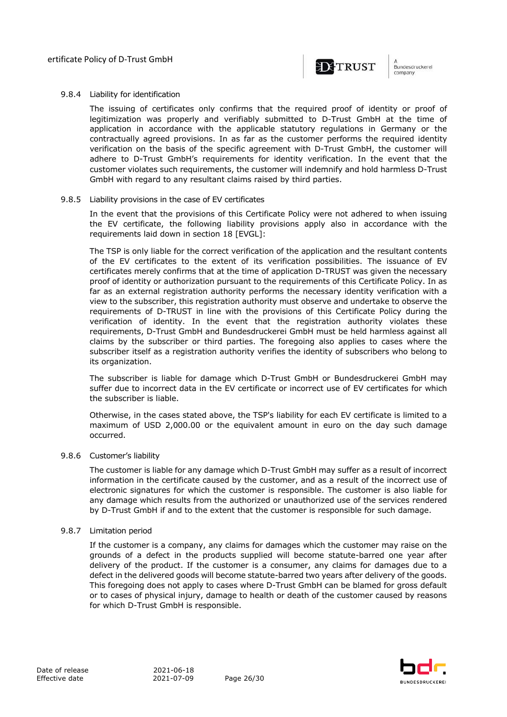

.<br>Bundesdruckerel company

#### 9.8.4 Liability for identification

The issuing of certificates only confirms that the required proof of identity or proof of legitimization was properly and verifiably submitted to D-Trust GmbH at the time of application in accordance with the applicable statutory regulations in Germany or the contractually agreed provisions. In as far as the customer performs the required identity verification on the basis of the specific agreement with D-Trust GmbH, the customer will adhere to D-Trust GmbH's requirements for identity verification. In the event that the customer violates such requirements, the customer will indemnify and hold harmless D-Trust GmbH with regard to any resultant claims raised by third parties.

#### 9.8.5 Liability provisions in the case of EV certificates

In the event that the provisions of this Certificate Policy were not adhered to when issuing the EV certificate, the following liability provisions apply also in accordance with the requirements laid down in section 18 [EVGL]:

The TSP is only liable for the correct verification of the application and the resultant contents of the EV certificates to the extent of its verification possibilities. The issuance of EV certificates merely confirms that at the time of application D-TRUST was given the necessary proof of identity or authorization pursuant to the requirements of this Certificate Policy. In as far as an external registration authority performs the necessary identity verification with a view to the subscriber, this registration authority must observe and undertake to observe the requirements of D-TRUST in line with the provisions of this Certificate Policy during the verification of identity. In the event that the registration authority violates these requirements, D-Trust GmbH and Bundesdruckerei GmbH must be held harmless against all claims by the subscriber or third parties. The foregoing also applies to cases where the subscriber itself as a registration authority verifies the identity of subscribers who belong to its organization.

The subscriber is liable for damage which D-Trust GmbH or Bundesdruckerei GmbH may suffer due to incorrect data in the EV certificate or incorrect use of EV certificates for which the subscriber is liable.

Otherwise, in the cases stated above, the TSP's liability for each EV certificate is limited to a maximum of USD 2,000.00 or the equivalent amount in euro on the day such damage occurred.

#### 9.8.6 Customer's liability

The customer is liable for any damage which D-Trust GmbH may suffer as a result of incorrect information in the certificate caused by the customer, and as a result of the incorrect use of electronic signatures for which the customer is responsible. The customer is also liable for any damage which results from the authorized or unauthorized use of the services rendered by D-Trust GmbH if and to the extent that the customer is responsible for such damage.

#### 9.8.7 Limitation period

If the customer is a company, any claims for damages which the customer may raise on the grounds of a defect in the products supplied will become statute-barred one year after delivery of the product. If the customer is a consumer, any claims for damages due to a defect in the delivered goods will become statute-barred two years after delivery of the goods. This foregoing does not apply to cases where D-Trust GmbH can be blamed for gross default or to cases of physical injury, damage to health or death of the customer caused by reasons for which D-Trust GmbH is responsible.

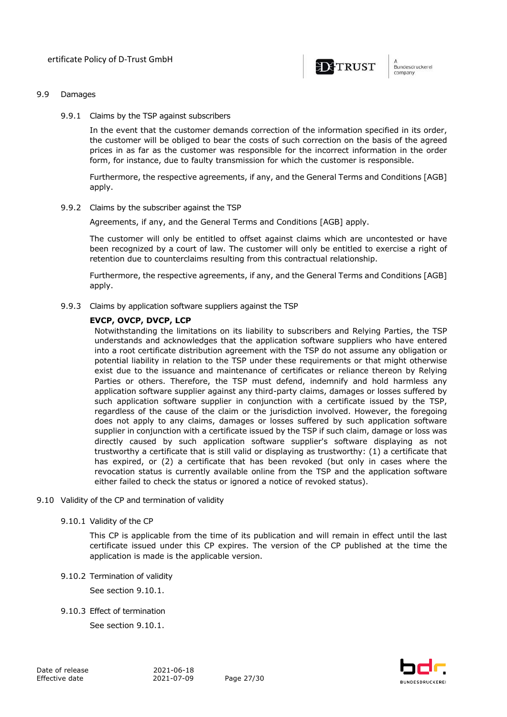

#### 9.9 Damages

9.9.1 Claims by the TSP against subscribers

In the event that the customer demands correction of the information specified in its order, the customer will be obliged to bear the costs of such correction on the basis of the agreed prices in as far as the customer was responsible for the incorrect information in the order form, for instance, due to faulty transmission for which the customer is responsible.

Furthermore, the respective agreements, if any, and the General Terms and Conditions [AGB] apply.

9.9.2 Claims by the subscriber against the TSP

Agreements, if any, and the General Terms and Conditions [AGB] apply.

The customer will only be entitled to offset against claims which are uncontested or have been recognized by a court of law. The customer will only be entitled to exercise a right of retention due to counterclaims resulting from this contractual relationship.

Furthermore, the respective agreements, if any, and the General Terms and Conditions [AGB] apply.

9.9.3 Claims by application software suppliers against the TSP

#### **EVCP, OVCP, DVCP, LCP**

Notwithstanding the limitations on its liability to subscribers and Relying Parties, the TSP understands and acknowledges that the application software suppliers who have entered into a root certificate distribution agreement with the TSP do not assume any obligation or potential liability in relation to the TSP under these requirements or that might otherwise exist due to the issuance and maintenance of certificates or reliance thereon by Relying Parties or others. Therefore, the TSP must defend, indemnify and hold harmless any application software supplier against any third-party claims, damages or losses suffered by such application software supplier in conjunction with a certificate issued by the TSP, regardless of the cause of the claim or the jurisdiction involved. However, the foregoing does not apply to any claims, damages or losses suffered by such application software supplier in conjunction with a certificate issued by the TSP if such claim, damage or loss was directly caused by such application software supplier's software displaying as not trustworthy a certificate that is still valid or displaying as trustworthy: (1) a certificate that has expired, or (2) a certificate that has been revoked (but only in cases where the revocation status is currently available online from the TSP and the application software either failed to check the status or ignored a notice of revoked status).

#### 9.10 Validity of the CP and termination of validity

#### 9.10.1 Validity of the CP

This CP is applicable from the time of its publication and will remain in effect until the last certificate issued under this CP expires. The version of the CP published at the time the application is made is the applicable version.

9.10.2 Termination of validity

See section 9.10.1.

9.10.3 Effect of termination

See section 9.10.1.

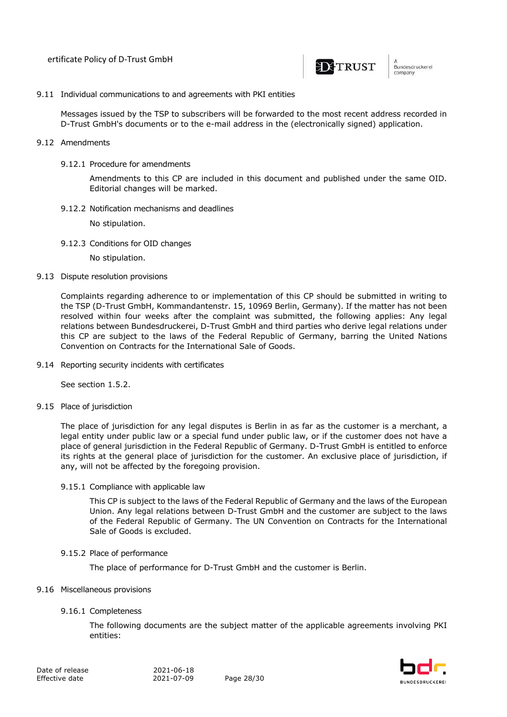

9.11 Individual communications to and agreements with PKI entities

Messages issued by the TSP to subscribers will be forwarded to the most recent address recorded in D-Trust GmbH's documents or to the e-mail address in the (electronically signed) application.

- 9.12 Amendments
	- 9.12.1 Procedure for amendments

Amendments to this CP are included in this document and published under the same OID. Editorial changes will be marked.

9.12.2 Notification mechanisms and deadlines

No stipulation.

9.12.3 Conditions for OID changes

No stipulation.

9.13 Dispute resolution provisions

Complaints regarding adherence to or implementation of this CP should be submitted in writing to the TSP (D-Trust GmbH, Kommandantenstr. 15, 10969 Berlin, Germany). If the matter has not been resolved within four weeks after the complaint was submitted, the following applies: Any legal relations between Bundesdruckerei, D-Trust GmbH and third parties who derive legal relations under this CP are subject to the laws of the Federal Republic of Germany, barring the United Nations Convention on Contracts for the International Sale of Goods.

9.14 Reporting security incidents with certificates

See section 1.5.2.

9.15 Place of jurisdiction

The place of jurisdiction for any legal disputes is Berlin in as far as the customer is a merchant, a legal entity under public law or a special fund under public law, or if the customer does not have a place of general jurisdiction in the Federal Republic of Germany. D-Trust GmbH is entitled to enforce its rights at the general place of jurisdiction for the customer. An exclusive place of jurisdiction, if any, will not be affected by the foregoing provision.

9.15.1 Compliance with applicable law

This CP is subject to the laws of the Federal Republic of Germany and the laws of the European Union. Any legal relations between D-Trust GmbH and the customer are subject to the laws of the Federal Republic of Germany. The UN Convention on Contracts for the International Sale of Goods is excluded.

#### 9.15.2 Place of performance

The place of performance for D-Trust GmbH and the customer is Berlin.

#### 9.16 Miscellaneous provisions

9.16.1 Completeness

The following documents are the subject matter of the applicable agreements involving PKI entities:

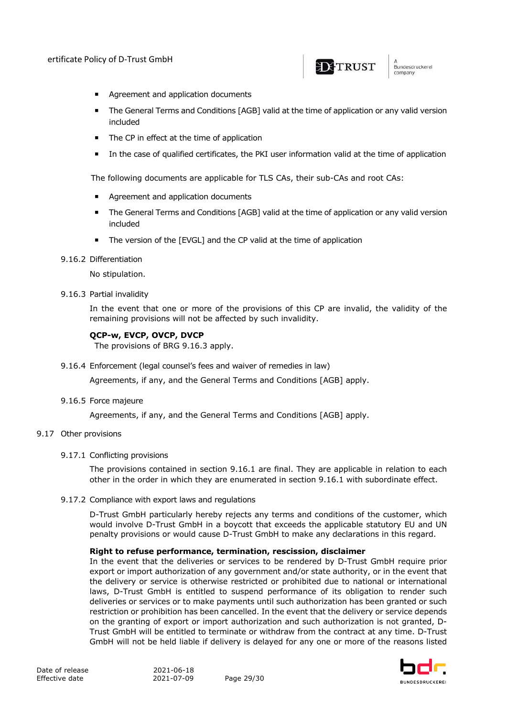

- **EXECUTE:** Agreement and application documents
- The General Terms and Conditions [AGB] valid at the time of application or any valid version included
- The CP in effect at the time of application
- ¡ In the case of qualified certificates, the PKI user information valid at the time of application

The following documents are applicable for TLS CAs, their sub-CAs and root CAs:

- **EXECUTE:** Agreement and application documents
- The General Terms and Conditions [AGB] valid at the time of application or any valid version included
- ¡ The version of the [EVGL] and the CP valid at the time of application

#### 9.16.2 Differentiation

No stipulation.

9.16.3 Partial invalidity

In the event that one or more of the provisions of this CP are invalid, the validity of the remaining provisions will not be affected by such invalidity.

#### **QCP-w, EVCP, OVCP, DVCP**

The provisions of BRG 9.16.3 apply.

9.16.4 Enforcement (legal counsel's fees and waiver of remedies in law)

Agreements, if any, and the General Terms and Conditions [AGB] apply.

9.16.5 Force majeure

Agreements, if any, and the General Terms and Conditions [AGB] apply.

#### 9.17 Other provisions

#### 9.17.1 Conflicting provisions

The provisions contained in section 9.16.1 are final. They are applicable in relation to each other in the order in which they are enumerated in section 9.16.1 with subordinate effect.

9.17.2 Compliance with export laws and regulations

D-Trust GmbH particularly hereby rejects any terms and conditions of the customer, which would involve D-Trust GmbH in a boycott that exceeds the applicable statutory EU and UN penalty provisions or would cause D-Trust GmbH to make any declarations in this regard.

#### **Right to refuse performance, termination, rescission, disclaimer**

In the event that the deliveries or services to be rendered by D-Trust GmbH require prior export or import authorization of any government and/or state authority, or in the event that the delivery or service is otherwise restricted or prohibited due to national or international laws, D-Trust GmbH is entitled to suspend performance of its obligation to render such deliveries or services or to make payments until such authorization has been granted or such restriction or prohibition has been cancelled. In the event that the delivery or service depends on the granting of export or import authorization and such authorization is not granted, D-Trust GmbH will be entitled to terminate or withdraw from the contract at any time. D-Trust GmbH will not be held liable if delivery is delayed for any one or more of the reasons listed

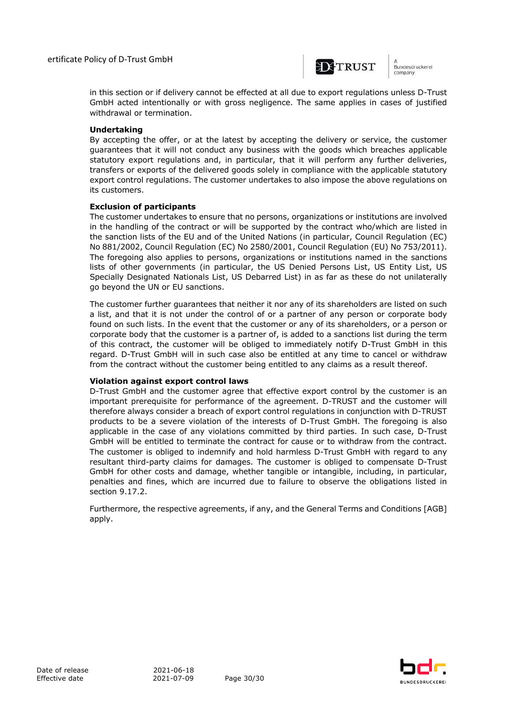

n<br>Bundesdruckerei company

in this section or if delivery cannot be effected at all due to export regulations unless D-Trust GmbH acted intentionally or with gross negligence. The same applies in cases of justified withdrawal or termination.

#### **Undertaking**

By accepting the offer, or at the latest by accepting the delivery or service, the customer guarantees that it will not conduct any business with the goods which breaches applicable statutory export regulations and, in particular, that it will perform any further deliveries, transfers or exports of the delivered goods solely in compliance with the applicable statutory export control regulations. The customer undertakes to also impose the above regulations on its customers.

#### **Exclusion of participants**

The customer undertakes to ensure that no persons, organizations or institutions are involved in the handling of the contract or will be supported by the contract who/which are listed in the sanction lists of the EU and of the United Nations (in particular, Council Regulation (EC) No 881/2002, Council Regulation (EC) No 2580/2001, Council Regulation (EU) No 753/2011). The foregoing also applies to persons, organizations or institutions named in the sanctions lists of other governments (in particular, the US Denied Persons List, US Entity List, US Specially Designated Nationals List, US Debarred List) in as far as these do not unilaterally go beyond the UN or EU sanctions.

The customer further guarantees that neither it nor any of its shareholders are listed on such a list, and that it is not under the control of or a partner of any person or corporate body found on such lists. In the event that the customer or any of its shareholders, or a person or corporate body that the customer is a partner of, is added to a sanctions list during the term of this contract, the customer will be obliged to immediately notify D-Trust GmbH in this regard. D-Trust GmbH will in such case also be entitled at any time to cancel or withdraw from the contract without the customer being entitled to any claims as a result thereof.

#### **Violation against export control laws**

D-Trust GmbH and the customer agree that effective export control by the customer is an important prerequisite for performance of the agreement. D-TRUST and the customer will therefore always consider a breach of export control regulations in conjunction with D-TRUST products to be a severe violation of the interests of D-Trust GmbH. The foregoing is also applicable in the case of any violations committed by third parties. In such case, D-Trust GmbH will be entitled to terminate the contract for cause or to withdraw from the contract. The customer is obliged to indemnify and hold harmless D-Trust GmbH with regard to any resultant third-party claims for damages. The customer is obliged to compensate D-Trust GmbH for other costs and damage, whether tangible or intangible, including, in particular, penalties and fines, which are incurred due to failure to observe the obligations listed in section 9.17.2.

Furthermore, the respective agreements, if any, and the General Terms and Conditions [AGB] apply.

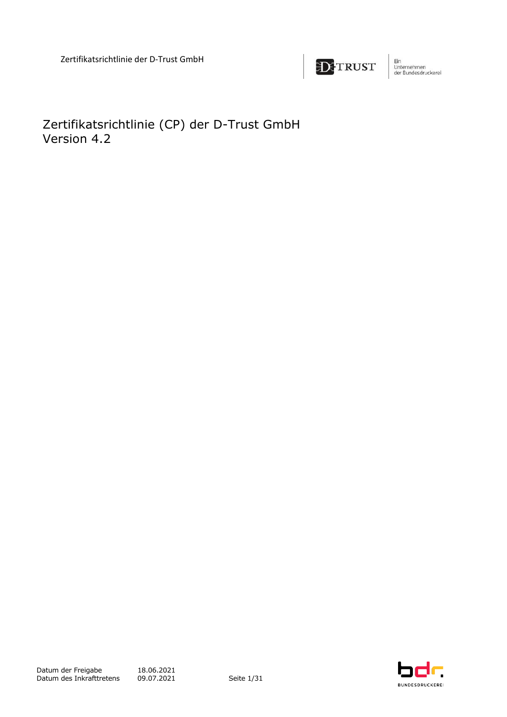

Ein<br>Unternehmen<br>der Bundesdruckerel

<span id="page-31-0"></span>Zertifikatsrichtlinie (CP) der D-Trust GmbH Version 4.2

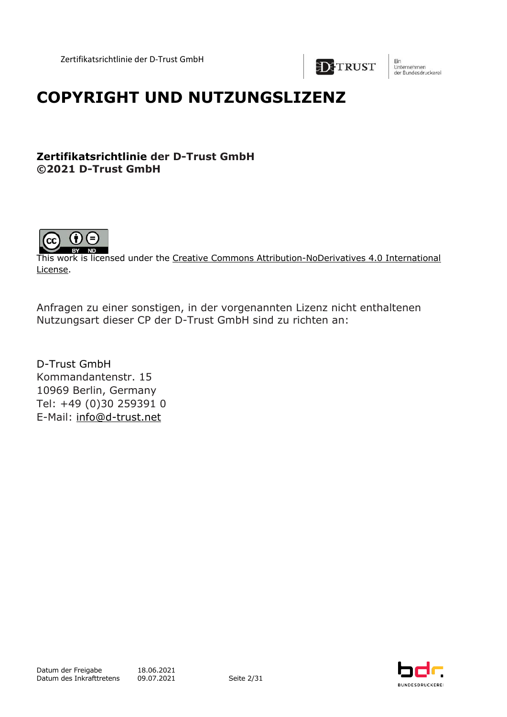

Ein Unternehmen<br>der Bundesdruckerel

## **COPYRIGHT UND NUTZUNGSLIZENZ**

## **Zertifikatsrichtlinie der D-Trust GmbH ©2021 D-Trust GmbH**



This work is licensed under the Creative Commons Attribution-NoDerivatives 4.0 International License.

Anfragen zu einer sonstigen, in der vorgenannten Lizenz nicht enthaltenen Nutzungsart dieser CP der D-Trust GmbH sind zu richten an:

D-Trust GmbH Kommandantenstr. 15 10969 Berlin, Germany Tel: +49 (0)30 259391 0 E-Mail: info@d-trust.net

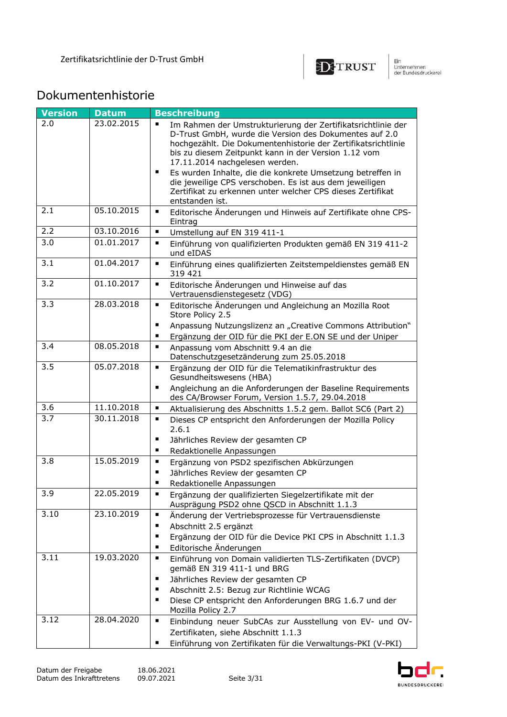

## Dokumentenhistorie

| <b>Version</b>   | <b>Datum</b> | <b>Beschreibung</b>                                                                                                                                                                                                                                                                                                                                                                                                                                                                                                             |
|------------------|--------------|---------------------------------------------------------------------------------------------------------------------------------------------------------------------------------------------------------------------------------------------------------------------------------------------------------------------------------------------------------------------------------------------------------------------------------------------------------------------------------------------------------------------------------|
| 2.0              | 23.02.2015   | $\blacksquare$<br>Im Rahmen der Umstrukturierung der Zertifikatsrichtlinie der<br>D-Trust GmbH, wurde die Version des Dokumentes auf 2.0<br>hochgezählt. Die Dokumentenhistorie der Zertifikatsrichtlinie<br>bis zu diesem Zeitpunkt kann in der Version 1.12 vom<br>17.11.2014 nachgelesen werden.<br>Es wurden Inhalte, die die konkrete Umsetzung betreffen in<br>$\blacksquare$<br>die jeweilige CPS verschoben. Es ist aus dem jeweiligen<br>Zertifikat zu erkennen unter welcher CPS dieses Zertifikat<br>entstanden ist. |
| 2.1              | 05.10.2015   | $\blacksquare$<br>Editorische Änderungen und Hinweis auf Zertifikate ohne CPS-<br>Eintrag                                                                                                                                                                                                                                                                                                                                                                                                                                       |
| 2.2              | 03.10.2016   | $\blacksquare$<br>Umstellung auf EN 319 411-1                                                                                                                                                                                                                                                                                                                                                                                                                                                                                   |
| 3.0              | 01.01.2017   | $\blacksquare$<br>Einführung von qualifizierten Produkten gemäß EN 319 411-2<br>und eIDAS                                                                                                                                                                                                                                                                                                                                                                                                                                       |
| 3.1              | 01.04.2017   | $\blacksquare$<br>Einführung eines qualifizierten Zeitstempeldienstes gemäß EN<br>319 421                                                                                                                                                                                                                                                                                                                                                                                                                                       |
| 3.2              | 01.10.2017   | $\blacksquare$<br>Editorische Änderungen und Hinweise auf das<br>Vertrauensdienstegesetz (VDG)                                                                                                                                                                                                                                                                                                                                                                                                                                  |
| 3.3              | 28.03.2018   | $\blacksquare$<br>Editorische Änderungen und Angleichung an Mozilla Root<br>Store Policy 2.5<br>п<br>Anpassung Nutzungslizenz an "Creative Commons Attribution"<br>Ergänzung der OID für die PKI der E.ON SE und der Uniper<br>$\blacksquare$                                                                                                                                                                                                                                                                                   |
| 3.4              | 08.05.2018   | $\blacksquare$<br>Anpassung vom Abschnitt 9.4 an die<br>Datenschutzgesetzänderung zum 25.05.2018                                                                                                                                                                                                                                                                                                                                                                                                                                |
| 3.5              | 05.07.2018   | $\blacksquare$<br>Ergänzung der OID für die Telematikinfrastruktur des<br>Gesundheitswesens (HBA)<br>Angleichung an die Anforderungen der Baseline Requirements<br>٠<br>des CA/Browser Forum, Version 1.5.7, 29.04.2018                                                                                                                                                                                                                                                                                                         |
| 3.6              | 11.10.2018   | $\blacksquare$<br>Aktualisierung des Abschnitts 1.5.2 gem. Ballot SC6 (Part 2)                                                                                                                                                                                                                                                                                                                                                                                                                                                  |
| $\overline{3.7}$ | 30.11.2018   | $\blacksquare$<br>Dieses CP entspricht den Anforderungen der Mozilla Policy<br>2.6.1<br>٠<br>Jährliches Review der gesamten CP<br>٠<br>Redaktionelle Anpassungen                                                                                                                                                                                                                                                                                                                                                                |
| 3.8              | 15.05.2019   | Ergänzung von PSD2 spezifischen Abkürzungen<br>$\blacksquare$<br>Jährliches Review der gesamten CP<br>п<br>٠<br>Redaktionelle Anpassungen                                                                                                                                                                                                                                                                                                                                                                                       |
| 3.9              | 22.05.2019   | Ergänzung der qualifizierten Siegelzertifikate mit der<br>$\blacksquare$<br>Ausprägung PSD2 ohne QSCD in Abschnitt 1.1.3                                                                                                                                                                                                                                                                                                                                                                                                        |
| 3.10             | 23.10.2019   | $\blacksquare$<br>Änderung der Vertriebsprozesse für Vertrauensdienste<br>Abschnitt 2.5 ergänzt<br>٠<br>Ergänzung der OID für die Device PKI CPS in Abschnitt 1.1.3<br>п<br>Editorische Änderungen<br>п                                                                                                                                                                                                                                                                                                                         |
| 3.11             | 19.03.2020   | $\blacksquare$<br>Einführung von Domain validierten TLS-Zertifikaten (DVCP)<br>gemäß EN 319 411-1 und BRG<br>Jährliches Review der gesamten CP<br>٠<br>Abschnitt 2.5: Bezug zur Richtlinie WCAG<br>п<br>Diese CP entspricht den Anforderungen BRG 1.6.7 und der<br>п<br>Mozilla Policy 2.7                                                                                                                                                                                                                                      |
| 3.12             | 28.04.2020   | $\blacksquare$<br>Einbindung neuer SubCAs zur Ausstellung von EV- und OV-<br>Zertifikaten, siehe Abschnitt 1.1.3<br>Einführung von Zertifikaten für die Verwaltungs-PKI (V-PKI)<br>٠                                                                                                                                                                                                                                                                                                                                            |

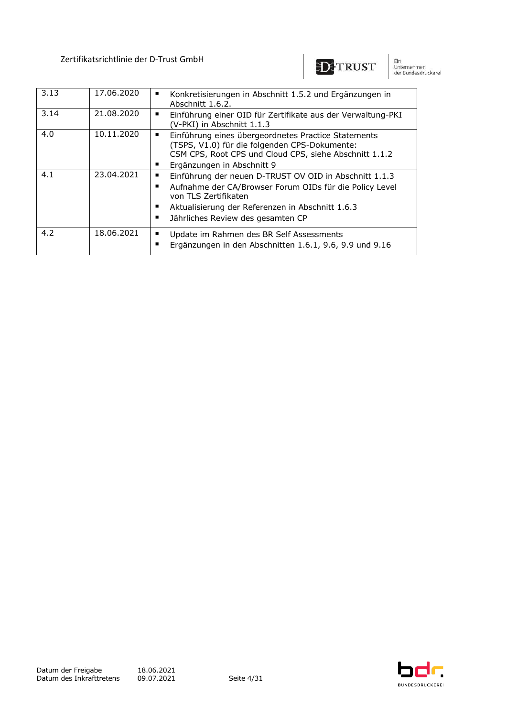

Ein<br>Unternehmen<br>der Bundesdruckerel

| 3.13 | 17.06.2020 | Konkretisierungen in Abschnitt 1.5.2 und Ergänzungen in<br>Abschnitt 1.6.2.                                                                                                                                                                            |
|------|------------|--------------------------------------------------------------------------------------------------------------------------------------------------------------------------------------------------------------------------------------------------------|
| 3.14 | 21.08.2020 | Einführung einer OID für Zertifikate aus der Verwaltung-PKI<br>$\blacksquare$<br>(V-PKI) in Abschnitt 1.1.3                                                                                                                                            |
| 4.0  | 10.11.2020 | Einführung eines übergeordnetes Practice Statements<br>п<br>(TSPS, V1.0) für die folgenden CPS-Dokumente:<br>CSM CPS, Root CPS und Cloud CPS, siehe Abschnitt 1.1.2<br>Ergänzungen in Abschnitt 9<br>п                                                 |
| 4.1  | 23.04.2021 | Einführung der neuen D-TRUST OV OID in Abschnitt 1.1.3<br>٠<br>Aufnahme der CA/Browser Forum OIDs für die Policy Level<br>п<br>von TLS Zertifikaten<br>Aktualisierung der Referenzen in Abschnitt 1.6.3<br>п<br>Jährliches Review des gesamten CP<br>п |
| 4.2  | 18.06.2021 | Update im Rahmen des BR Self Assessments<br>п<br>Ergänzungen in den Abschnitten 1.6.1, 9.6, 9.9 und 9.16<br>п                                                                                                                                          |

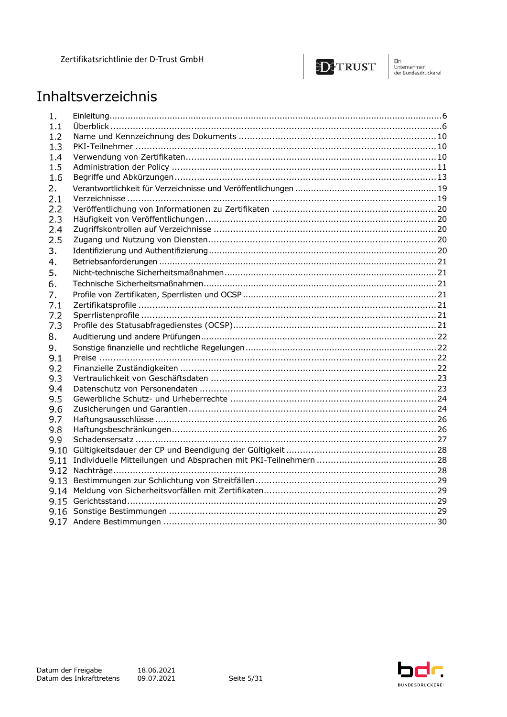

Ein<br>Unternehmen<br>der Bundesdruckerel

## Inhaltsverzeichnis

| 1.   |  |
|------|--|
| 1.1  |  |
| 1.2  |  |
| 1.3  |  |
| 1.4  |  |
| 1.5  |  |
| 1.6  |  |
| 2.   |  |
| 2.1  |  |
| 2.2  |  |
| 2.3  |  |
| 2.4  |  |
| 2.5  |  |
| 3.   |  |
| 4.   |  |
| 5.   |  |
| 6.   |  |
| 7.   |  |
| 7.1  |  |
| 7.2  |  |
| 7.3  |  |
| 8.   |  |
| 9.   |  |
| 9.1  |  |
| 9.2  |  |
| 9.3  |  |
| 9.4  |  |
| 9.5  |  |
| 9.6  |  |
| 9.7  |  |
| 9.8  |  |
| 9.9  |  |
| 9.10 |  |
| 9.11 |  |
| 9.12 |  |
| 9.13 |  |
| 9.14 |  |
|      |  |
|      |  |
|      |  |

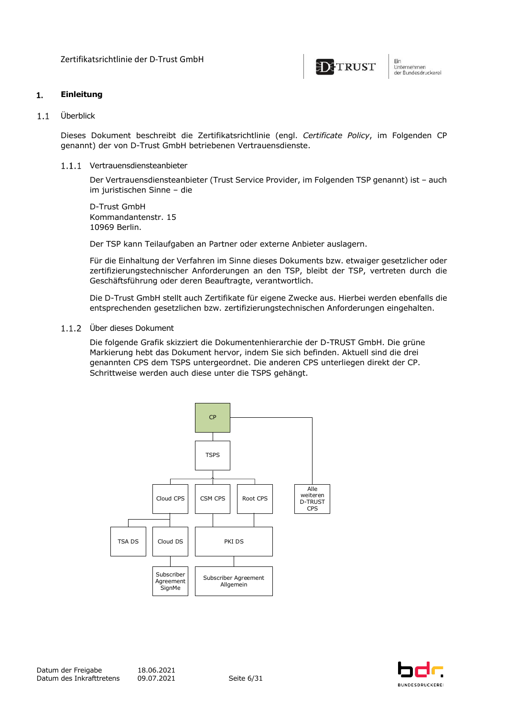

#### $1.$ **Einleitung**

#### $1.1$ Überblick

Dieses Dokument beschreibt die Zertifikatsrichtlinie (engl. *Certificate Policy*, im Folgenden CP genannt) der von D-Trust GmbH betriebenen Vertrauensdienste.

1.1.1 Vertrauensdiensteanbieter

Der Vertrauensdiensteanbieter (Trust Service Provider, im Folgenden TSP genannt) ist – auch im juristischen Sinne – die

D-Trust GmbH Kommandantenstr. 15 10969 Berlin.

Der TSP kann Teilaufgaben an Partner oder externe Anbieter auslagern.

Für die Einhaltung der Verfahren im Sinne dieses Dokuments bzw. etwaiger gesetzlicher oder zertifizierungstechnischer Anforderungen an den TSP, bleibt der TSP, vertreten durch die Geschäftsführung oder deren Beauftragte, verantwortlich.

Die D-Trust GmbH stellt auch Zertifikate für eigene Zwecke aus. Hierbei werden ebenfalls die entsprechenden gesetzlichen bzw. zertifizierungstechnischen Anforderungen eingehalten.

#### Über dieses Dokument

Die folgende Grafik skizziert die Dokumentenhierarchie der D-TRUST GmbH. Die grüne Markierung hebt das Dokument hervor, indem Sie sich befinden. Aktuell sind die drei genannten CPS dem TSPS untergeordnet. Die anderen CPS unterliegen direkt der CP. Schrittweise werden auch diese unter die TSPS gehängt.



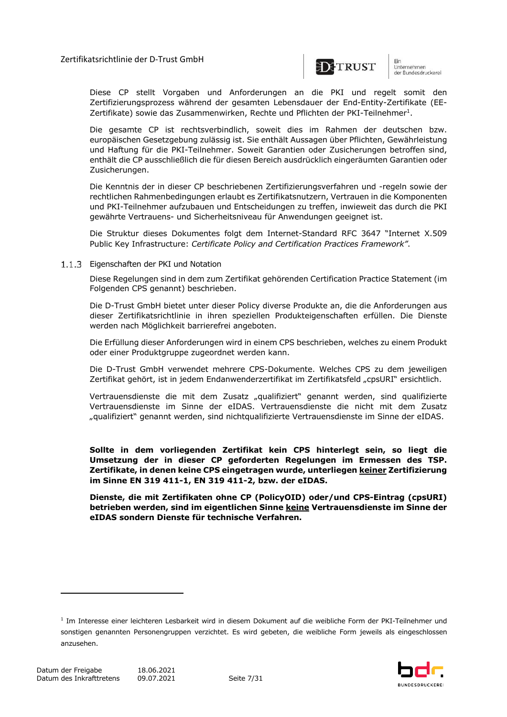

unternehmen<br>der Bundesdruckerel

Diese CP stellt Vorgaben und Anforderungen an die PKI und regelt somit den Zertifizierungsprozess während der gesamten Lebensdauer der End-Entity-Zertifikate (EE-Zertifikate) sowie das Zusammenwirken, Rechte und Pflichten der PKI-Teilnehmer<sup>1</sup>.

Die gesamte CP ist rechtsverbindlich, soweit dies im Rahmen der deutschen bzw. europäischen Gesetzgebung zulässig ist. Sie enthält Aussagen über Pflichten, Gewährleistung und Haftung für die PKI-Teilnehmer. Soweit Garantien oder Zusicherungen betroffen sind, enthält die CP ausschließlich die für diesen Bereich ausdrücklich eingeräumten Garantien oder Zusicherungen.

Die Kenntnis der in dieser CP beschriebenen Zertifizierungsverfahren und -regeln sowie der rechtlichen Rahmenbedingungen erlaubt es Zertifikatsnutzern, Vertrauen in die Komponenten und PKI-Teilnehmer aufzubauen und Entscheidungen zu treffen, inwieweit das durch die PKI gewährte Vertrauens- und Sicherheitsniveau für Anwendungen geeignet ist.

Die Struktur dieses Dokumentes folgt dem Internet-Standard RFC 3647 "Internet X.509 Public Key Infrastructure: *Certificate Policy and Certification Practices Framework"*.

#### 1.1.3 Eigenschaften der PKI und Notation

Diese Regelungen sind in dem zum Zertifikat gehörenden Certification Practice Statement (im Folgenden CPS genannt) beschrieben.

Die D-Trust GmbH bietet unter dieser Policy diverse Produkte an, die die Anforderungen aus dieser Zertifikatsrichtlinie in ihren speziellen Produkteigenschaften erfüllen. Die Dienste werden nach Möglichkeit barrierefrei angeboten.

Die Erfüllung dieser Anforderungen wird in einem CPS beschrieben, welches zu einem Produkt oder einer Produktgruppe zugeordnet werden kann.

Die D-Trust GmbH verwendet mehrere CPS-Dokumente. Welches CPS zu dem jeweiligen Zertifikat gehört, ist in jedem Endanwenderzertifikat im Zertifikatsfeld "cpsURI" ersichtlich.

Vertrauensdienste die mit dem Zusatz "qualifiziert" genannt werden, sind qualifizierte Vertrauensdienste im Sinne der eIDAS. Vertrauensdienste die nicht mit dem Zusatz "qualifiziert" genannt werden, sind nichtqualifizierte Vertrauensdienste im Sinne der eIDAS.

**Sollte in dem vorliegenden Zertifikat kein CPS hinterlegt sein, so liegt die Umsetzung der in dieser CP geforderten Regelungen im Ermessen des TSP. Zertifikate, in denen keine CPS eingetragen wurde, unterliegen keiner Zertifizierung im Sinne EN 319 411-1, EN 319 411-2, bzw. der eIDAS.**

**Dienste, die mit Zertifikaten ohne CP (PolicyOID) oder/und CPS-Eintrag (cpsURI) betrieben werden, sind im eigentlichen Sinne keine Vertrauensdienste im Sinne der eIDAS sondern Dienste für technische Verfahren.**

<sup>&</sup>lt;sup>1</sup> Im Interesse einer leichteren Lesbarkeit wird in diesem Dokument auf die weibliche Form der PKI-Teilnehmer und sonstigen genannten Personengruppen verzichtet. Es wird gebeten, die weibliche Form jeweils als eingeschlossen anzusehen.

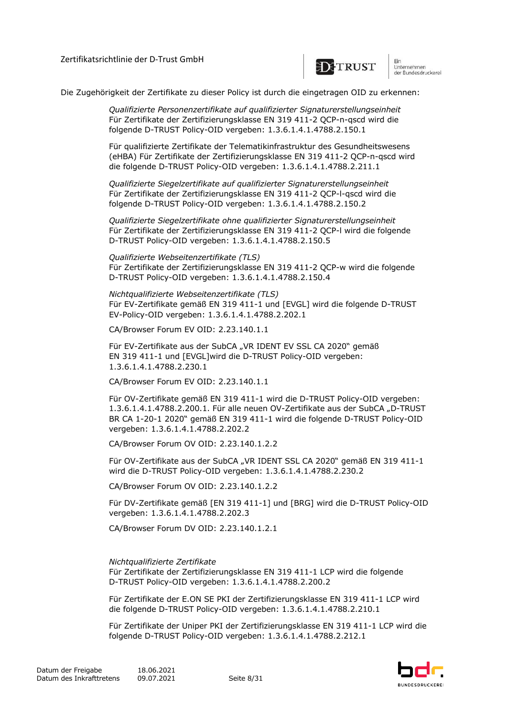

um<br>Unternehmen<br>der Bundesdruckerel

Die Zugehörigkeit der Zertifikate zu dieser Policy ist durch die eingetragen OID zu erkennen:

*Qualifizierte Personenzertifikate auf qualifizierter Signaturerstellungseinheit* Für Zertifikate der Zertifizierungsklasse EN 319 411-2 QCP-n-qscd wird die folgende D-TRUST Policy-OID vergeben: 1.3.6.1.4.1.4788.2.150.1

Für qualifizierte Zertifikate der Telematikinfrastruktur des Gesundheitswesens (eHBA) Für Zertifikate der Zertifizierungsklasse EN 319 411-2 QCP-n-qscd wird die folgende D-TRUST Policy-OID vergeben: 1.3.6.1.4.1.4788.2.211.1

*Qualifizierte Siegelzertifikate auf qualifizierter Signaturerstellungseinheit* Für Zertifikate der Zertifizierungsklasse EN 319 411-2 QCP-l-qscd wird die folgende D-TRUST Policy-OID vergeben: 1.3.6.1.4.1.4788.2.150.2

*Qualifizierte Siegelzertifikate ohne qualifizierter Signaturerstellungseinheit* Für Zertifikate der Zertifizierungsklasse EN 319 411-2 QCP-l wird die folgende D-TRUST Policy-OID vergeben: 1.3.6.1.4.1.4788.2.150.5

*Qualifizierte Webseitenzertifikate (TLS)* Für Zertifikate der Zertifizierungsklasse EN 319 411-2 QCP-w wird die folgende D-TRUST Policy-OID vergeben: 1.3.6.1.4.1.4788.2.150.4

*Nichtqualifizierte Webseitenzertifikate (TLS)* Für EV-Zertifikate gemäß EN 319 411-1 und [EVGL] wird die folgende D-TRUST EV-Policy-OID vergeben: 1.3.6.1.4.1.4788.2.202.1

CA/Browser Forum EV OID: 2.23.140.1.1

Für EV-Zertifikate aus der SubCA "VR IDENT EV SSL CA 2020" gemäß EN 319 411-1 und [EVGL]wird die D-TRUST Policy-OID vergeben: 1.3.6.1.4.1.4788.2.230.1

CA/Browser Forum EV OID: 2.23.140.1.1

Für OV-Zertifikate gemäß EN 319 411-1 wird die D-TRUST Policy-OID vergeben: 1.3.6.1.4.1.4788.2.200.1. Für alle neuen OV-Zertifikate aus der SubCA "D-TRUST BR CA 1-20-1 2020" gemäß EN 319 411-1 wird die folgende D-TRUST Policy-OID vergeben: 1.3.6.1.4.1.4788.2.202.2

CA/Browser Forum OV OID: 2.23.140.1.2.2

Für OV-Zertifikate aus der SubCA "VR IDENT SSL CA 2020" gemäß EN 319 411-1 wird die D-TRUST Policy-OID vergeben: 1.3.6.1.4.1.4788.2.230.2

CA/Browser Forum OV OID: 2.23.140.1.2.2

Für DV-Zertifikate gemäß [EN 319 411-1] und [BRG] wird die D-TRUST Policy-OID vergeben: 1.3.6.1.4.1.4788.2.202.3

CA/Browser Forum DV OID: 2.23.140.1.2.1

#### *Nichtqualifizierte Zertifikate*

Für Zertifikate der Zertifizierungsklasse EN 319 411-1 LCP wird die folgende D-TRUST Policy-OID vergeben: 1.3.6.1.4.1.4788.2.200.2

Für Zertifikate der E.ON SE PKI der Zertifizierungsklasse EN 319 411-1 LCP wird die folgende D-TRUST Policy-OID vergeben: 1.3.6.1.4.1.4788.2.210.1

Für Zertifikate der Uniper PKI der Zertifizierungsklasse EN 319 411-1 LCP wird die folgende D-TRUST Policy-OID vergeben: 1.3.6.1.4.1.4788.2.212.1

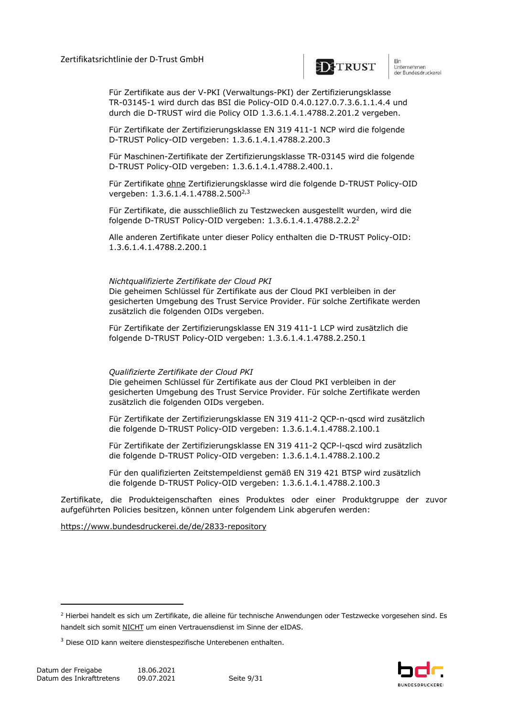

ein<br>Unternehmen<br>der Bundesdruckerel

Für Zertifikate aus der V-PKI (Verwaltungs-PKI) der Zertifizierungsklasse TR-03145-1 wird durch das BSI die Policy-OID 0.4.0.127.0.7.3.6.1.1.4.4 und durch die D-TRUST wird die Policy OID 1.3.6.1.4.1.4788.2.201.2 vergeben.

Für Zertifikate der Zertifizierungsklasse EN 319 411-1 NCP wird die folgende D-TRUST Policy-OID vergeben: 1.3.6.1.4.1.4788.2.200.3

Für Maschinen-Zertifikate der Zertifizierungsklasse TR-03145 wird die folgende D-TRUST Policy-OID vergeben: 1.3.6.1.4.1.4788.2.400.1.

Für Zertifikate ohne Zertifizierungsklasse wird die folgende D-TRUST Policy-OID vergeben: 1.3.6.1.4.1.4788.2.500<sup>2,3</sup>

Für Zertifikate, die ausschließlich zu Testzwecken ausgestellt wurden, wird die folgende D-TRUST Policy-OID vergeben: 1.3.6.1.4.1.4788.2.2.2<sup>2</sup>

Alle anderen Zertifikate unter dieser Policy enthalten die D-TRUST Policy-OID: 1.3.6.1.4.1.4788.2.200.1

#### *Nichtqualifizierte Zertifikate der Cloud PKI*

Die geheimen Schlüssel für Zertifikate aus der Cloud PKI verbleiben in der gesicherten Umgebung des Trust Service Provider. Für solche Zertifikate werden zusätzlich die folgenden OIDs vergeben.

Für Zertifikate der Zertifizierungsklasse EN 319 411-1 LCP wird zusätzlich die folgende D-TRUST Policy-OID vergeben: 1.3.6.1.4.1.4788.2.250.1

#### *Qualifizierte Zertifikate der Cloud PKI*

Die geheimen Schlüssel für Zertifikate aus der Cloud PKI verbleiben in der gesicherten Umgebung des Trust Service Provider. Für solche Zertifikate werden zusätzlich die folgenden OIDs vergeben.

Für Zertifikate der Zertifizierungsklasse EN 319 411-2 QCP-n-qscd wird zusätzlich die folgende D-TRUST Policy-OID vergeben: 1.3.6.1.4.1.4788.2.100.1

Für Zertifikate der Zertifizierungsklasse EN 319 411-2 QCP-l-qscd wird zusätzlich die folgende D-TRUST Policy-OID vergeben: 1.3.6.1.4.1.4788.2.100.2

Für den qualifizierten Zeitstempeldienst gemäß EN 319 421 BTSP wird zusätzlich die folgende D-TRUST Policy-OID vergeben: 1.3.6.1.4.1.4788.2.100.3

Zertifikate, die Produkteigenschaften eines Produktes oder einer Produktgruppe der zuvor aufgeführten Policies besitzen, können unter folgendem Link abgerufen werden:

https://www.bundesdruckerei.de/de/2833-repository



<sup>&</sup>lt;sup>2</sup> Hierbei handelt es sich um Zertifikate, die alleine für technische Anwendungen oder Testzwecke vorgesehen sind. Es handelt sich somit NICHT um einen Vertrauensdienst im Sinne der eIDAS.

<sup>&</sup>lt;sup>3</sup> Diese OID kann weitere dienstespezifische Unterebenen enthalten.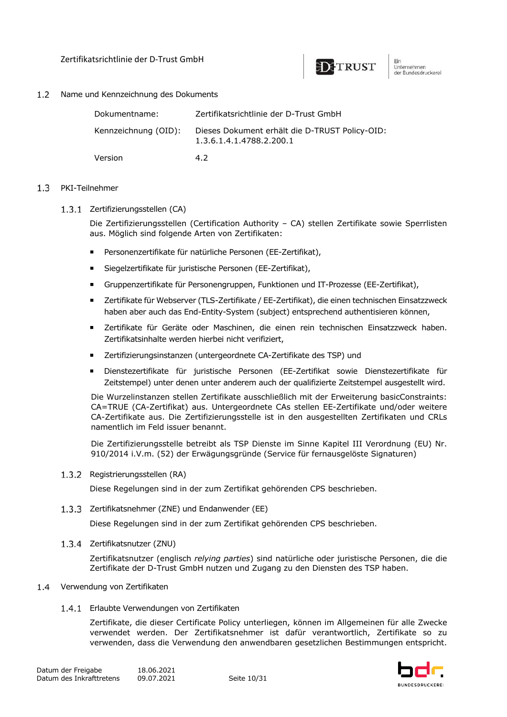

#### $1.2$ Name und Kennzeichnung des Dokuments

| Dokumentname:        | Zertifikatsrichtlinie der D-Trust GmbH                                     |
|----------------------|----------------------------------------------------------------------------|
| Kennzeichnung (OID): | Dieses Dokument erhält die D-TRUST Policy-OID:<br>1.3.6.1.4.1.4788.2.200.1 |
| Version              | 42                                                                         |

#### $1.3$ PKI-Teilnehmer

1.3.1 Zertifizierungsstellen (CA)

Die Zertifizierungsstellen (Certification Authority – CA) stellen Zertifikate sowie Sperrlisten aus. Möglich sind folgende Arten von Zertifikaten:

- ¡ Personenzertifikate für natürliche Personen (EE-Zertifikat),
- ¡ Siegelzertifikate für juristische Personen (EE-Zertifikat),
- ¡ Gruppenzertifikate für Personengruppen, Funktionen und IT-Prozesse (EE-Zertifikat),
- ¡ Zertifikate für Webserver (TLS-Zertifikate / EE-Zertifikat), die einen technischen Einsatzzweck haben aber auch das End-Entity-System (subject) entsprechend authentisieren können,
- ¡ Zertifikate für Geräte oder Maschinen, die einen rein technischen Einsatzzweck haben. Zertifikatsinhalte werden hierbei nicht verifiziert,
- ¡ Zertifizierungsinstanzen (untergeordnete CA-Zertifikate des TSP) und
- ¡ Dienstezertifikate für juristische Personen (EE-Zertifikat sowie Dienstezertifikate für Zeitstempel) unter denen unter anderem auch der qualifizierte Zeitstempel ausgestellt wird.

Die Wurzelinstanzen stellen Zertifikate ausschließlich mit der Erweiterung basicConstraints: CA=TRUE (CA-Zertifikat) aus. Untergeordnete CAs stellen EE-Zertifikate und/oder weitere CA-Zertifikate aus. Die Zertifizierungsstelle ist in den ausgestellten Zertifikaten und CRLs namentlich im Feld issuer benannt.

Die Zertifizierungsstelle betreibt als TSP Dienste im Sinne Kapitel III Verordnung (EU) Nr. 910/2014 i.V.m. (52) der Erwägungsgründe (Service für fernausgelöste Signaturen)

#### 1.3.2 Registrierungsstellen (RA)

Diese Regelungen sind in der zum Zertifikat gehörenden CPS beschrieben.

1.3.3 Zertifikatsnehmer (ZNE) und Endanwender (EE)

Diese Regelungen sind in der zum Zertifikat gehörenden CPS beschrieben.

1.3.4 Zertifikatsnutzer (ZNU)

Zertifikatsnutzer (englisch *relying parties*) sind natürliche oder juristische Personen, die die Zertifikate der D-Trust GmbH nutzen und Zugang zu den Diensten des TSP haben.

#### 1.4 Verwendung von Zertifikaten

1.4.1 Erlaubte Verwendungen von Zertifikaten

Zertifikate, die dieser Certificate Policy unterliegen, können im Allgemeinen für alle Zwecke verwendet werden. Der Zertifikatsnehmer ist dafür verantwortlich, Zertifikate so zu verwenden, dass die Verwendung den anwendbaren gesetzlichen Bestimmungen entspricht.

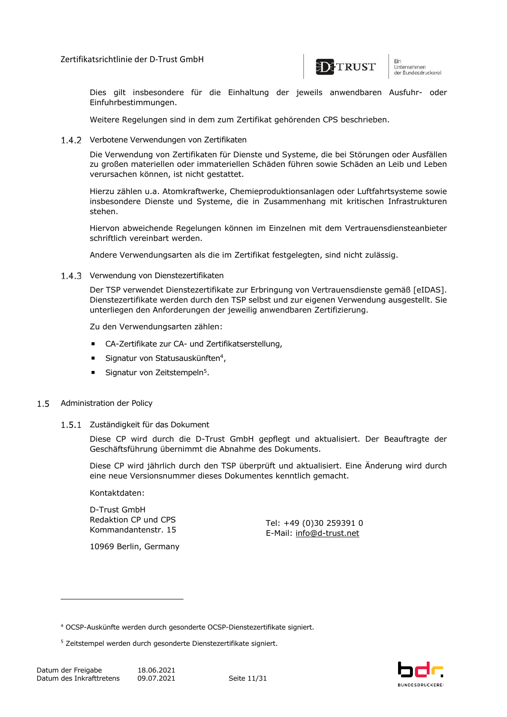

um<br>Unternehmen<br>der Bundesdruckerel

Dies gilt insbesondere für die Einhaltung der jeweils anwendbaren Ausfuhr- oder Einfuhrbestimmungen.

Weitere Regelungen sind in dem zum Zertifikat gehörenden CPS beschrieben.

1.4.2 Verbotene Verwendungen von Zertifikaten

Die Verwendung von Zertifikaten für Dienste und Systeme, die bei Störungen oder Ausfällen zu großen materiellen oder immateriellen Schäden führen sowie Schäden an Leib und Leben verursachen können, ist nicht gestattet.

Hierzu zählen u.a. Atomkraftwerke, Chemieproduktionsanlagen oder Luftfahrtsysteme sowie insbesondere Dienste und Systeme, die in Zusammenhang mit kritischen Infrastrukturen stehen.

Hiervon abweichende Regelungen können im Einzelnen mit dem Vertrauensdiensteanbieter schriftlich vereinbart werden.

Andere Verwendungsarten als die im Zertifikat festgelegten, sind nicht zulässig.

1.4.3 Verwendung von Dienstezertifikaten

Der TSP verwendet Dienstezertifikate zur Erbringung von Vertrauensdienste gemäß [eIDAS]. Dienstezertifikate werden durch den TSP selbst und zur eigenen Verwendung ausgestellt. Sie unterliegen den Anforderungen der jeweilig anwendbaren Zertifizierung.

Zu den Verwendungsarten zählen:

- ¡ CA-Zertifikate zur CA- und Zertifikatserstellung,
- **E** Signatur von Statusauskünften<sup>4</sup>,
- Signatur von Zeitstempeln<sup>5</sup>.

#### $1.5$ Administration der Policy

#### 1.5.1 Zuständigkeit für das Dokument

Diese CP wird durch die D-Trust GmbH gepflegt und aktualisiert. Der Beauftragte der Geschäftsführung übernimmt die Abnahme des Dokuments.

Diese CP wird jährlich durch den TSP überprüft und aktualisiert. Eine Änderung wird durch eine neue Versionsnummer dieses Dokumentes kenntlich gemacht.

Kontaktdaten:

D-Trust GmbH Redaktion CP und CPS Kommandantenstr. 15

Tel: +49 (0)30 259391 0 E-Mail: info@d-trust.net

10969 Berlin, Germany



<sup>4</sup> OCSP-Auskünfte werden durch gesonderte OCSP-Dienstezertifikate signiert.

<sup>5</sup> Zeitstempel werden durch gesonderte Dienstezertifikate signiert.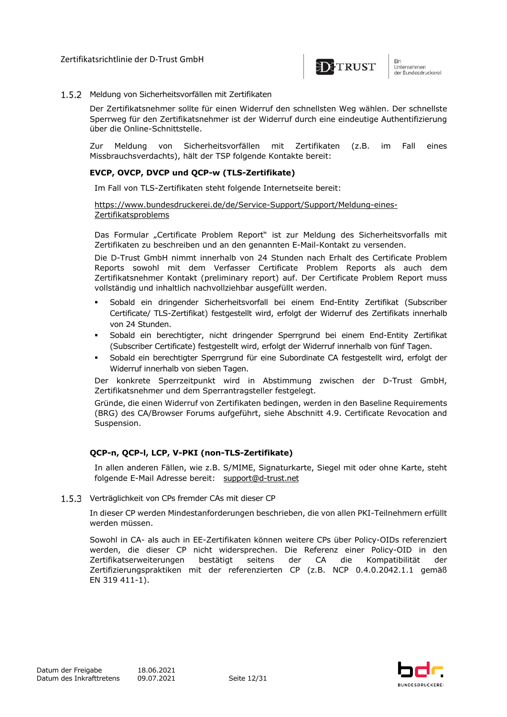

#### 1.5.2 Meldung von Sicherheitsvorfällen mit Zertifikaten

Der Zertifikatsnehmer sollte für einen Widerruf den schnellsten Weg wählen. Der schnellste Sperrweg für den Zertifikatsnehmer ist der Widerruf durch eine eindeutige Authentifizierung über die Online-Schnittstelle.

Zur Meldung von Sicherheitsvorfällen mit Zertifikaten (z.B. im Fall eines Missbrauchsverdachts), hält der TSP folgende Kontakte bereit:

#### **EVCP, OVCP, DVCP und QCP-w (TLS-Zertifikate)**

Im Fall von TLS-Zertifikaten steht folgende Internetseite bereit:

https://www.bundesdruckerei.de/de/Service-Support/Support/Meldung-eines-Zertifikatsproblems

Das Formular "Certificate Problem Report" ist zur Meldung des Sicherheitsvorfalls mit Zertifikaten zu beschreiben und an den genannten E-Mail-Kontakt zu versenden.

Die D-Trust GmbH nimmt innerhalb von 24 Stunden nach Erhalt des Certificate Problem Reports sowohl mit dem Verfasser Certificate Problem Reports als auch dem Zertifikatsnehmer Kontakt (preliminary report) auf. Der Certificate Problem Report muss vollständig und inhaltlich nachvollziehbar ausgefüllt werden.

- § Sobald ein dringender Sicherheitsvorfall bei einem End-Entity Zertifikat (Subscriber Certificate/ TLS-Zertifikat) festgestellt wird, erfolgt der Widerruf des Zertifikats innerhalb von 24 Stunden.
- § Sobald ein berechtigter, nicht dringender Sperrgrund bei einem End-Entity Zertifikat (Subscriber Certificate) festgestellt wird, erfolgt der Widerruf innerhalb von fünf Tagen.
- § Sobald ein berechtigter Sperrgrund für eine Subordinate CA festgestellt wird, erfolgt der Widerruf innerhalb von sieben Tagen.

Der konkrete Sperrzeitpunkt wird in Abstimmung zwischen der D-Trust GmbH, Zertifikatsnehmer und dem Sperrantragsteller festgelegt.

Gründe, die einen Widerruf von Zertifikaten bedingen, werden in den Baseline Requirements (BRG) des CA/Browser Forums aufgeführt, siehe Abschnitt 4.9. Certificate Revocation and Suspension.

### **QCP-n, QCP-l, LCP, V-PKI (non-TLS-Zertifikate)**

In allen anderen Fällen, wie z.B. S/MIME, Signaturkarte, Siegel mit oder ohne Karte, steht folgende E-Mail Adresse bereit: support@d-trust.net

1.5.3 Verträglichkeit von CPs fremder CAs mit dieser CP

In dieser CP werden Mindestanforderungen beschrieben, die von allen PKI-Teilnehmern erfüllt werden müssen.

Sowohl in CA- als auch in EE-Zertifikaten können weitere CPs über Policy-OIDs referenziert werden, die dieser CP nicht widersprechen. Die Referenz einer Policy-OID in den Zertifikatserweiterungen bestätigt seitens der CA die Kompatibilität der Zertifizierungspraktiken mit der referenzierten CP (z.B. NCP 0.4.0.2042.1.1 gemäß EN 319 411-1).

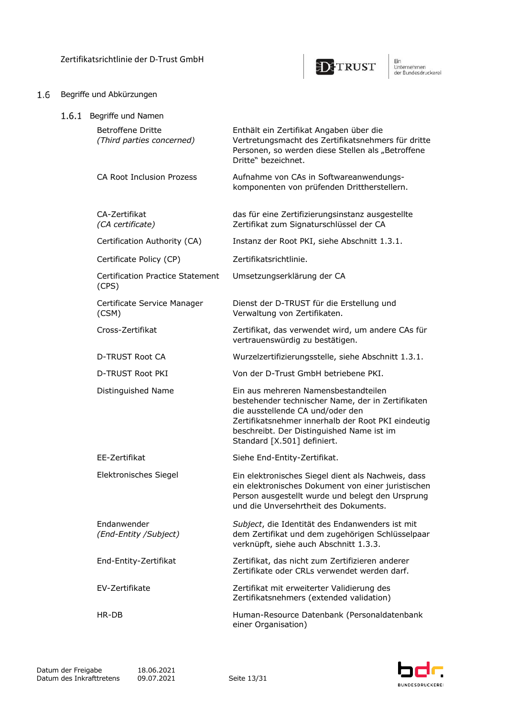

## 1.6 Begriffe und Abkürzungen

| 1.6.1 | Begriffe und Namen                                    |                                                                                                                                                                                                                                                                 |
|-------|-------------------------------------------------------|-----------------------------------------------------------------------------------------------------------------------------------------------------------------------------------------------------------------------------------------------------------------|
|       | <b>Betroffene Dritte</b><br>(Third parties concerned) | Enthält ein Zertifikat Angaben über die<br>Vertretungsmacht des Zertifikatsnehmers für dritte<br>Personen, so werden diese Stellen als "Betroffene<br>Dritte" bezeichnet.                                                                                       |
|       | CA Root Inclusion Prozess                             | Aufnahme von CAs in Softwareanwendungs-<br>komponenten von prüfenden Drittherstellern.                                                                                                                                                                          |
|       | CA-Zertifikat<br>(CA certificate)                     | das für eine Zertifizierungsinstanz ausgestellte<br>Zertifikat zum Signaturschlüssel der CA                                                                                                                                                                     |
|       | Certification Authority (CA)                          | Instanz der Root PKI, siehe Abschnitt 1.3.1.                                                                                                                                                                                                                    |
|       | Certificate Policy (CP)                               | Zertifikatsrichtlinie.                                                                                                                                                                                                                                          |
|       | <b>Certification Practice Statement</b><br>(CPS)      | Umsetzungserklärung der CA                                                                                                                                                                                                                                      |
|       | Certificate Service Manager<br>(CSM)                  | Dienst der D-TRUST für die Erstellung und<br>Verwaltung von Zertifikaten.                                                                                                                                                                                       |
|       | Cross-Zertifikat                                      | Zertifikat, das verwendet wird, um andere CAs für<br>vertrauenswürdig zu bestätigen.                                                                                                                                                                            |
|       | <b>D-TRUST Root CA</b>                                | Wurzelzertifizierungsstelle, siehe Abschnitt 1.3.1.                                                                                                                                                                                                             |
|       | D-TRUST Root PKI                                      | Von der D-Trust GmbH betriebene PKI.                                                                                                                                                                                                                            |
|       | Distinguished Name                                    | Ein aus mehreren Namensbestandteilen<br>bestehender technischer Name, der in Zertifikaten<br>die ausstellende CA und/oder den<br>Zertifikatsnehmer innerhalb der Root PKI eindeutig<br>beschreibt. Der Distinguished Name ist im<br>Standard [X.501] definiert. |
|       | EE-Zertifikat                                         | Siehe End-Entity-Zertifikat.                                                                                                                                                                                                                                    |
|       | Elektronisches Siegel                                 | Ein elektronisches Siegel dient als Nachweis, dass<br>ein elektronisches Dokument von einer juristischen<br>Person ausgestellt wurde und belegt den Ursprung<br>und die Unversehrtheit des Dokuments.                                                           |
|       | Endanwender<br>(End-Entity /Subject)                  | Subject, die Identität des Endanwenders ist mit<br>dem Zertifikat und dem zugehörigen Schlüsselpaar<br>verknüpft, siehe auch Abschnitt 1.3.3.                                                                                                                   |
|       | End-Entity-Zertifikat                                 | Zertifikat, das nicht zum Zertifizieren anderer<br>Zertifikate oder CRLs verwendet werden darf.                                                                                                                                                                 |
|       | EV-Zertifikate                                        | Zertifikat mit erweiterter Validierung des<br>Zertifikatsnehmers (extended validation)                                                                                                                                                                          |
|       | HR-DB                                                 | Human-Resource Datenbank (Personaldatenbank<br>einer Organisation)                                                                                                                                                                                              |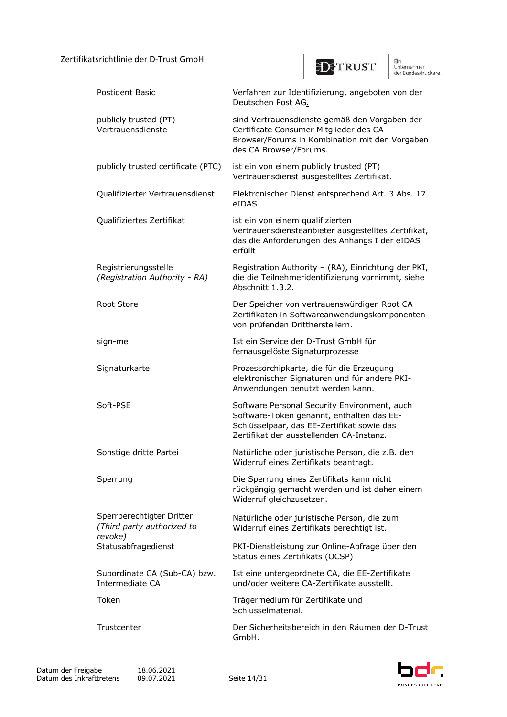

Ein<br>Unternehmen<br>der Bundesdruckerel

| Postident Basic                                                    | Verfahren zur Identifizierung, angeboten von der<br>Deutschen Post AG.                                                                                                              |
|--------------------------------------------------------------------|-------------------------------------------------------------------------------------------------------------------------------------------------------------------------------------|
| publicly trusted (PT)<br>Vertrauensdienste                         | sind Vertrauensdienste gemäß den Vorgaben der<br>Certificate Consumer Mitglieder des CA<br>Browser/Forums in Kombination mit den Vorgaben<br>des CA Browser/Forums.                 |
| publicly trusted certificate (PTC)                                 | ist ein von einem publicly trusted (PT)<br>Vertrauensdienst ausgestelltes Zertifikat.                                                                                               |
| Qualifizierter Vertrauensdienst                                    | Elektronischer Dienst entsprechend Art. 3 Abs. 17<br>eIDAS                                                                                                                          |
| Qualifiziertes Zertifikat                                          | ist ein von einem qualifizierten<br>Vertrauensdiensteanbieter ausgestelltes Zertifikat,<br>das die Anforderungen des Anhangs I der eIDAS<br>erfüllt                                 |
| Registrierungsstelle<br>(Registration Authority - RA)              | Registration Authority - (RA), Einrichtung der PKI,<br>die die Teilnehmeridentifizierung vornimmt, siehe<br>Abschnitt 1.3.2.                                                        |
| Root Store                                                         | Der Speicher von vertrauenswürdigen Root CA<br>Zertifikaten in Softwareanwendungskomponenten<br>von prüfenden Drittherstellern.                                                     |
| sign-me                                                            | Ist ein Service der D-Trust GmbH für<br>fernausgelöste Signaturprozesse                                                                                                             |
| Signaturkarte                                                      | Prozessorchipkarte, die für die Erzeugung<br>elektronischer Signaturen und für andere PKI-<br>Anwendungen benutzt werden kann.                                                      |
| Soft-PSE                                                           | Software Personal Security Environment, auch<br>Software-Token genannt, enthalten das EE-<br>Schlüsselpaar, das EE-Zertifikat sowie das<br>Zertifikat der ausstellenden CA-Instanz. |
| Sonstige dritte Partei                                             | Natürliche oder juristische Person, die z.B. den<br>Widerruf eines Zertifikats beantragt.                                                                                           |
| Sperrung                                                           | Die Sperrung eines Zertifikats kann nicht<br>rückgängig gemacht werden und ist daher einem<br>Widerruf gleichzusetzen.                                                              |
| Sperrberechtigter Dritter<br>(Third party authorized to<br>revoke) | Natürliche oder juristische Person, die zum<br>Widerruf eines Zertifikats berechtigt ist.                                                                                           |
| Statusabfragedienst                                                | PKI-Dienstleistung zur Online-Abfrage über den<br>Status eines Zertifikats (OCSP)                                                                                                   |
| Subordinate CA (Sub-CA) bzw.<br>Intermediate CA                    | Ist eine untergeordnete CA, die EE-Zertifikate<br>und/oder weitere CA-Zertifikate ausstellt.                                                                                        |
| Token                                                              | Trägermedium für Zertifikate und<br>Schlüsselmaterial.                                                                                                                              |
| Trustcenter                                                        | Der Sicherheitsbereich in den Räumen der D-Trust<br>GmbH.                                                                                                                           |

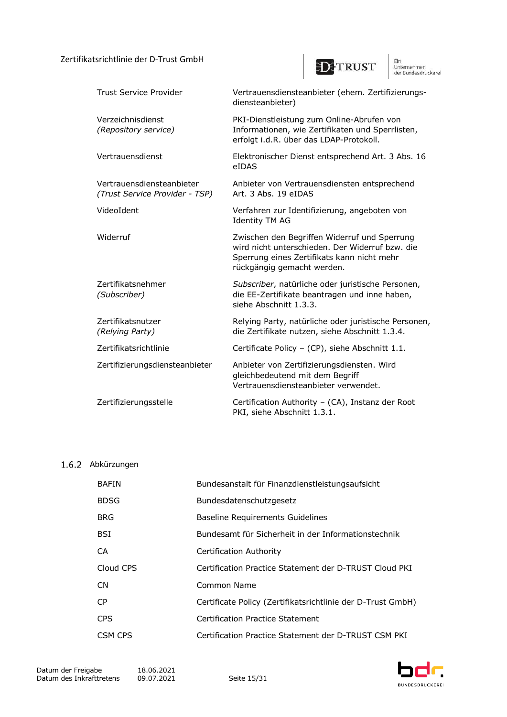

Ein<br>Unternehmen<br>der Bundesdruckerel

| Trust Service Provider                                      | Vertrauensdiensteanbieter (ehem. Zertifizierungs-<br>diensteanbieter)                                                                                                       |
|-------------------------------------------------------------|-----------------------------------------------------------------------------------------------------------------------------------------------------------------------------|
| Verzeichnisdienst<br>(Repository service)                   | PKI-Dienstleistung zum Online-Abrufen von<br>Informationen, wie Zertifikaten und Sperrlisten,<br>erfolgt i.d.R. über das LDAP-Protokoll.                                    |
| Vertrauensdienst                                            | Elektronischer Dienst entsprechend Art. 3 Abs. 16<br>eIDAS                                                                                                                  |
| Vertrauensdiensteanbieter<br>(Trust Service Provider - TSP) | Anbieter von Vertrauensdiensten entsprechend<br>Art. 3 Abs. 19 eIDAS                                                                                                        |
| VideoIdent                                                  | Verfahren zur Identifizierung, angeboten von<br><b>Identity TM AG</b>                                                                                                       |
| Widerruf                                                    | Zwischen den Begriffen Widerruf und Sperrung<br>wird nicht unterschieden. Der Widerruf bzw. die<br>Sperrung eines Zertifikats kann nicht mehr<br>rückgängig gemacht werden. |
| Zertifikatsnehmer<br>(Subscriber)                           | Subscriber, natürliche oder juristische Personen,<br>die EE-Zertifikate beantragen und inne haben,<br>siehe Abschnitt 1.3.3.                                                |
| Zertifikatsnutzer<br>(Relying Party)                        | Relying Party, natürliche oder juristische Personen,<br>die Zertifikate nutzen, siehe Abschnitt 1.3.4.                                                                      |
| Zertifikatsrichtlinie                                       | Certificate Policy - (CP), siehe Abschnitt 1.1.                                                                                                                             |
| Zertifizierungsdiensteanbieter                              | Anbieter von Zertifizierungsdiensten. Wird<br>gleichbedeutend mit dem Begriff<br>Vertrauensdiensteanbieter verwendet.                                                       |
| Zertifizierungsstelle                                       | Certification Authority - (CA), Instanz der Root<br>PKI, siehe Abschnitt 1.3.1.                                                                                             |

## 1.6.2 Abkürzungen

| <b>BAFIN</b> | Bundesanstalt für Finanzdienstleistungsaufsicht             |
|--------------|-------------------------------------------------------------|
| <b>BDSG</b>  | Bundesdatenschutzgesetz                                     |
| <b>BRG</b>   | <b>Baseline Requirements Guidelines</b>                     |
| <b>BSI</b>   | Bundesamt für Sicherheit in der Informationstechnik         |
| CA           | Certification Authority                                     |
| Cloud CPS    | Certification Practice Statement der D-TRUST Cloud PKI      |
| <b>CN</b>    | Common Name                                                 |
| CP.          | Certificate Policy (Zertifikatsrichtlinie der D-Trust GmbH) |
| <b>CPS</b>   | Certification Practice Statement                            |
| CSM CPS      | Certification Practice Statement der D-TRUST CSM PKI        |

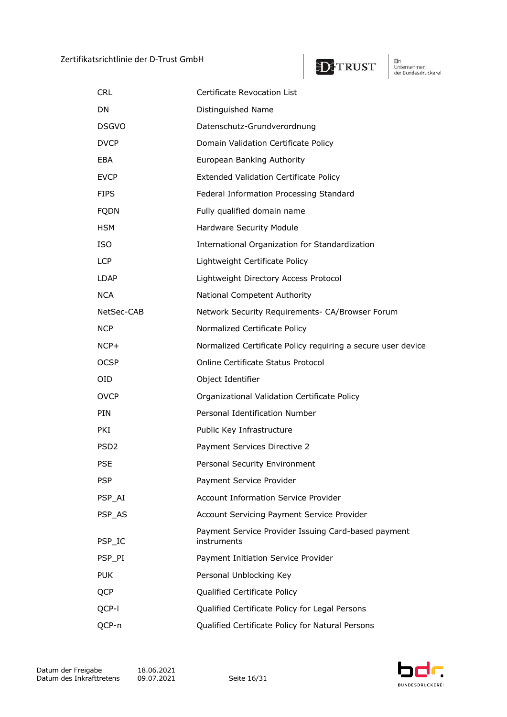

Ein<br>Unternehmen<br>der Bundesdruckerel

| <b>CRL</b>       | Certificate Revocation List                                        |
|------------------|--------------------------------------------------------------------|
| DN               | Distinguished Name                                                 |
| <b>DSGVO</b>     | Datenschutz-Grundverordnung                                        |
| <b>DVCP</b>      | Domain Validation Certificate Policy                               |
| EBA.             | European Banking Authority                                         |
| <b>EVCP</b>      | <b>Extended Validation Certificate Policy</b>                      |
| <b>FIPS</b>      | Federal Information Processing Standard                            |
| <b>FQDN</b>      | Fully qualified domain name                                        |
| <b>HSM</b>       | Hardware Security Module                                           |
| <b>ISO</b>       | International Organization for Standardization                     |
| <b>LCP</b>       | Lightweight Certificate Policy                                     |
| LDAP             | Lightweight Directory Access Protocol                              |
| <b>NCA</b>       | National Competent Authority                                       |
| NetSec-CAB       | Network Security Requirements- CA/Browser Forum                    |
| NCP              | Normalized Certificate Policy                                      |
| $NCP+$           | Normalized Certificate Policy requiring a secure user device       |
| <b>OCSP</b>      | Online Certificate Status Protocol                                 |
| OID              | Object Identifier                                                  |
| <b>OVCP</b>      | Organizational Validation Certificate Policy                       |
| PIN              | Personal Identification Number                                     |
| PKI.             | Public Key Infrastructure                                          |
| PSD <sub>2</sub> | Payment Services Directive 2                                       |
| <b>PSE</b>       | Personal Security Environment                                      |
| <b>PSP</b>       | Payment Service Provider                                           |
| PSP_AI           | <b>Account Information Service Provider</b>                        |
| PSP AS           | Account Servicing Payment Service Provider                         |
| PSP_IC           | Payment Service Provider Issuing Card-based payment<br>instruments |
| PSP_PI           | Payment Initiation Service Provider                                |
| <b>PUK</b>       | Personal Unblocking Key                                            |
| <b>QCP</b>       | Qualified Certificate Policy                                       |
| QCP-I            | Qualified Certificate Policy for Legal Persons                     |
| QCP-n            | Qualified Certificate Policy for Natural Persons                   |

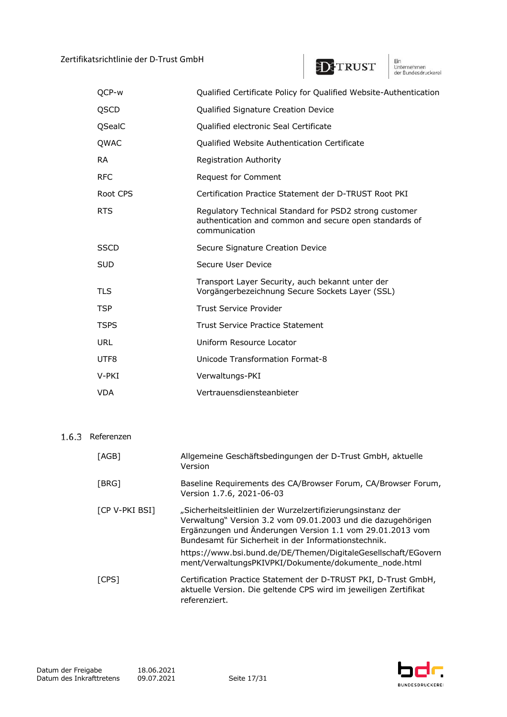

Ein<br>Unternehmen<br>der Bundesdruckerel

| OCP-w       | Qualified Certificate Policy for Qualified Website-Authentication                                                                 |
|-------------|-----------------------------------------------------------------------------------------------------------------------------------|
| QSCD        | Qualified Signature Creation Device                                                                                               |
| QSealC      | Qualified electronic Seal Certificate                                                                                             |
| QWAC        | Qualified Website Authentication Certificate                                                                                      |
| <b>RA</b>   | <b>Registration Authority</b>                                                                                                     |
| <b>RFC</b>  | Request for Comment                                                                                                               |
| Root CPS    | Certification Practice Statement der D-TRUST Root PKI                                                                             |
| <b>RTS</b>  | Regulatory Technical Standard for PSD2 strong customer<br>authentication and common and secure open standards of<br>communication |
| <b>SSCD</b> | Secure Signature Creation Device                                                                                                  |
| <b>SUD</b>  | Secure User Device                                                                                                                |
| <b>TLS</b>  | Transport Layer Security, auch bekannt unter der<br>Vorgängerbezeichnung Secure Sockets Layer (SSL)                               |
| <b>TSP</b>  | <b>Trust Service Provider</b>                                                                                                     |
| <b>TSPS</b> | Trust Service Practice Statement                                                                                                  |
| URL         | Uniform Resource Locator                                                                                                          |
| UTF8        | Unicode Transformation Format-8                                                                                                   |
| V-PKI       | Verwaltungs-PKI                                                                                                                   |
| <b>VDA</b>  | Vertrauensdiensteanbieter                                                                                                         |

## 1.6.3 Referenzen

| [AGB]          | Allgemeine Geschäftsbedingungen der D-Trust GmbH, aktuelle<br>Version                                                                                                                                                                            |
|----------------|--------------------------------------------------------------------------------------------------------------------------------------------------------------------------------------------------------------------------------------------------|
| [BRG]          | Baseline Requirements des CA/Browser Forum, CA/Browser Forum,<br>Version 1.7.6, 2021-06-03                                                                                                                                                       |
| [CP V-PKI BSI] | "Sicherheitsleitlinien der Wurzelzertifizierungsinstanz der<br>Verwaltung" Version 3.2 vom 09.01.2003 und die dazugehörigen<br>Ergänzungen und Änderungen Version 1.1 vom 29.01.2013 vom<br>Bundesamt für Sicherheit in der Informationstechnik. |
|                | https://www.bsi.bund.de/DE/Themen/DigitaleGesellschaft/EGovern<br>ment/VerwaltungsPKIVPKI/Dokumente/dokumente node.html                                                                                                                          |
| [CPS]          | Certification Practice Statement der D-TRUST PKI, D-Trust GmbH,<br>aktuelle Version. Die geltende CPS wird im jeweiligen Zertifikat<br>referenziert.                                                                                             |

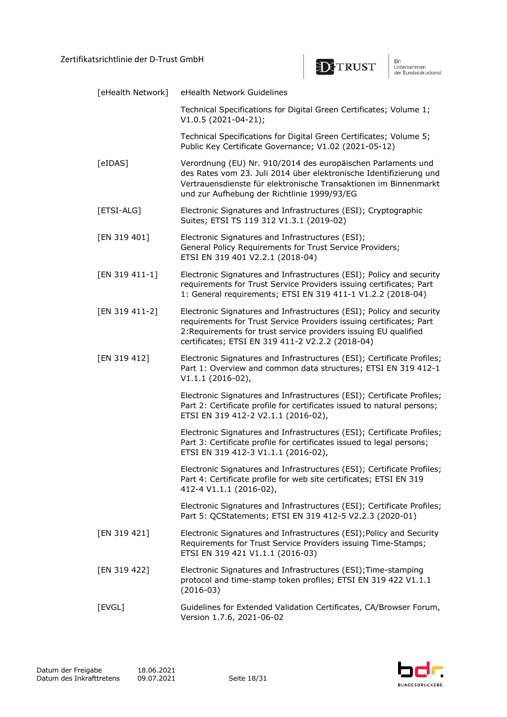

| [eHealth Network] | eHealth Network Guidelines                                                                                                                                                                                                                                          |
|-------------------|---------------------------------------------------------------------------------------------------------------------------------------------------------------------------------------------------------------------------------------------------------------------|
|                   | Technical Specifications for Digital Green Certificates; Volume 1;<br>V1.0.5 (2021-04-21);                                                                                                                                                                          |
|                   | Technical Specifications for Digital Green Certificates; Volume 5;<br>Public Key Certificate Governance; V1.02 (2021-05-12)                                                                                                                                         |
| [eIDAS]           | Verordnung (EU) Nr. 910/2014 des europäischen Parlaments und<br>des Rates vom 23. Juli 2014 über elektronische Identifizierung und<br>Vertrauensdienste für elektronische Transaktionen im Binnenmarkt<br>und zur Aufhebung der Richtlinie 1999/93/EG               |
| [ETSI-ALG]        | Electronic Signatures and Infrastructures (ESI); Cryptographic<br>Suites; ETSI TS 119 312 V1.3.1 (2019-02)                                                                                                                                                          |
| [EN 319 401]      | Electronic Signatures and Infrastructures (ESI);<br>General Policy Requirements for Trust Service Providers;<br>ETSI EN 319 401 V2.2.1 (2018-04)                                                                                                                    |
| [EN 319 411-1]    | Electronic Signatures and Infrastructures (ESI); Policy and security<br>requirements for Trust Service Providers issuing certificates; Part<br>1: General requirements; ETSI EN 319 411-1 V1.2.2 (2018-04)                                                          |
| [EN 319 411-2]    | Electronic Signatures and Infrastructures (ESI); Policy and security<br>requirements for Trust Service Providers issuing certificates; Part<br>2: Requirements for trust service providers issuing EU qualified<br>certificates; ETSI EN 319 411-2 V2.2.2 (2018-04) |
| [EN 319 412]      | Electronic Signatures and Infrastructures (ESI); Certificate Profiles;<br>Part 1: Overview and common data structures; ETSI EN 319 412-1<br>$V1.1.1 (2016-02),$                                                                                                     |
|                   | Electronic Signatures and Infrastructures (ESI); Certificate Profiles;<br>Part 2: Certificate profile for certificates issued to natural persons;<br>ETSI EN 319 412-2 V2.1.1 (2016-02),                                                                            |
|                   | Electronic Signatures and Infrastructures (ESI); Certificate Profiles;<br>Part 3: Certificate profile for certificates issued to legal persons;<br>ETSI EN 319 412-3 V1.1.1 (2016-02),                                                                              |
|                   | Electronic Signatures and Infrastructures (ESI); Certificate Profiles;<br>Part 4: Certificate profile for web site certificates; ETSI EN 319<br>412-4 V1.1.1 (2016-02),                                                                                             |
|                   | Electronic Signatures and Infrastructures (ESI); Certificate Profiles;<br>Part 5: QCStatements; ETSI EN 319 412-5 V2.2.3 (2020-01)                                                                                                                                  |
| [EN 319 421]      | Electronic Signatures and Infrastructures (ESI); Policy and Security<br>Requirements for Trust Service Providers issuing Time-Stamps;<br>ETSI EN 319 421 V1.1.1 (2016-03)                                                                                           |
| [EN 319 422]      | Electronic Signatures and Infrastructures (ESI); Time-stamping<br>protocol and time-stamp token profiles; ETSI EN 319 422 V1.1.1<br>$(2016-03)$                                                                                                                     |
| [EVGL]            | Guidelines for Extended Validation Certificates, CA/Browser Forum,<br>Version 1.7.6, 2021-06-02                                                                                                                                                                     |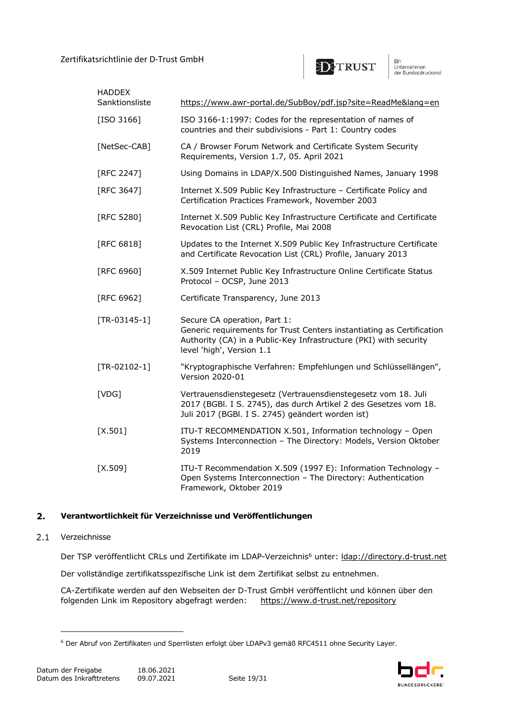

| <b>HADDEX</b><br>Sanktionsliste | https://www.awr-portal.de/SubBoy/pdf.jsp?site=ReadMe⟨=en                                                                                                                                                |
|---------------------------------|---------------------------------------------------------------------------------------------------------------------------------------------------------------------------------------------------------|
| $[ISO 3166]$                    | ISO 3166-1:1997: Codes for the representation of names of<br>countries and their subdivisions - Part 1: Country codes                                                                                   |
| [NetSec-CAB]                    | CA / Browser Forum Network and Certificate System Security<br>Requirements, Version 1.7, 05. April 2021                                                                                                 |
| [RFC 2247]                      | Using Domains in LDAP/X.500 Distinguished Names, January 1998                                                                                                                                           |
| [RFC 3647]                      | Internet X.509 Public Key Infrastructure - Certificate Policy and<br>Certification Practices Framework, November 2003                                                                                   |
| [RFC 5280]                      | Internet X.509 Public Key Infrastructure Certificate and Certificate<br>Revocation List (CRL) Profile, Mai 2008                                                                                         |
| [RFC $6818$ ]                   | Updates to the Internet X.509 Public Key Infrastructure Certificate<br>and Certificate Revocation List (CRL) Profile, January 2013                                                                      |
| [RFC 6960]                      | X.509 Internet Public Key Infrastructure Online Certificate Status<br>Protocol - OCSP, June 2013                                                                                                        |
| [RFC 6962]                      | Certificate Transparency, June 2013                                                                                                                                                                     |
| $[TR-03145-1]$                  | Secure CA operation, Part 1:<br>Generic requirements for Trust Centers instantiating as Certification<br>Authority (CA) in a Public-Key Infrastructure (PKI) with security<br>level 'high', Version 1.1 |
| $[TR-02102-1]$                  | "Kryptographische Verfahren: Empfehlungen und Schlüssellängen",<br>Version 2020-01                                                                                                                      |
| [VDG]                           | Vertrauensdienstegesetz (Vertrauensdienstegesetz vom 18. Juli<br>2017 (BGBI. I S. 2745), das durch Artikel 2 des Gesetzes vom 18.<br>Juli 2017 (BGBI. I S. 2745) geändert worden ist)                   |
| $[X.501]$                       | ITU-T RECOMMENDATION X.501, Information technology - Open<br>Systems Interconnection - The Directory: Models, Version Oktober<br>2019                                                                   |
| $[X.509]$                       | ITU-T Recommendation X.509 (1997 E): Information Technology -<br>Open Systems Interconnection - The Directory: Authentication<br>Framework, Oktober 2019                                                |

#### $2.$ **Verantwortlichkeit für Verzeichnisse und Veröffentlichungen**

#### $2.1$ Verzeichnisse

Der TSP veröffentlicht CRLs und Zertifikate im LDAP-Verzeichnis<sup>6</sup> unter: *ldap://directory.d-trust.net* 

Der vollständige zertifikatsspezifische Link ist dem Zertifikat selbst zu entnehmen.

CA-Zertifikate werden auf den Webseiten der D-Trust GmbH veröffentlicht und können über den folgenden Link im Repository abgefragt werden: https://www.d-trust.net/repository

<sup>6</sup> Der Abruf von Zertifikaten und Sperrlisten erfolgt über LDAPv3 gemäß RFC4511 ohne Security Layer.

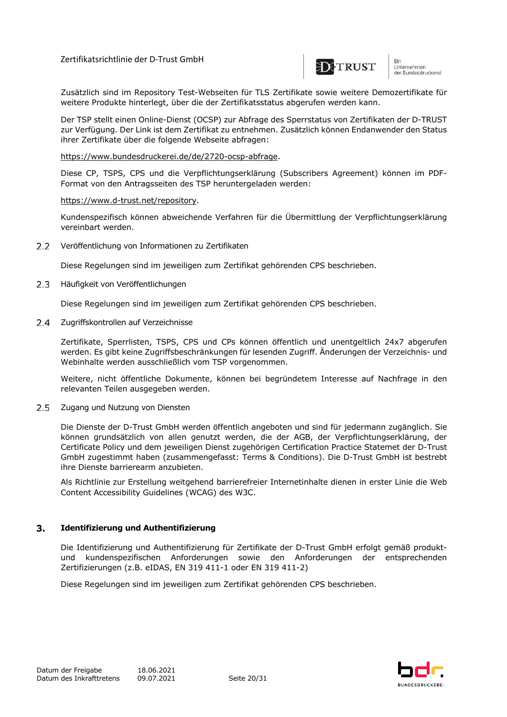

unternehmen<br>der Bundesdruckerei

Zusätzlich sind im Repository Test-Webseiten für TLS Zertifikate sowie weitere Demozertifikate für weitere Produkte hinterlegt, über die der Zertifikatsstatus abgerufen werden kann.

Der TSP stellt einen Online-Dienst (OCSP) zur Abfrage des Sperrstatus von Zertifikaten der D-TRUST zur Verfügung. Der Link ist dem Zertifikat zu entnehmen. Zusätzlich können Endanwender den Status ihrer Zertifikate über die folgende Webseite abfragen:

https://www.bundesdruckerei.de/de/2720-ocsp-abfrage.

Diese CP, TSPS, CPS und die Verpflichtungserklärung (Subscribers Agreement) können im PDF-Format von den Antragsseiten des TSP heruntergeladen werden:

#### https://www.d-trust.net/repository.

Kundenspezifisch können abweichende Verfahren für die Übermittlung der Verpflichtungserklärung vereinbart werden.

 $2.2$ Veröffentlichung von Informationen zu Zertifikaten

Diese Regelungen sind im jeweiligen zum Zertifikat gehörenden CPS beschrieben.

 $2.3$ Häufigkeit von Veröffentlichungen

Diese Regelungen sind im jeweiligen zum Zertifikat gehörenden CPS beschrieben.

 $2.4$ Zugriffskontrollen auf Verzeichnisse

> Zertifikate, Sperrlisten, TSPS, CPS und CPs können öffentlich und unentgeltlich 24x7 abgerufen werden. Es gibt keine Zugriffsbeschränkungen für lesenden Zugriff. Änderungen der Verzeichnis- und Webinhalte werden ausschließlich vom TSP vorgenommen.

> Weitere, nicht öffentliche Dokumente, können bei begründetem Interesse auf Nachfrage in den relevanten Teilen ausgegeben werden.

2.5 Zugang und Nutzung von Diensten

Die Dienste der D-Trust GmbH werden öffentlich angeboten und sind für jedermann zugänglich. Sie können grundsätzlich von allen genutzt werden, die der AGB, der Verpflichtungserklärung, der Certificate Policy und dem jeweiligen Dienst zugehörigen Certification Practice Statemet der D-Trust GmbH zugestimmt haben (zusammengefasst: Terms & Conditions). Die D-Trust GmbH ist bestrebt ihre Dienste barrierearm anzubieten.

Als Richtlinie zur Erstellung weitgehend barrierefreier Internetinhalte dienen in erster Linie die Web Content Accessibility Guidelines (WCAG) des W3C.

#### $3.$ **Identifizierung und Authentifizierung**

Die Identifizierung und Authentifizierung für Zertifikate der D-Trust GmbH erfolgt gemäß produktund kundenspezifischen Anforderungen sowie den Anforderungen der entsprechenden Zertifizierungen (z.B. eIDAS, EN 319 411-1 oder EN 319 411-2)

Diese Regelungen sind im jeweiligen zum Zertifikat gehörenden CPS beschrieben.

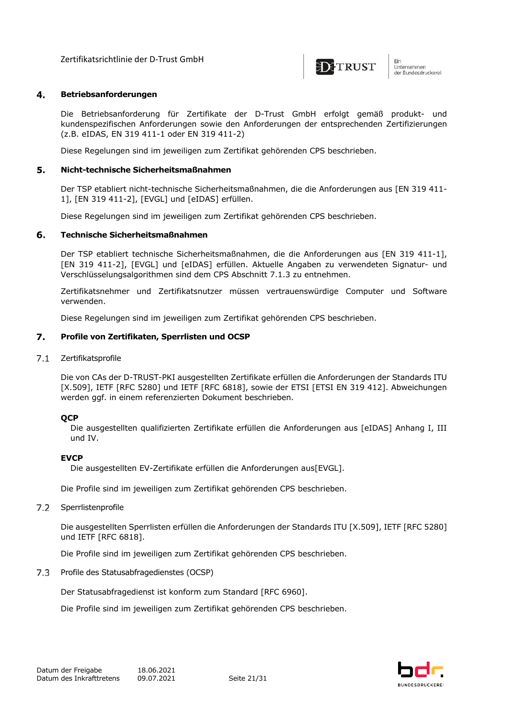

#### 4. **Betriebsanforderungen**

Die Betriebsanforderung für Zertifikate der D-Trust GmbH erfolgt gemäß produkt- und kundenspezifischen Anforderungen sowie den Anforderungen der entsprechenden Zertifizierungen (z.B. eIDAS, EN 319 411-1 oder EN 319 411-2)

Diese Regelungen sind im jeweiligen zum Zertifikat gehörenden CPS beschrieben.

#### 5. **Nicht-technische Sicherheitsmaßnahmen**

Der TSP etabliert nicht-technische Sicherheitsmaßnahmen, die die Anforderungen aus [EN 319 411- 1], [EN 319 411-2], [EVGL] und [eIDAS] erfüllen.

Diese Regelungen sind im jeweiligen zum Zertifikat gehörenden CPS beschrieben.

#### **Technische Sicherheitsmaßnahmen** 6.

Der TSP etabliert technische Sicherheitsmaßnahmen, die die Anforderungen aus [EN 319 411-1], [EN 319 411-2], [EVGL] und [eIDAS] erfüllen. Aktuelle Angaben zu verwendeten Signatur- und Verschlüsselungsalgorithmen sind dem CPS Abschnitt 7.1.3 zu entnehmen.

Zertifikatsnehmer und Zertifikatsnutzer müssen vertrauenswürdige Computer und Software verwenden.

Diese Regelungen sind im jeweiligen zum Zertifikat gehörenden CPS beschrieben.

#### 7. **Profile von Zertifikaten, Sperrlisten und OCSP**

 $7.1$ Zertifikatsprofile

> Die von CAs der D-TRUST-PKI ausgestellten Zertifikate erfüllen die Anforderungen der Standards ITU [X.509], IETF [RFC 5280] und IETF [RFC 6818], sowie der ETSI [ETSI EN 319 412]. Abweichungen werden ggf. in einem referenzierten Dokument beschrieben.

#### **QCP**

Die ausgestellten qualifizierten Zertifikate erfüllen die Anforderungen aus [eIDAS] Anhang I, III und IV.

#### **EVCP**

Die ausgestellten EV-Zertifikate erfüllen die Anforderungen aus[EVGL].

Die Profile sind im jeweiligen zum Zertifikat gehörenden CPS beschrieben.

 $7.2$ Sperrlistenprofile

> Die ausgestellten Sperrlisten erfüllen die Anforderungen der Standards ITU [X.509], IETF [RFC 5280] und IETF [RFC 6818].

Die Profile sind im jeweiligen zum Zertifikat gehörenden CPS beschrieben.

7.3 Profile des Statusabfragedienstes (OCSP)

Der Statusabfragedienst ist konform zum Standard [RFC 6960].

Die Profile sind im jeweiligen zum Zertifikat gehörenden CPS beschrieben.

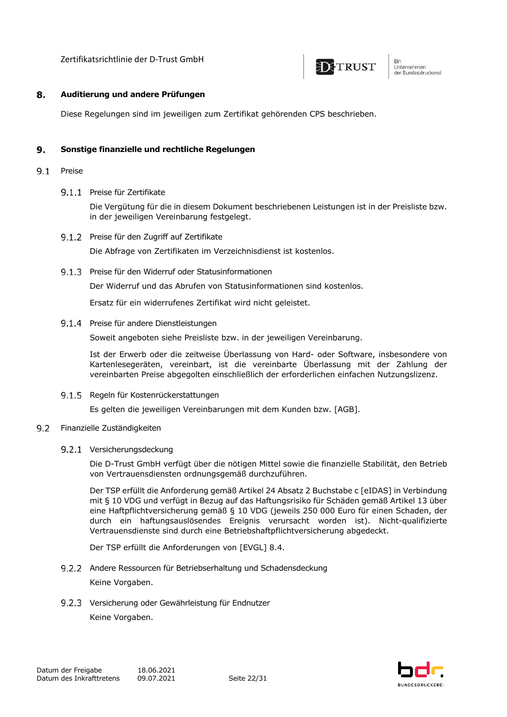

Ein um<br>Unternehmen<br>der Bundesdruckerel

#### 8. **Auditierung und andere Prüfungen**

Diese Regelungen sind im jeweiligen zum Zertifikat gehörenden CPS beschrieben.

#### 9. **Sonstige finanzielle und rechtliche Regelungen**

- $9.1$ Preise
	- 9.1.1 Preise für Zertifikate

Die Vergütung für die in diesem Dokument beschriebenen Leistungen ist in der Preisliste bzw. in der jeweiligen Vereinbarung festgelegt.

- 9.1.2 Preise für den Zugriff auf Zertifikate Die Abfrage von Zertifikaten im Verzeichnisdienst ist kostenlos.
- Preise für den Widerruf oder Statusinformationen

Der Widerruf und das Abrufen von Statusinformationen sind kostenlos.

Ersatz für ein widerrufenes Zertifikat wird nicht geleistet.

#### 9.1.4 Preise für andere Dienstleistungen

Soweit angeboten siehe Preisliste bzw. in der jeweiligen Vereinbarung.

Ist der Erwerb oder die zeitweise Überlassung von Hard- oder Software, insbesondere von Kartenlesegeräten, vereinbart, ist die vereinbarte Überlassung mit der Zahlung der vereinbarten Preise abgegolten einschließlich der erforderlichen einfachen Nutzungslizenz.

9.1.5 Regeln für Kostenrückerstattungen

Es gelten die jeweiligen Vereinbarungen mit dem Kunden bzw. [AGB].

- $9.2$ Finanzielle Zuständigkeiten
	- 9.2.1 Versicherungsdeckung

Die D-Trust GmbH verfügt über die nötigen Mittel sowie die finanzielle Stabilität, den Betrieb von Vertrauensdiensten ordnungsgemäß durchzuführen.

Der TSP erfüllt die Anforderung gemäß Artikel 24 Absatz 2 Buchstabe c [eIDAS] in Verbindung mit § 10 VDG und verfügt in Bezug auf das Haftungsrisiko für Schäden gemäß Artikel 13 über eine Haftpflichtversicherung gemäß § 10 VDG (jeweils 250 000 Euro für einen Schaden, der durch ein haftungsauslösendes Ereignis verursacht worden ist). Nicht-qualifizierte Vertrauensdienste sind durch eine Betriebshaftpflichtversicherung abgedeckt.

Der TSP erfüllt die Anforderungen von [EVGL] 8.4.

9.2.2 Andere Ressourcen für Betriebserhaltung und Schadensdeckung

Keine Vorgaben.

9.2.3 Versicherung oder Gewährleistung für Endnutzer Keine Vorgaben.

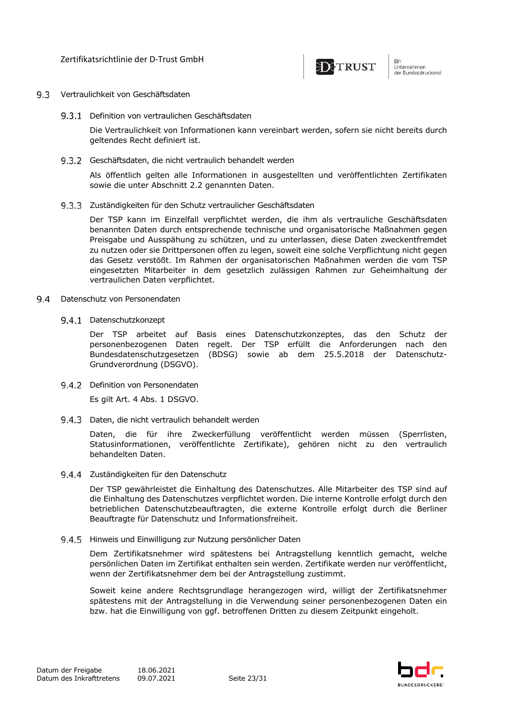

- Vertraulichkeit von Geschäftsdaten
	- 9.3.1 Definition von vertraulichen Geschäftsdaten

Die Vertraulichkeit von Informationen kann vereinbart werden, sofern sie nicht bereits durch geltendes Recht definiert ist.

9.3.2 Geschäftsdaten, die nicht vertraulich behandelt werden

Als öffentlich gelten alle Informationen in ausgestellten und veröffentlichten Zertifikaten sowie die unter Abschnitt 2.2 genannten Daten.

9.3.3 Zuständigkeiten für den Schutz vertraulicher Geschäftsdaten

Der TSP kann im Einzelfall verpflichtet werden, die ihm als vertrauliche Geschäftsdaten benannten Daten durch entsprechende technische und organisatorische Maßnahmen gegen Preisgabe und Ausspähung zu schützen, und zu unterlassen, diese Daten zweckentfremdet zu nutzen oder sie Drittpersonen offen zu legen, soweit eine solche Verpflichtung nicht gegen das Gesetz verstößt. Im Rahmen der organisatorischen Maßnahmen werden die vom TSP eingesetzten Mitarbeiter in dem gesetzlich zulässigen Rahmen zur Geheimhaltung der vertraulichen Daten verpflichtet.

- $9.4$ Datenschutz von Personendaten
	- 9.4.1 Datenschutzkonzept

Der TSP arbeitet auf Basis eines Datenschutzkonzeptes, das den Schutz der personenbezogenen Daten regelt. Der TSP erfüllt die Anforderungen nach den Bundesdatenschutzgesetzen (BDSG) sowie ab dem 25.5.2018 der Datenschutz-Grundverordnung (DSGVO).

9.4.2 Definition von Personendaten

Es gilt Art. 4 Abs. 1 DSGVO.

9.4.3 Daten, die nicht vertraulich behandelt werden

Daten, die für ihre Zweckerfüllung veröffentlicht werden müssen (Sperrlisten, Statusinformationen, veröffentlichte Zertifikate), gehören nicht zu den vertraulich behandelten Daten.

9.4.4 Zuständigkeiten für den Datenschutz

Der TSP gewährleistet die Einhaltung des Datenschutzes. Alle Mitarbeiter des TSP sind auf die Einhaltung des Datenschutzes verpflichtet worden. Die interne Kontrolle erfolgt durch den betrieblichen Datenschutzbeauftragten, die externe Kontrolle erfolgt durch die Berliner Beauftragte für Datenschutz und Informationsfreiheit.

9.4.5 Hinweis und Einwilligung zur Nutzung persönlicher Daten

Dem Zertifikatsnehmer wird spätestens bei Antragstellung kenntlich gemacht, welche persönlichen Daten im Zertifikat enthalten sein werden. Zertifikate werden nur veröffentlicht, wenn der Zertifikatsnehmer dem bei der Antragstellung zustimmt.

Soweit keine andere Rechtsgrundlage herangezogen wird, willigt der Zertifikatsnehmer spätestens mit der Antragstellung in die Verwendung seiner personenbezogenen Daten ein bzw. hat die Einwilligung von ggf. betroffenen Dritten zu diesem Zeitpunkt eingeholt.

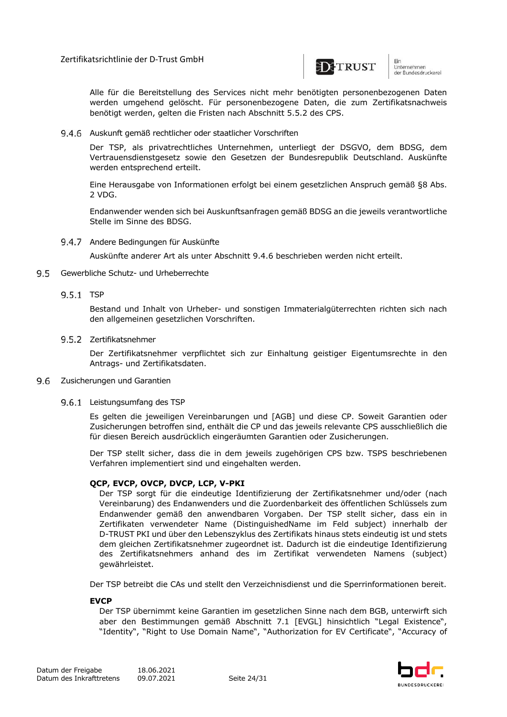

unternehmen<br>der Bundesdruckerei

Alle für die Bereitstellung des Services nicht mehr benötigten personenbezogenen Daten werden umgehend gelöscht. Für personenbezogene Daten, die zum Zertifikatsnachweis benötigt werden, gelten die Fristen nach Abschnitt 5.5.2 des CPS.

#### 9.4.6 Auskunft gemäß rechtlicher oder staatlicher Vorschriften

Der TSP, als privatrechtliches Unternehmen, unterliegt der DSGVO, dem BDSG, dem Vertrauensdienstgesetz sowie den Gesetzen der Bundesrepublik Deutschland. Auskünfte werden entsprechend erteilt.

Eine Herausgabe von Informationen erfolgt bei einem gesetzlichen Anspruch gemäß §8 Abs. 2 VDG.

Endanwender wenden sich bei Auskunftsanfragen gemäß BDSG an die jeweils verantwortliche Stelle im Sinne des BDSG.

9.4.7 Andere Bedingungen für Auskünfte

Auskünfte anderer Art als unter Abschnitt 9.4.6 beschrieben werden nicht erteilt.

#### 9.5 Gewerbliche Schutz- und Urheberrechte

9.5.1 TSP

Bestand und Inhalt von Urheber- und sonstigen Immaterialgüterrechten richten sich nach den allgemeinen gesetzlichen Vorschriften.

#### 9.5.2 Zertifikatsnehmer

Der Zertifikatsnehmer verpflichtet sich zur Einhaltung geistiger Eigentumsrechte in den Antrags- und Zertifikatsdaten.

#### 9.6 Zusicherungen und Garantien

#### 9.6.1 Leistungsumfang des TSP

Es gelten die jeweiligen Vereinbarungen und [AGB] und diese CP. Soweit Garantien oder Zusicherungen betroffen sind, enthält die CP und das jeweils relevante CPS ausschließlich die für diesen Bereich ausdrücklich eingeräumten Garantien oder Zusicherungen.

Der TSP stellt sicher, dass die in dem jeweils zugehörigen CPS bzw. TSPS beschriebenen Verfahren implementiert sind und eingehalten werden.

### **QCP, EVCP, OVCP, DVCP, LCP, V-PKI**

Der TSP sorgt für die eindeutige Identifizierung der Zertifikatsnehmer und/oder (nach Vereinbarung) des Endanwenders und die Zuordenbarkeit des öffentlichen Schlüssels zum Endanwender gemäß den anwendbaren Vorgaben. Der TSP stellt sicher, dass ein in Zertifikaten verwendeter Name (DistinguishedName im Feld subject) innerhalb der D-TRUST PKI und über den Lebenszyklus des Zertifikats hinaus stets eindeutig ist und stets dem gleichen Zertifikatsnehmer zugeordnet ist. Dadurch ist die eindeutige Identifizierung des Zertifikatsnehmers anhand des im Zertifikat verwendeten Namens (subject) gewährleistet.

Der TSP betreibt die CAs und stellt den Verzeichnisdienst und die Sperrinformationen bereit.

#### **EVCP**

Der TSP übernimmt keine Garantien im gesetzlichen Sinne nach dem BGB, unterwirft sich aber den Bestimmungen gemäß Abschnitt 7.1 [EVGL] hinsichtlich "Legal Existence", "Identity", "Right to Use Domain Name", "Authorization for EV Certificate", "Accuracy of

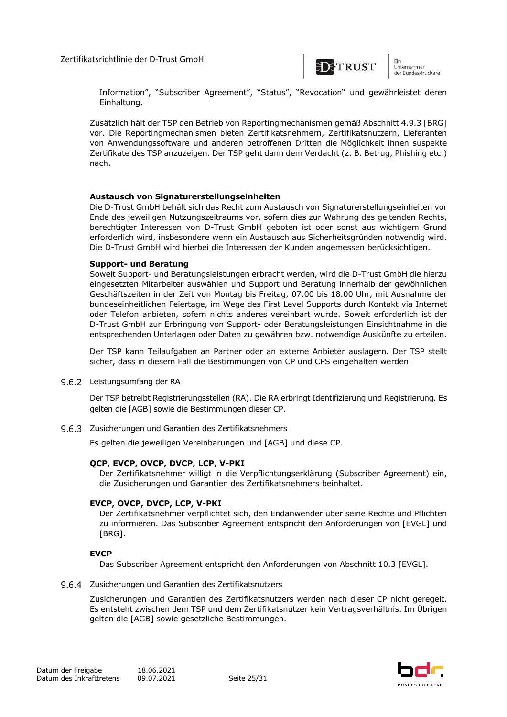

unternehmen<br>der Bundesdruckerei

Information", "Subscriber Agreement", "Status", "Revocation" und gewährleistet deren Einhaltung.

Zusätzlich hält der TSP den Betrieb von Reportingmechanismen gemäß Abschnitt 4.9.3 [BRG] vor. Die Reportingmechanismen bieten Zertifikatsnehmern, Zertifikatsnutzern, Lieferanten von Anwendungssoftware und anderen betroffenen Dritten die Möglichkeit ihnen suspekte Zertifikate des TSP anzuzeigen. Der TSP geht dann dem Verdacht (z. B. Betrug, Phishing etc.) nach.

#### **Austausch von Signaturerstellungseinheiten**

Die D-Trust GmbH behält sich das Recht zum Austausch von Signaturerstellungseinheiten vor Ende des jeweiligen Nutzungszeitraums vor, sofern dies zur Wahrung des geltenden Rechts, berechtigter Interessen von D-Trust GmbH geboten ist oder sonst aus wichtigem Grund erforderlich wird, insbesondere wenn ein Austausch aus Sicherheitsgründen notwendig wird. Die D-Trust GmbH wird hierbei die Interessen der Kunden angemessen berücksichtigen.

#### **Support- und Beratung**

Soweit Support- und Beratungsleistungen erbracht werden, wird die D-Trust GmbH die hierzu eingesetzten Mitarbeiter auswählen und Support und Beratung innerhalb der gewöhnlichen Geschäftszeiten in der Zeit von Montag bis Freitag, 07.00 bis 18.00 Uhr, mit Ausnahme der bundeseinheitlichen Feiertage, im Wege des First Level Supports durch Kontakt via Internet oder Telefon anbieten, sofern nichts anderes vereinbart wurde. Soweit erforderlich ist der D-Trust GmbH zur Erbringung von Support- oder Beratungsleistungen Einsichtnahme in die entsprechenden Unterlagen oder Daten zu gewähren bzw. notwendige Auskünfte zu erteilen.

Der TSP kann Teilaufgaben an Partner oder an externe Anbieter auslagern. Der TSP stellt sicher, dass in diesem Fall die Bestimmungen von CP und CPS eingehalten werden.

9.6.2 Leistungsumfang der RA

Der TSP betreibt Registrierungsstellen (RA). Die RA erbringt Identifizierung und Registrierung. Es gelten die [AGB] sowie die Bestimmungen dieser CP.

9.6.3 Zusicherungen und Garantien des Zertifikatsnehmers

Es gelten die jeweiligen Vereinbarungen und [AGB] und diese CP.

### **QCP, EVCP, OVCP, DVCP, LCP, V-PKI**

Der Zertifikatsnehmer willigt in die Verpflichtungserklärung (Subscriber Agreement) ein, die Zusicherungen und Garantien des Zertifikatsnehmers beinhaltet.

### **EVCP, OVCP, DVCP, LCP, V-PKI**

Der Zertifikatsnehmer verpflichtet sich, den Endanwender über seine Rechte und Pflichten zu informieren. Das Subscriber Agreement entspricht den Anforderungen von [EVGL] und [BRG].

### **EVCP**

Das Subscriber Agreement entspricht den Anforderungen von Abschnitt 10.3 [EVGL].

#### 9.6.4 Zusicherungen und Garantien des Zertifikatsnutzers

Zusicherungen und Garantien des Zertifikatsnutzers werden nach dieser CP nicht geregelt. Es entsteht zwischen dem TSP und dem Zertifikatsnutzer kein Vertragsverhältnis. Im Übrigen gelten die [AGB] sowie gesetzliche Bestimmungen.

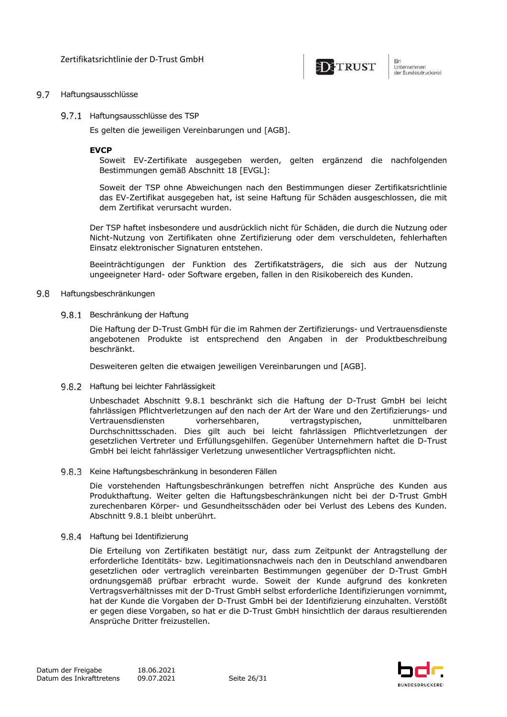

Ein um<br>Unternehmen<br>der Bundesdruckerel

#### 9.7 Haftungsausschlüsse

9.7.1 Haftungsausschlüsse des TSP

Es gelten die jeweiligen Vereinbarungen und [AGB].

#### **EVCP**

Soweit EV-Zertifikate ausgegeben werden, gelten ergänzend die nachfolgenden Bestimmungen gemäß Abschnitt 18 [EVGL]:

Soweit der TSP ohne Abweichungen nach den Bestimmungen dieser Zertifikatsrichtlinie das EV-Zertifikat ausgegeben hat, ist seine Haftung für Schäden ausgeschlossen, die mit dem Zertifikat verursacht wurden.

Der TSP haftet insbesondere und ausdrücklich nicht für Schäden, die durch die Nutzung oder Nicht-Nutzung von Zertifikaten ohne Zertifizierung oder dem verschuldeten, fehlerhaften Einsatz elektronischer Signaturen entstehen.

Beeinträchtigungen der Funktion des Zertifikatsträgers, die sich aus der Nutzung ungeeigneter Hard- oder Software ergeben, fallen in den Risikobereich des Kunden.

#### 9.8 Haftungsbeschränkungen

9.8.1 Beschränkung der Haftung

Die Haftung der D-Trust GmbH für die im Rahmen der Zertifizierungs- und Vertrauensdienste angebotenen Produkte ist entsprechend den Angaben in der Produktbeschreibung beschränkt.

Desweiteren gelten die etwaigen jeweiligen Vereinbarungen und [AGB].

9.8.2 Haftung bei leichter Fahrlässigkeit

Unbeschadet Abschnitt 9.8.1 beschränkt sich die Haftung der D-Trust GmbH bei leicht fahrlässigen Pflichtverletzungen auf den nach der Art der Ware und den Zertifizierungs- und Vertrauensdiensten vorhersehbaren, vertragstypischen, unmittelbaren Durchschnittsschaden. Dies gilt auch bei leicht fahrlässigen Pflichtverletzungen der gesetzlichen Vertreter und Erfüllungsgehilfen. Gegenüber Unternehmern haftet die D-Trust GmbH bei leicht fahrlässiger Verletzung unwesentlicher Vertragspflichten nicht.

9.8.3 Keine Haftungsbeschränkung in besonderen Fällen

Die vorstehenden Haftungsbeschränkungen betreffen nicht Ansprüche des Kunden aus Produkthaftung. Weiter gelten die Haftungsbeschränkungen nicht bei der D-Trust GmbH zurechenbaren Körper- und Gesundheitsschäden oder bei Verlust des Lebens des Kunden. Abschnitt 9.8.1 bleibt unberührt.

9.8.4 Haftung bei Identifizierung

Die Erteilung von Zertifikaten bestätigt nur, dass zum Zeitpunkt der Antragstellung der erforderliche Identitäts- bzw. Legitimationsnachweis nach den in Deutschland anwendbaren gesetzlichen oder vertraglich vereinbarten Bestimmungen gegenüber der D-Trust GmbH ordnungsgemäß prüfbar erbracht wurde. Soweit der Kunde aufgrund des konkreten Vertragsverhältnisses mit der D-Trust GmbH selbst erforderliche Identifizierungen vornimmt, hat der Kunde die Vorgaben der D-Trust GmbH bei der Identifizierung einzuhalten. Verstößt er gegen diese Vorgaben, so hat er die D-Trust GmbH hinsichtlich der daraus resultierenden Ansprüche Dritter freizustellen.

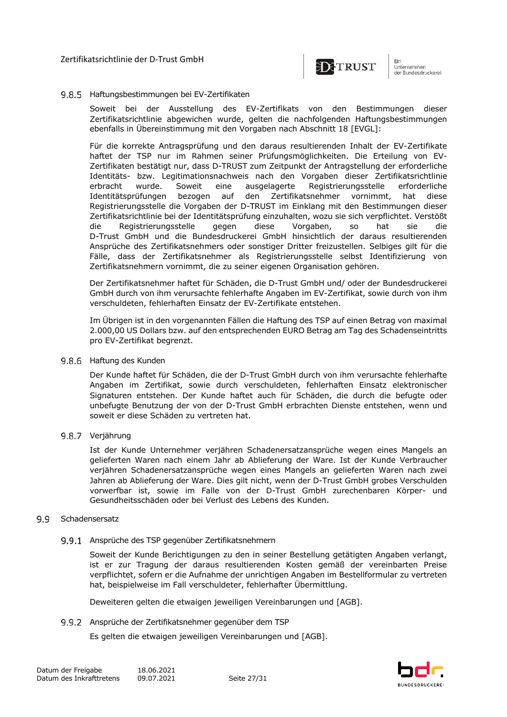

#### 9.8.5 Haftungsbestimmungen bei EV-Zertifikaten

Soweit bei der Ausstellung des EV-Zertifikats von den Bestimmungen dieser Zertifikatsrichtlinie abgewichen wurde, gelten die nachfolgenden Haftungsbestimmungen ebenfalls in Übereinstimmung mit den Vorgaben nach Abschnitt 18 [EVGL]:

Für die korrekte Antragsprüfung und den daraus resultierenden Inhalt der EV-Zertifikate haftet der TSP nur im Rahmen seiner Prüfungsmöglichkeiten. Die Erteilung von EV-Zertifikaten bestätigt nur, dass D-TRUST zum Zeitpunkt der Antragstellung der erforderliche Identitäts- bzw. Legitimationsnachweis nach den Vorgaben dieser Zertifikatsrichtlinie erbracht wurde. Soweit eine ausgelagerte Registrierungsstelle erforderliche Identitätsprüfungen bezogen auf den Zertifikatsnehmer vornimmt, hat diese Registrierungsstelle die Vorgaben der D-TRUST im Einklang mit den Bestimmungen dieser Zertifikatsrichtlinie bei der Identitätsprüfung einzuhalten, wozu sie sich verpflichtet. Verstößt die Registrierungsstelle gegen diese Vorgaben, so hat sie die D-Trust GmbH und die Bundesdruckerei GmbH hinsichtlich der daraus resultierenden Ansprüche des Zertifikatsnehmers oder sonstiger Dritter freizustellen. Selbiges gilt für die Fälle, dass der Zertifikatsnehmer als Registrierungsstelle selbst Identifizierung von Zertifikatsnehmern vornimmt, die zu seiner eigenen Organisation gehören.

Der Zertifikatsnehmer haftet für Schäden, die D-Trust GmbH und/ oder der Bundesdruckerei GmbH durch von ihm verursachte fehlerhafte Angaben im EV-Zertifikat, sowie durch von ihm verschuldeten, fehlerhaften Einsatz der EV-Zertifikate entstehen.

Im Übrigen ist in den vorgenannten Fällen die Haftung des TSP auf einen Betrag von maximal 2.000,00 US Dollars bzw. auf den entsprechenden EURO Betrag am Tag des Schadenseintritts pro EV-Zertifikat begrenzt.

9.8.6 Haftung des Kunden

Der Kunde haftet für Schäden, die der D-Trust GmbH durch von ihm verursachte fehlerhafte Angaben im Zertifikat, sowie durch verschuldeten, fehlerhaften Einsatz elektronischer Signaturen entstehen. Der Kunde haftet auch für Schäden, die durch die befugte oder unbefugte Benutzung der von der D-Trust GmbH erbrachten Dienste entstehen, wenn und soweit er diese Schäden zu vertreten hat.

9.8.7 Verjährung

Ist der Kunde Unternehmer verjähren Schadenersatzansprüche wegen eines Mangels an gelieferten Waren nach einem Jahr ab Ablieferung der Ware. Ist der Kunde Verbraucher verjähren Schadenersatzansprüche wegen eines Mangels an gelieferten Waren nach zwei Jahren ab Ablieferung der Ware. Dies gilt nicht, wenn der D-Trust GmbH grobes Verschulden vorwerfbar ist, sowie im Falle von der D-Trust GmbH zurechenbaren Körper- und Gesundheitsschäden oder bei Verlust des Lebens des Kunden.

#### 9.9 Schadensersatz

9.9.1 Ansprüche des TSP gegenüber Zertifikatsnehmern

Soweit der Kunde Berichtigungen zu den in seiner Bestellung getätigten Angaben verlangt, ist er zur Tragung der daraus resultierenden Kosten gemäß der vereinbarten Preise verpflichtet, sofern er die Aufnahme der unrichtigen Angaben im Bestellformular zu vertreten hat, beispielweise im Fall verschuldeter, fehlerhafter Übermittlung.

Deweiteren gelten die etwaigen jeweiligen Vereinbarungen und [AGB].

9.9.2 Ansprüche der Zertifikatsnehmer gegenüber dem TSP

Es gelten die etwaigen jeweiligen Vereinbarungen und [AGB].

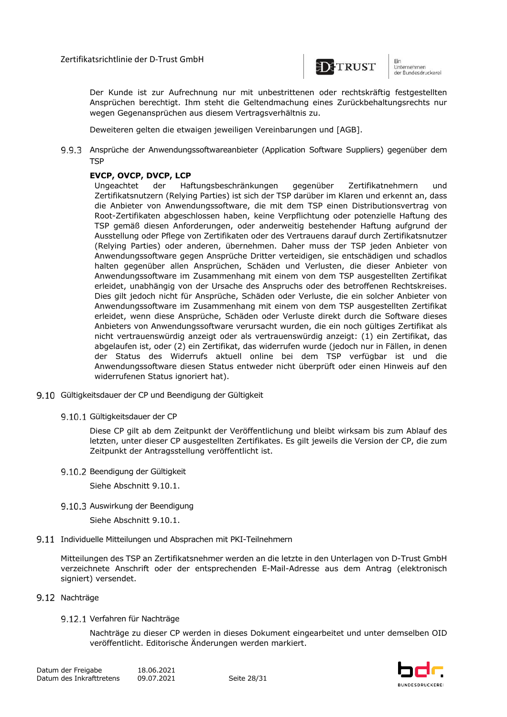

um<br>Unternehmen<br>der Bundesdruckerel

Der Kunde ist zur Aufrechnung nur mit unbestrittenen oder rechtskräftig festgestellten Ansprüchen berechtigt. Ihm steht die Geltendmachung eines Zurückbehaltungsrechts nur wegen Gegenansprüchen aus diesem Vertragsverhältnis zu.

Deweiteren gelten die etwaigen jeweiligen Vereinbarungen und [AGB].

Ansprüche der Anwendungssoftwareanbieter (Application Software Suppliers) gegenüber dem **TSP** 

## **EVCP, OVCP, DVCP, LCP**

Ungeachtet der Haftungsbeschränkungen gegenüber Zertifikatnehmern und Zertifikatsnutzern (Relying Parties) ist sich der TSP darüber im Klaren und erkennt an, dass die Anbieter von Anwendungssoftware, die mit dem TSP einen Distributionsvertrag von Root-Zertifikaten abgeschlossen haben, keine Verpflichtung oder potenzielle Haftung des TSP gemäß diesen Anforderungen, oder anderweitig bestehender Haftung aufgrund der Ausstellung oder Pflege von Zertifikaten oder des Vertrauens darauf durch Zertifikatsnutzer (Relying Parties) oder anderen, übernehmen. Daher muss der TSP jeden Anbieter von Anwendungssoftware gegen Ansprüche Dritter verteidigen, sie entschädigen und schadlos halten gegenüber allen Ansprüchen, Schäden und Verlusten, die dieser Anbieter von Anwendungssoftware im Zusammenhang mit einem von dem TSP ausgestellten Zertifikat erleidet, unabhängig von der Ursache des Anspruchs oder des betroffenen Rechtskreises. Dies gilt jedoch nicht für Ansprüche, Schäden oder Verluste, die ein solcher Anbieter von Anwendungssoftware im Zusammenhang mit einem von dem TSP ausgestellten Zertifikat erleidet, wenn diese Ansprüche, Schäden oder Verluste direkt durch die Software dieses Anbieters von Anwendungssoftware verursacht wurden, die ein noch gültiges Zertifikat als nicht vertrauenswürdig anzeigt oder als vertrauenswürdig anzeigt: (1) ein Zertifikat, das abgelaufen ist, oder (2) ein Zertifikat, das widerrufen wurde (jedoch nur in Fällen, in denen der Status des Widerrufs aktuell online bei dem TSP verfügbar ist und die Anwendungssoftware diesen Status entweder nicht überprüft oder einen Hinweis auf den widerrufenen Status ignoriert hat).

- 9.10 Gültigkeitsdauer der CP und Beendigung der Gültigkeit
	- 9.10.1 Gültigkeitsdauer der CP

Diese CP gilt ab dem Zeitpunkt der Veröffentlichung und bleibt wirksam bis zum Ablauf des letzten, unter dieser CP ausgestellten Zertifikates. Es gilt jeweils die Version der CP, die zum Zeitpunkt der Antragsstellung veröffentlicht ist.

### 9.10.2 Beendigung der Gültigkeit

Siehe Abschnitt 9.10.1.

9.10.3 Auswirkung der Beendigung

Siehe Abschnitt 9.10.1.

9.11 Individuelle Mitteilungen und Absprachen mit PKI-Teilnehmern

Mitteilungen des TSP an Zertifikatsnehmer werden an die letzte in den Unterlagen von D-Trust GmbH verzeichnete Anschrift oder der entsprechenden E-Mail-Adresse aus dem Antrag (elektronisch signiert) versendet.

#### 9.12 Nachträge

### 9.12.1 Verfahren für Nachträge

Nachträge zu dieser CP werden in dieses Dokument eingearbeitet und unter demselben OID veröffentlicht. Editorische Änderungen werden markiert.

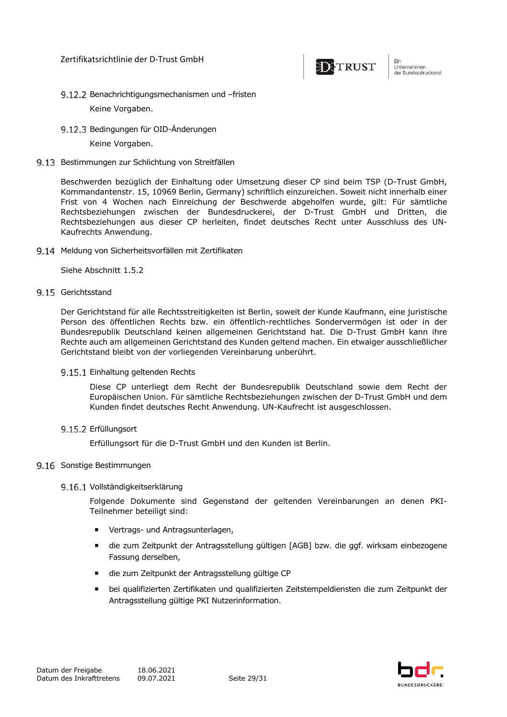

Ein um<br>Unternehmen<br>der Bundesdruckerel

- 9.12.2 Benachrichtigungsmechanismen und -fristen Keine Vorgaben.
- Bedingungen für OID-Änderungen Keine Vorgaben.
- 9.13 Bestimmungen zur Schlichtung von Streitfällen

Beschwerden bezüglich der Einhaltung oder Umsetzung dieser CP sind beim TSP (D-Trust GmbH, Kommandantenstr. 15, 10969 Berlin, Germany) schriftlich einzureichen. Soweit nicht innerhalb einer Frist von 4 Wochen nach Einreichung der Beschwerde abgeholfen wurde, gilt: Für sämtliche Rechtsbeziehungen zwischen der Bundesdruckerei, der D-Trust GmbH und Dritten, die Rechtsbeziehungen aus dieser CP herleiten, findet deutsches Recht unter Ausschluss des UN-Kaufrechts Anwendung.

Meldung von Sicherheitsvorfällen mit Zertifikaten

Siehe Abschnitt 1.5.2

9.15 Gerichtsstand

Der Gerichtstand für alle Rechtsstreitigkeiten ist Berlin, soweit der Kunde Kaufmann, eine juristische Person des öffentlichen Rechts bzw. ein öffentlich-rechtliches Sondervermögen ist oder in der Bundesrepublik Deutschland keinen allgemeinen Gerichtstand hat. Die D-Trust GmbH kann ihre Rechte auch am allgemeinen Gerichtstand des Kunden geltend machen. Ein etwaiger ausschließlicher Gerichtstand bleibt von der vorliegenden Vereinbarung unberührt.

9.15.1 Einhaltung geltenden Rechts

Diese CP unterliegt dem Recht der Bundesrepublik Deutschland sowie dem Recht der Europäischen Union. Für sämtliche Rechtsbeziehungen zwischen der D-Trust GmbH und dem Kunden findet deutsches Recht Anwendung. UN-Kaufrecht ist ausgeschlossen.

9.15.2 Erfüllungsort

Erfüllungsort für die D-Trust GmbH und den Kunden ist Berlin.

### 9.16 Sonstige Bestimmungen

#### 9.16.1 Vollständigkeitserklärung

Folgende Dokumente sind Gegenstand der geltenden Vereinbarungen an denen PKI-Teilnehmer beteiligt sind:

- **■** Vertrags- und Antragsunterlagen,
- ¡ die zum Zeitpunkt der Antragsstellung gültigen [AGB] bzw. die ggf. wirksam einbezogene Fassung derselben,
- ¡ die zum Zeitpunkt der Antragsstellung gültige CP
- ¡ bei qualifizierten Zertifikaten und qualifizierten Zeitstempeldiensten die zum Zeitpunkt der Antragsstellung gültige PKI Nutzerinformation.

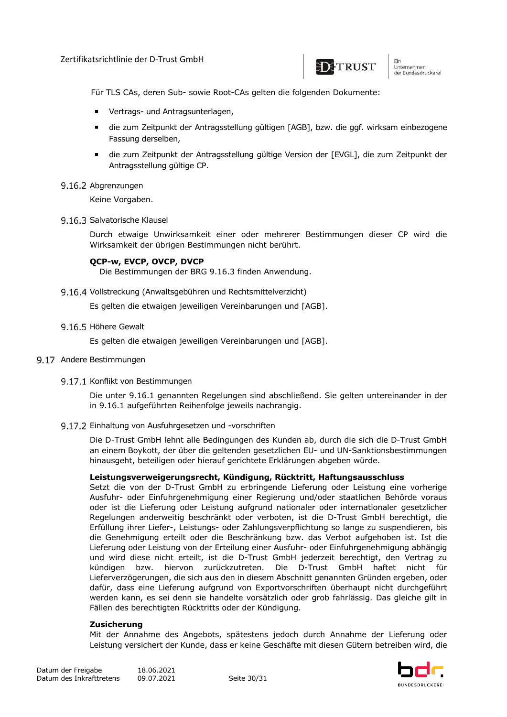

um<br>Unternehmen<br>der Bundesdruckerel

Für TLS CAs, deren Sub- sowie Root-CAs gelten die folgenden Dokumente:

- **■** Vertrags- und Antragsunterlagen,
- ¡ die zum Zeitpunkt der Antragsstellung gültigen [AGB], bzw. die ggf. wirksam einbezogene Fassung derselben,
- ¡ die zum Zeitpunkt der Antragsstellung gültige Version der [EVGL], die zum Zeitpunkt der Antragsstellung gültige CP.
- 9.16.2 Abgrenzungen

Keine Vorgaben.

9.16.3 Salvatorische Klausel

Durch etwaige Unwirksamkeit einer oder mehrerer Bestimmungen dieser CP wird die Wirksamkeit der übrigen Bestimmungen nicht berührt.

#### **QCP-w, EVCP, OVCP, DVCP**

Die Bestimmungen der BRG 9.16.3 finden Anwendung.

9.16.4 Vollstreckung (Anwaltsgebühren und Rechtsmittelverzicht)

Es gelten die etwaigen jeweiligen Vereinbarungen und [AGB].

9.16.5 Höhere Gewalt

Es gelten die etwaigen jeweiligen Vereinbarungen und [AGB].

- 9.17 Andere Bestimmungen
	- 9.17.1 Konflikt von Bestimmungen

Die unter 9.16.1 genannten Regelungen sind abschließend. Sie gelten untereinander in der in 9.16.1 aufgeführten Reihenfolge jeweils nachrangig.

9.17.2 Einhaltung von Ausfuhrgesetzen und -vorschriften

Die D-Trust GmbH lehnt alle Bedingungen des Kunden ab, durch die sich die D-Trust GmbH an einem Boykott, der über die geltenden gesetzlichen EU- und UN-Sanktionsbestimmungen hinausgeht, beteiligen oder hierauf gerichtete Erklärungen abgeben würde.

#### **Leistungsverweigerungsrecht, Kündigung, Rücktritt, Haftungsausschluss**

Setzt die von der D-Trust GmbH zu erbringende Lieferung oder Leistung eine vorherige Ausfuhr- oder Einfuhrgenehmigung einer Regierung und/oder staatlichen Behörde voraus oder ist die Lieferung oder Leistung aufgrund nationaler oder internationaler gesetzlicher Regelungen anderweitig beschränkt oder verboten, ist die D-Trust GmbH berechtigt, die Erfüllung ihrer Liefer-, Leistungs- oder Zahlungsverpflichtung so lange zu suspendieren, bis die Genehmigung erteilt oder die Beschränkung bzw. das Verbot aufgehoben ist. Ist die Lieferung oder Leistung von der Erteilung einer Ausfuhr- oder Einfuhrgenehmigung abhängig und wird diese nicht erteilt, ist die D-Trust GmbH jederzeit berechtigt, den Vertrag zu kündigen bzw. hiervon zurückzutreten. Die D-Trust GmbH haftet nicht für Lieferverzögerungen, die sich aus den in diesem Abschnitt genannten Gründen ergeben, oder dafür, dass eine Lieferung aufgrund von Exportvorschriften überhaupt nicht durchgeführt werden kann, es sei denn sie handelte vorsätzlich oder grob fahrlässig. Das gleiche gilt in Fällen des berechtigten Rücktritts oder der Kündigung.

#### **Zusicherung**

Mit der Annahme des Angebots, spätestens jedoch durch Annahme der Lieferung oder Leistung versichert der Kunde, dass er keine Geschäfte mit diesen Gütern betreiben wird, die